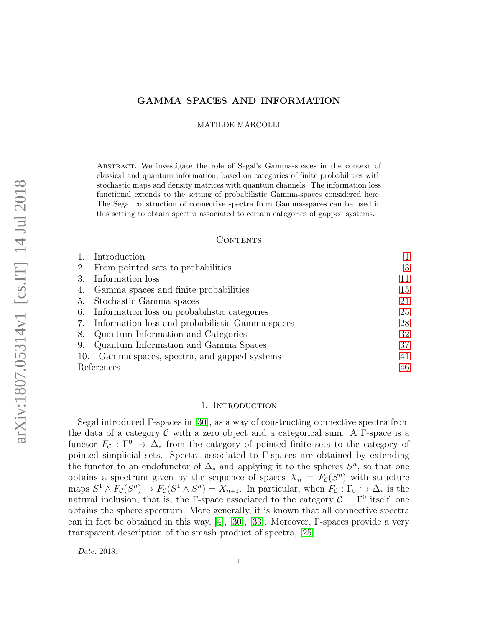# GAMMA SPACES AND INFORMATION

MATILDE MARCOLLI

Abstract. We investigate the role of Segal's Gamma-spaces in the context of classical and quantum information, based on categories of finite probabilities with stochastic maps and density matrices with quantum channels. The information loss functional extends to the setting of probabilistic Gamma-spaces considered here. The Segal construction of connective spectra from Gamma-spaces can be used in this setting to obtain spectra associated to certain categories of gapped systems.

## CONTENTS

|            | Introduction                                       |    |
|------------|----------------------------------------------------|----|
| 2.         | From pointed sets to probabilities                 | 3  |
| 3.         | Information loss                                   | 11 |
|            | 4. Gamma spaces and finite probabilities           | 15 |
|            | 5. Stochastic Gamma spaces                         | 21 |
|            | 6. Information loss on probabilistic categories    | 25 |
|            | 7. Information loss and probabilistic Gamma spaces | 28 |
| 8.         | Quantum Information and Categories                 | 32 |
| 9.         | Quantum Information and Gamma Spaces               | 37 |
| 10.        | Gamma spaces, spectra, and gapped systems          | 41 |
| References |                                                    | 46 |

# 1. INTRODUCTION

<span id="page-0-0"></span>Segal introduced Γ-spaces in [\[30\]](#page-45-1), as a way of constructing connective spectra from the data of a category  $\mathcal C$  with a zero object and a categorical sum. A  $\Gamma$ -space is a functor  $F_c : \Gamma^0 \to \Delta_*$  from the category of pointed finite sets to the category of pointed simplicial sets. Spectra associated to Γ-spaces are obtained by extending the functor to an endofunctor of  $\Delta_{*}$  and applying it to the spheres  $S^{n}$ , so that one obtains a spectrum given by the sequence of spaces  $X_n = F_c(S^n)$  with structure maps  $S^1 \wedge F_{\mathcal{C}}(S^n) \to F_{\mathcal{C}}(S^1 \wedge S^n) = X_{n+1}$ . In particular, when  $F_{\mathcal{C}}: \Gamma_0 \hookrightarrow \Delta_*$  is the natural inclusion, that is, the Γ-space associated to the category  $\mathcal{C} = \Gamma^0$  itself, one obtains the sphere spectrum. More generally, it is known that all connective spectra can in fact be obtained in this way, [\[4\]](#page-45-2), [\[30\]](#page-45-1), [\[33\]](#page-46-0). Moreover, Γ-spaces provide a very transparent description of the smash product of spectra, [\[25\]](#page-45-3).

Date: 2018.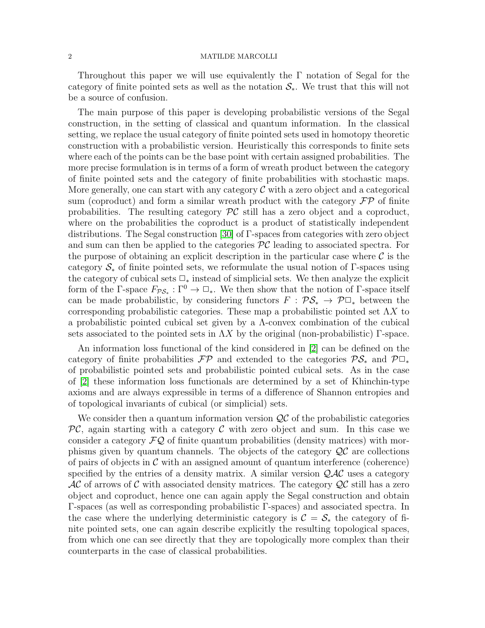Throughout this paper we will use equivalently the  $\Gamma$  notation of Segal for the category of finite pointed sets as well as the notation  $S_{*}$ . We trust that this will not be a source of confusion.

The main purpose of this paper is developing probabilistic versions of the Segal construction, in the setting of classical and quantum information. In the classical setting, we replace the usual category of finite pointed sets used in homotopy theoretic construction with a probabilistic version. Heuristically this corresponds to finite sets where each of the points can be the base point with certain assigned probabilities. The more precise formulation is in terms of a form of wreath product between the category of finite pointed sets and the category of finite probabilities with stochastic maps. More generally, one can start with any category  $\mathcal C$  with a zero object and a categorical sum (coproduct) and form a similar wreath product with the category  $\mathcal{FP}$  of finite probabilities. The resulting category  $\mathcal{PC}$  still has a zero object and a coproduct, where on the probabilities the coproduct is a product of statistically independent distributions. The Segal construction [\[30\]](#page-45-1) of Γ-spaces from categories with zero object and sum can then be applied to the categories  $\mathcal{PC}$  leading to associated spectra. For the purpose of obtaining an explicit description in the particular case where  $\mathcal C$  is the category  $\mathcal{S}_*$  of finite pointed sets, we reformulate the usual notion of Γ-spaces using the category of cubical sets  $\Box_*$  instead of simplicial sets. We then analyze the explicit form of the  $\Gamma$ -space  $F_{\mathcal{PS}_*}: \Gamma^0 \to \mathbb{Z}_*$ . We then show that the notion of  $\Gamma$ -space itself can be made probabilistic, by considering functors  $F : \mathcal{PS}_* \to \mathcal{P} \square_*$  between the corresponding probabilistic categories. These map a probabilistic pointed set  $\Lambda X$  to a probabilistic pointed cubical set given by a Λ-convex combination of the cubical sets associated to the pointed sets in  $\Lambda X$  by the original (non-probabilistic)  $\Gamma$ -space.

An information loss functional of the kind considered in [\[2\]](#page-45-4) can be defined on the category of finite probabilities  $\mathcal{FP}$  and extended to the categories  $\mathcal{PS}_*$  and  $\mathcal{P}\Box_*$ of probabilistic pointed sets and probabilistic pointed cubical sets. As in the case of [\[2\]](#page-45-4) these information loss functionals are determined by a set of Khinchin-type axioms and are always expressible in terms of a difference of Shannon entropies and of topological invariants of cubical (or simplicial) sets.

We consider then a quantum information version  $\mathcal{QC}$  of the probabilistic categories  $PC$ , again starting with a category C with zero object and sum. In this case we consider a category  $\mathcal{FQ}$  of finite quantum probabilities (density matrices) with morphisms given by quantum channels. The objects of the category  $\mathcal{Q}C$  are collections of pairs of objects in  $\mathcal C$  with an assigned amount of quantum interference (coherence) specified by the entries of a density matrix. A similar version  $\mathcal{QAC}$  uses a category  $AC$  of arrows of C with associated density matrices. The category  $QC$  still has a zero object and coproduct, hence one can again apply the Segal construction and obtain Γ-spaces (as well as corresponding probabilistic Γ-spaces) and associated spectra. In the case where the underlying deterministic category is  $C = S_*$  the category of finite pointed sets, one can again describe explicitly the resulting topological spaces, from which one can see directly that they are topologically more complex than their counterparts in the case of classical probabilities.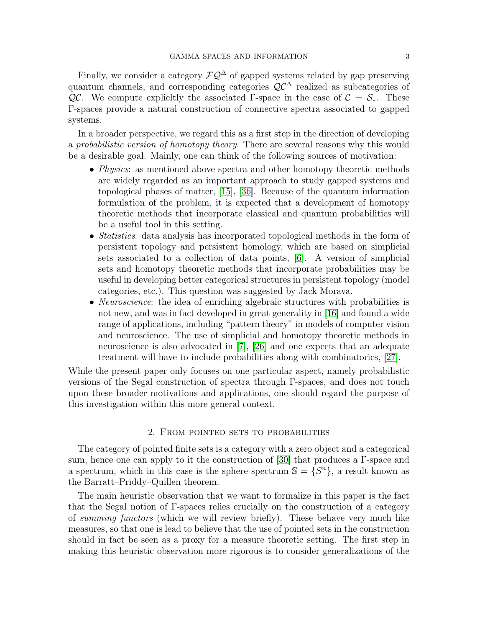Finally, we consider a category  $\mathcal{F}\mathcal{Q}^{\Delta}$  of gapped systems related by gap preserving quantum channels, and corresponding categories  $\mathcal{Q}C^{\Delta}$  realized as subcategories of QC. We compute explicitly the associated Γ-space in the case of  $\mathcal{C} = \mathcal{S}_{*}$ . These Γ-spaces provide a natural construction of connective spectra associated to gapped systems.

In a broader perspective, we regard this as a first step in the direction of developing a probabilistic version of homotopy theory. There are several reasons why this would be a desirable goal. Mainly, one can think of the following sources of motivation:

- *Physics*: as mentioned above spectra and other homotopy theoretic methods are widely regarded as an important approach to study gapped systems and topological phases of matter, [\[15\]](#page-45-5), [\[36\]](#page-46-1). Because of the quantum information formulation of the problem, it is expected that a development of homotopy theoretic methods that incorporate classical and quantum probabilities will be a useful tool in this setting.
- *Statistics*: data analysis has incorporated topological methods in the form of persistent topology and persistent homology, which are based on simplicial sets associated to a collection of data points, [\[6\]](#page-45-6). A version of simplicial sets and homotopy theoretic methods that incorporate probabilities may be useful in developing better categorical structures in persistent topology (model categories, etc.). This question was suggested by Jack Morava.
- *Neuroscience*: the idea of enriching algebraic structures with probabilities is not new, and was in fact developed in great generality in [\[16\]](#page-45-7) and found a wide range of applications, including "pattern theory" in models of computer vision and neuroscience. The use of simplicial and homotopy theoretic methods in neuroscience is also advocated in [\[7\]](#page-45-8), [\[26\]](#page-45-9) and one expects that an adequate treatment will have to include probabilities along with combinatorics, [\[27\]](#page-45-10).

While the present paper only focuses on one particular aspect, namely probabilistic versions of the Segal construction of spectra through Γ-spaces, and does not touch upon these broader motivations and applications, one should regard the purpose of this investigation within this more general context.

## 2. From pointed sets to probabilities

<span id="page-2-0"></span>The category of pointed finite sets is a category with a zero object and a categorical sum, hence one can apply to it the construction of [\[30\]](#page-45-1) that produces a Γ-space and a spectrum, which in this case is the sphere spectrum  $\mathbb{S} = \{S^n\}$ , a result known as the Barratt–Priddy–Quillen theorem.

The main heuristic observation that we want to formalize in this paper is the fact that the Segal notion of Γ-spaces relies crucially on the construction of a category of summing functors (which we will review briefly). These behave very much like measures, so that one is lead to believe that the use of pointed sets in the construction should in fact be seen as a proxy for a measure theoretic setting. The first step in making this heuristic observation more rigorous is to consider generalizations of the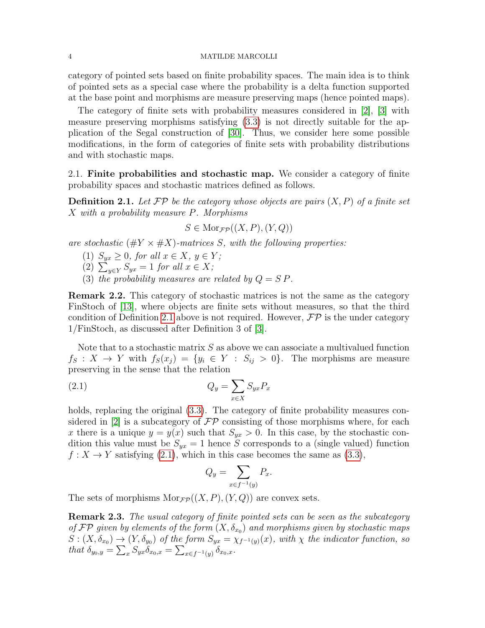category of pointed sets based on finite probability spaces. The main idea is to think of pointed sets as a special case where the probability is a delta function supported at the base point and morphisms are measure preserving maps (hence pointed maps).

The category of finite sets with probability measures considered in [\[2\]](#page-45-4), [\[3\]](#page-45-11) with measure preserving morphisms satisfying [\(3.3\)](#page-11-0) is not directly suitable for the application of the Segal construction of [\[30\]](#page-45-1). Thus, we consider here some possible modifications, in the form of categories of finite sets with probability distributions and with stochastic maps.

2.1. Finite probabilities and stochastic map. We consider a category of finite probability spaces and stochastic matrices defined as follows.

<span id="page-3-0"></span>**Definition 2.1.** Let  $\mathcal{FP}$  be the category whose objects are pairs  $(X, P)$  of a finite set X with a probability measure P. Morphisms

$$
S \in \operatorname{Mor}_{\mathcal{FP}}((X, P), (Y, Q))
$$

are stochastic  $(\#Y \times \#X)$ -matrices S, with the following properties:

(1)  $S_{yx} \geq 0$ , for all  $x \in X$ ,  $y \in Y$ ;

(2)  $\sum_{y \in Y} S_{yx} = 1$  for all  $x \in X$ ;

(3) the probability measures are related by  $Q = SP$ .

Remark 2.2. This category of stochastic matrices is not the same as the category FinStoch of [\[13\]](#page-45-12), where objects are finite sets without measures, so that the third condition of Definition [2.1](#page-3-0) above is not required. However,  $\mathcal{FP}$  is the under category 1/FinStoch, as discussed after Definition 3 of [\[3\]](#page-45-11).

Note that to a stochastic matrix S as above we can associate a multivalued function  $f_S: X \to Y$  with  $f_S(x_j) = \{y_i \in Y : S_{ij} > 0\}$ . The morphisms are measure preserving in the sense that the relation

$$
(2.1) \t Q_y = \sum_{x \in X} S_{yx} P_x
$$

holds, replacing the original  $(3.3)$ . The category of finite probability measures con-sidered in [\[2\]](#page-45-4) is a subcategory of  $\mathcal{FP}$  consisting of those morphisms where, for each x there is a unique  $y = y(x)$  such that  $S_{yx} > 0$ . In this case, by the stochastic condition this value must be  $S_{yx} = 1$  hence S corresponds to a (single valued) function  $f: X \to Y$  satisfying [\(2.1\)](#page-3-1), which in this case becomes the same as [\(3.3\)](#page-11-0),

<span id="page-3-1"></span>
$$
Q_y = \sum_{x \in f^{-1}(y)} P_x.
$$

The sets of morphisms  $Mor_{\mathcal{F}P}((X, P), (Y, Q))$  are convex sets.

**Remark 2.3.** The usual category of finite pointed sets can be seen as the subcategory of FP given by elements of the form  $(X, \delta_{x_0})$  and morphisms given by stochastic maps  $S:(X,\delta_{x_0})\to(Y,\delta_{y_0})$  of the form  $S_{yx}=\chi_{f^{-1}(y)}(x)$ , with  $\chi$  the indicator function, so that  $\delta_{y_0,y} = \sum_{x} S_{yx} \delta_{x_0,x} = \sum_{x \in f^{-1}(y)} \delta_{x_0,x}.$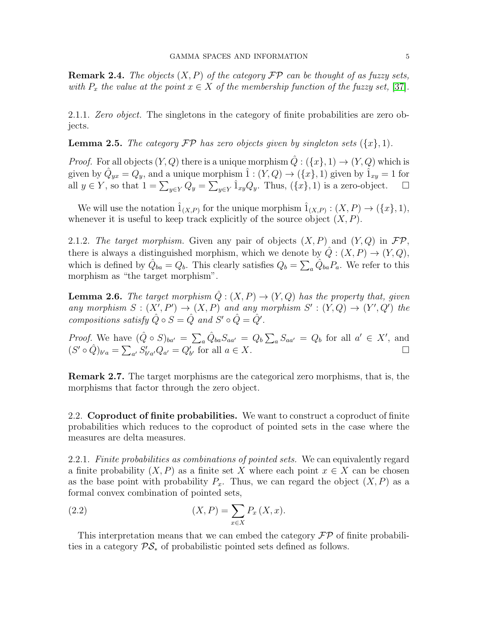**Remark 2.4.** The objects  $(X, P)$  of the category  $\mathcal{FP}$  can be thought of as fuzzy sets, with  $P_x$  the value at the point  $x \in X$  of the membership function of the fuzzy set, [\[37\]](#page-46-2).

2.1.1. Zero object. The singletons in the category of finite probabilities are zero objects.

**Lemma 2.5.** The category  $\mathcal{FP}$  has zero objects given by singleton sets  $({x}, 1)$ .

*Proof.* For all objects  $(Y, Q)$  there is a unique morphism  $\hat{Q}: (\{x\}, 1) \to (Y, Q)$  which is given by  $\hat{Q}_{yx} = Q_y$ , and a unique morphism  $\hat{1} : (Y, Q) \to (\{x\}, 1)$  given by  $\hat{1}_{xy} = 1$  for all  $y \in Y$ , so that  $1 = \sum_{y \in Y} Q_y = \sum_{y \in Y} \hat{1}_{xy} Q_y$ . Thus,  $(\{x\}, 1)$  is a zero-object.  $\Box$ 

We will use the notation  $\hat{1}_{(X,P)}$  for the unique morphism  $\hat{1}_{(X,P)} : (X,P) \to (\{x\},1),$ whenever it is useful to keep track explicitly of the source object  $(X, P)$ .

2.1.2. The target morphism. Given any pair of objects  $(X, P)$  and  $(Y, Q)$  in  $\mathcal{FP}$ , there is always a distinguished morphism, which we denote by  $\hat{Q}: (X, P) \to (Y, Q)$ , which is defined by  $\hat{Q}_{ba} = Q_b$ . This clearly satisfies  $Q_b = \sum_a \hat{Q}_{ba} P_a$ . We refer to this morphism as "the target morphism".

**Lemma 2.6.** The target morphism  $\hat{Q}: (X, P) \to (Y, Q)$  has the property that, given any morphism  $S: (X', P') \to (X, P)$  and any morphism  $S': (Y, Q) \to (Y', Q')$  the compositions satisfy  $\hat{Q} \circ S = \hat{Q}$  and  $S' \circ \hat{Q} = \hat{Q}'$ .

*Proof.* We have  $(\hat{Q} \circ S)_{ba'} = \sum_a \hat{Q}_{ba} S_{aa'} = Q_b \sum_a S_{aa'} = Q_b$  for all  $a' \in X'$ , and  $(S' \circ \hat{Q})_{b'a} = \sum_{a'} S'_{b'a'} Q_{a'} = Q'_{b'}$  for all  $a \in X$ .

Remark 2.7. The target morphisms are the categorical zero morphisms, that is, the morphisms that factor through the zero object.

2.2. Coproduct of finite probabilities. We want to construct a coproduct of finite probabilities which reduces to the coproduct of pointed sets in the case where the measures are delta measures.

2.2.1. Finite probabilities as combinations of pointed sets. We can equivalently regard a finite probability  $(X, P)$  as a finite set X where each point  $x \in X$  can be chosen as the base point with probability  $P_x$ . Thus, we can regard the object  $(X, P)$  as a formal convex combination of pointed sets,

<span id="page-4-0"></span>(2.2) 
$$
(X, P) = \sum_{x \in X} P_x(X, x).
$$

This interpretation means that we can embed the category  $\mathcal{FP}$  of finite probabilities in a category  $\mathcal{PS}_*$  of probabilistic pointed sets defined as follows.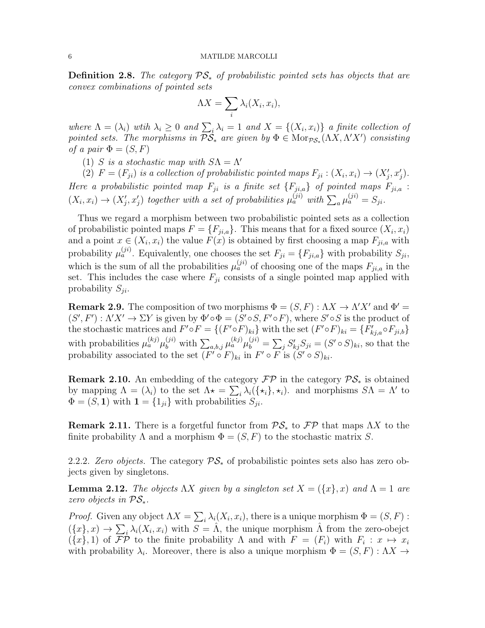**Definition 2.8.** The category  $\mathcal{PS}_*$  of probabilistic pointed sets has objects that are convex combinations of pointed sets

$$
\Lambda X = \sum_{i} \lambda_i(X_i, x_i),
$$

where  $\Lambda = (\lambda_i)$  with  $\lambda_i \geq 0$  and  $\sum_i \lambda_i = 1$  and  $X = \{(X_i, x_i)\}\$ a finite collection of pointed sets. The morphisms in  $\mathcal{P} \check{\mathcal{S}}_*$  are given by  $\Phi \in \text{Mor}_{\mathcal{PS}_*}(\Lambda X, \Lambda' X')$  consisting of a pair  $\Phi = (S, F)$ 

(1) S is a stochastic map with  $S\Lambda = \Lambda'$ 

(2)  $F = (F_{ji})$  is a collection of probabilistic pointed maps  $F_{ji} : (X_i, x_i) \to (X'_j, x'_j)$ . Here a probabilistic pointed map  $F_{ji}$  is a finite set  $\{F_{ji,a}\}\$  of pointed maps  $F_{ji,a}$ :  $(X_i, x_i) \to (X'_j, x'_j)$  together with a set of probabilities  $\mu_a^{(ji)}$  with  $\sum_a \mu_a^{(ji)} = S_{ji}$ .

Thus we regard a morphism between two probabilistic pointed sets as a collection of probabilistic pointed maps  $F = \{F_{ji,a}\}\$ . This means that for a fixed source  $(X_i, x_i)$ and a point  $x \in (X_i, x_i)$  the value  $F(x)$  is obtained by first choosing a map  $F_{ji,a}$  with probability  $\mu_a^{(ji)}$ . Equivalently, one chooses the set  $F_{ji} = \{F_{ji,a}\}\$  with probability  $S_{ji}$ , which is the sum of all the probabilities  $\mu_a^{(ji)}$  of choosing one of the maps  $F_{ji,a}$  in the set. This includes the case where  $F_{ji}$  consists of a single pointed map applied with probability  $S_{ji}$ .

**Remark 2.9.** The composition of two morphisms  $\Phi = (S, F) : \Lambda X \to \Lambda' X'$  and  $\Phi' =$  $(S', F') : \Lambda' X' \to \Sigma Y$  is given by  $\Phi' \circ \Phi = (S' \circ S, F' \circ F)$ , where  $S' \circ S$  is the product of the stochastic matrices and  $F' \circ F = \{(F' \circ F)_{ki}\}\$  with the set  $(F' \circ F)_{ki} = \{F'_{kj,a} \circ F_{ji,b}\}\$ with probabilities  $\mu_a^{(kj)}\mu_b^{(ji)}$  with  $\sum_{a,b,j}\mu_a^{(kj)}\mu_b^{(ji)} = \sum_j S'_{kj}S_{ji} = (S' \circ S)_{ki}$ , so that the probability associated to the set  $(F' \circ F)_{ki}$  in  $F' \circ F$  is  $(S' \circ S)_{ki}$ .

**Remark 2.10.** An embedding of the category  $\mathcal{FP}$  in the category  $\mathcal{PS}_*$  is obtained by mapping  $\Lambda = (\lambda_i)$  to the set  $\Lambda \star = \sum_i \lambda_i (\{\star_i\}, \star_i)$ . and morphisms  $S \Lambda = \Lambda'$  to  $\Phi = (S, 1)$  with  $\mathbf{1} = \{1_{ji}\}$  with probabilities  $S_{ji}$ .

**Remark 2.11.** There is a forgetful functor from  $\mathcal{PS}_*$  to  $\mathcal{FP}$  that maps  $\Lambda X$  to the finite probability  $\Lambda$  and a morphism  $\Phi = (S, F)$  to the stochastic matrix S.

2.2.2. Zero objects. The category  $\mathcal{PS}_*$  of probabilistic pointes sets also has zero objects given by singletons.

<span id="page-5-0"></span>**Lemma 2.12.** The objects  $\Lambda X$  given by a singleton set  $X = (\{x\}, x)$  and  $\Lambda = 1$  are zero objects in  $\mathcal{PS}_*$ .

*Proof.* Given any object  $\Lambda X = \sum_i \lambda_i(X_i, x_i)$ , there is a unique morphism  $\Phi = (S, F)$ :  $(\{x\},x) \to \sum_i \lambda_i(X_i,x_i)$  with  $S = \hat{\Lambda}$ , the unique morphism  $\hat{\Lambda}$  from the zero-obejct  $({x}, 1)$  of  $\mathcal{FP}$  to the finite probability  $\Lambda$  and with  $F = (F_i)$  with  $F_i : x \mapsto x_i$ with probability  $\lambda_i$ . Moreover, there is also a unique morphism  $\Phi = (S, F) : \Lambda X \to$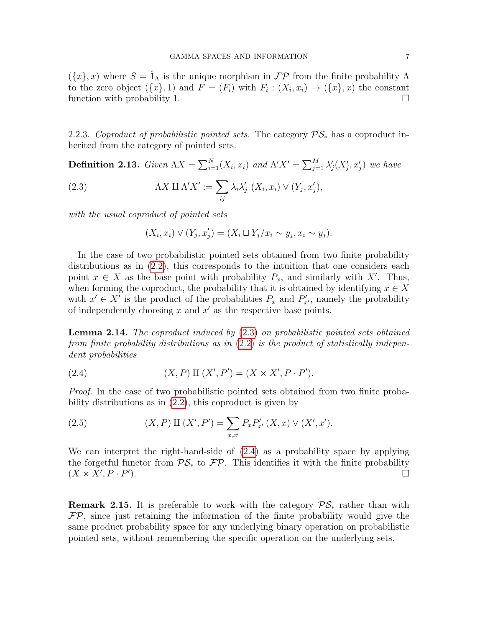$({x}, x)$  where  $S = \hat{1}_{\Lambda}$  is the unique morphism in  $\mathcal{FP}$  from the finite probability  $\Lambda$ to the zero object  $({x}, 1)$  and  $F = (F_i)$  with  $F_i : (X_i, x_i) \to ({x}, x)$  the constant function with probability 1.

2.2.3. Coproduct of probabilistic pointed sets. The category  $\mathcal{PS}_*$  has a coproduct inherited from the category of pointed sets.

<span id="page-6-2"></span>**Definition 2.13.** Given  $\Lambda X = \sum_{i=1}^N (X_i, x_i)$  and  $\Lambda' X' = \sum_{j=1}^M \lambda'_j (X'_j, x'_j)$  we have

(2.3) 
$$
\Lambda X \amalg \Lambda' X' := \sum_{ij} \lambda_i \lambda'_j \ (X_i, x_i) \vee (Y_j, x'_j),
$$

with the usual coproduct of pointed sets

<span id="page-6-0"></span>
$$
(X_i, x_i) \vee (Y_j, x'_j) = (X_i \sqcup Y_j / x_i \sim y_j, x_i \sim y_j).
$$

In the case of two probabilistic pointed sets obtained from two finite probability distributions as in [\(2.2\)](#page-4-0), this corresponds to the intuition that one considers each point  $x \in X$  as the base point with probability  $P_x$ , and similarly with X'. Thus, when forming the coproduct, the probability that it is obtained by identifying  $x \in X$ with  $x' \in X'$  is the product of the probabilities  $P_x$  and  $P'_{x'}$ , namely the probability of independently choosing  $x$  and  $x'$  as the respective base points.

**Lemma 2.14.** The coproduct induced by  $(2.3)$  on probabilistic pointed sets obtained from finite probability distributions as in  $(2.2)$  is the product of statistically independent probabilities

<span id="page-6-1"></span>(2.4) 
$$
(X, P) \amalg (X', P') = (X \times X', P \cdot P').
$$

Proof. In the case of two probabilistic pointed sets obtained from two finite probability distributions as in [\(2.2\)](#page-4-0), this coproduct is given by

(2.5) 
$$
(X, P) \amalg (X', P') = \sum_{x, x'} P_x P'_{x'} (X, x) \vee (X', x').
$$

We can interpret the right-hand-side of [\(2.4\)](#page-6-1) as a probability space by applying the forgetful functor from  $\mathcal{PS}_*$  to  $\mathcal{FP}$ . This identifies it with the finite probability  $(X \times X', P \cdot P')$ ).  $\Box$ 

**Remark 2.15.** It is preferable to work with the category  $\mathcal{PS}_*$  rather than with  $\mathcal{FP}$ , since just retaining the information of the finite probability would give the same product probability space for any underlying binary operation on probabilistic pointed sets, without remembering the specific operation on the underlying sets.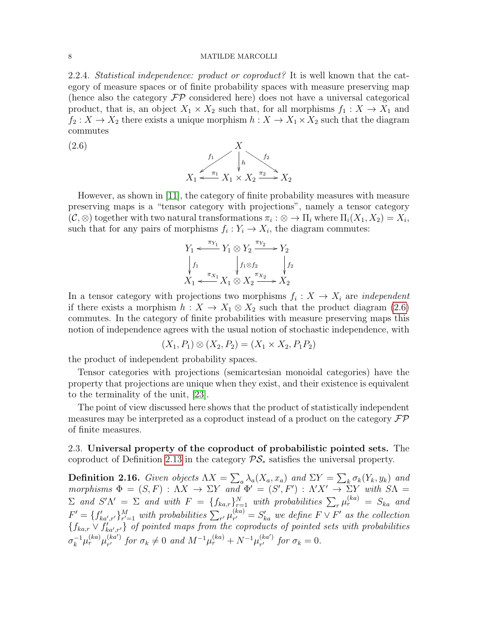<span id="page-7-2"></span>2.2.4. Statistical independence: product or coproduct? It is well known that the category of measure spaces or of finite probability spaces with measure preserving map (hence also the category  $\mathcal{FP}$  considered here) does not have a universal categorical product, that is, an object  $X_1 \times X_2$  such that, for all morphisms  $f_1 : X \to X_1$  and  $f_2: X \to X_2$  there exists a unique morphism  $h: X \to X_1 \times X_2$  such that the diagram commutes

(2.6) 
$$
X_1 \xrightarrow{f_1} \begin{matrix} X \\ h \\ h \end{matrix} \xrightarrow{f_2} X_2 \xrightarrow{\pi_2} X_2
$$

However, as shown in [\[11\]](#page-45-13), the category of finite probability measures with measure preserving maps is a "tensor category with projections", namely a tensor category  $(\mathcal{C}, \otimes)$  together with two natural transformations  $\pi_i : \otimes \to \Pi_i$  where  $\Pi_i(X_1, X_2) = X_i$ , such that for any pairs of morphisms  $f_i: Y_i \to X_i$ , the diagram commutes:

<span id="page-7-0"></span>
$$
Y_1 \xleftarrow{\pi_{Y_1}} Y_1 \otimes Y_2 \xrightarrow{\pi_{Y_2}} Y_2
$$
\n
$$
\downarrow f_1
$$
\n
$$
X_1 \xleftarrow{\pi_{X_1}} X_1 \otimes X_2 \xrightarrow{\pi_{X_2}} X_2
$$

In a tensor category with projections two morphisms  $f_i: X \to X_i$  are *independent* if there exists a morphism  $h: X \to X_1 \otimes X_2$  such that the product diagram [\(2.6\)](#page-7-0) commutes. In the category of finite probabilities with measure preserving maps this notion of independence agrees with the usual notion of stochastic independence, with

$$
(X_1, P_1) \otimes (X_2, P_2) = (X_1 \times X_2, P_1 P_2)
$$

the product of independent probability spaces.

Tensor categories with projections (semicartesian monoidal categories) have the property that projections are unique when they exist, and their existence is equivalent to the terminality of the unit, [\[23\]](#page-45-14).

The point of view discussed here shows that the product of statistically independent measures may be interpreted as a coproduct instead of a product on the category  $\mathcal{FP}$ of finite measures.

2.3. Universal property of the coproduct of probabilistic pointed sets. The coproduct of Definition [2.13](#page-6-2) in the category  $\mathcal{PS}_*$  satisfies the universal property.

<span id="page-7-1"></span>**Definition 2.16.** Given objects  $\Lambda X = \sum_a \lambda_a (X_a, x_a)$  and  $\Sigma Y = \sum_k \sigma_k (Y_k, y_k)$  and morphisms  $\Phi = (S, F) : \Lambda X \to \Sigma Y$  and  $\Phi' = (S', F') : \Lambda' X' \to \Sigma Y$  with  $S \Lambda =$  $\Sigma$  and  $S'\Lambda' = \Sigma$  and with  $F = \{f_{ka,r}\}_{r=1}^N$  with probabilities  $\sum_{r} \mu_r^{(ka)} = S_{ka}$  and  $F' = \{f'_{ka',r'}\}_{r'=1}^M$  with probabilities  $\sum_{r'} \mu_{r'}^{(ka)}$  $S_{r'}^{(ka)} = S_{ka}'$  we define  $F \vee F'$  as the collection  $\{f_{ka,r} \vee f'_{ka',r'}\}$  of pointed maps from the coproducts of pointed sets with probabilities  $\sigma_k^{-1}\mu_r^{(ka)}\mu_{r'}^{(ka')}$  $_{r'}^{(ka')}$  for  $\sigma_k \neq 0$  and  $M^{-1}\mu_r^{(ka)} + N^{-1}\mu_{r'}^{(ka')}$  $\int_{r'}^{(\kappa a')}$  for  $\sigma_k = 0$ .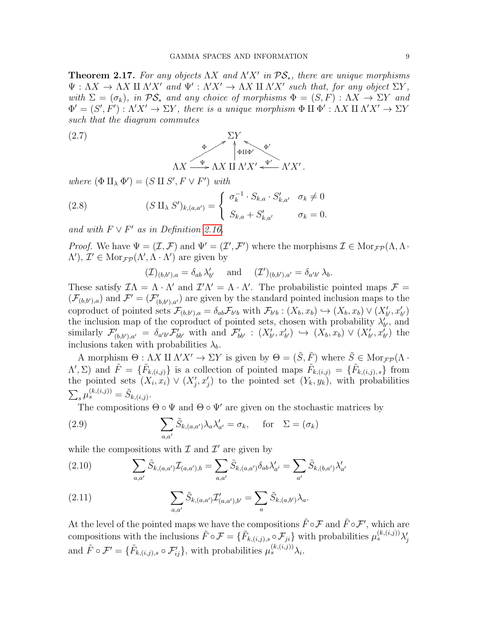<span id="page-8-1"></span>**Theorem 2.17.** For any objects  $\Lambda X$  and  $\Lambda' X'$  in  $\mathcal{PS}_{*}$ , there are unique morphisms  $\Psi : \Lambda X \to \Lambda X \amalg \Lambda' X'$  and  $\Psi' : \Lambda' X' \to \Lambda X \amalg \Lambda' X'$  such that, for any object  $\Sigma Y$ , with  $\Sigma = (\sigma_k)$ , in  $\mathcal{PS}_*$  and any choice of morphisms  $\Phi = (S, F) : \Lambda X \to \Sigma Y$  and  $\Phi' = (S', F') : \Lambda' X' \to \Sigma Y$ , there is a unique morphism  $\Phi \amalg \Phi' : \Lambda X \amalg \Lambda' X' \to \Sigma Y$ such that the diagram commutes

(2.7) 
$$
\Delta X \xrightarrow{\Phi} \Delta X \amalg \Lambda' X' \xleftarrow{\Psi'} \Lambda' X'.
$$

where  $(\Phi \amalg_{\lambda} \Phi') = (S \amalg S', F \vee F')$  with

(2.8) 
$$
(S \amalg_{\lambda} S')_{k,(a,a')} = \begin{cases} \sigma_k^{-1} \cdot S_{k,a} \cdot S'_{k,a'} & \sigma_k \neq 0 \\ S_{k,a} + S'_{k,a'} & \sigma_k = 0. \end{cases}
$$

and with  $F \vee F'$  as in Definition [2.16.](#page-7-1)

*Proof.* We have  $\Psi = (\mathcal{I}, \mathcal{F})$  and  $\Psi' = (\mathcal{I}', \mathcal{F}')$  where the morphisms  $\mathcal{I} \in \text{Mor}_{\mathcal{F}}(\Lambda, \Lambda)$ .  $\Lambda'$ ,  $\mathcal{I}' \in \text{Mor}_{\mathcal{FP}}(\Lambda', \Lambda \cdot \Lambda')$  are given by

$$
(\mathcal{I})_{(b,b'),a} = \delta_{ab} \lambda'_{b'} \quad \text{ and } \quad (\mathcal{I}')_{(b,b'),a'} = \delta_{a'b'} \lambda_{b}.
$$

These satisfy  $\mathcal{I}\Lambda = \Lambda \cdot \Lambda'$  and  $\mathcal{I}'\Lambda' = \Lambda \cdot \Lambda'$ . The probabilistic pointed maps  $\mathcal{F} =$  $(\mathcal{F}_{(b,b'),a})$  and  $\mathcal{F}' = (\mathcal{F}'_{(b,b'),a'})$  are given by the standard pointed inclusion maps to the coproduct of pointed sets  $\mathcal{F}_{(b,b'),a} = \delta_{ab} \mathcal{F}_{b'b}$  with  $\mathcal{F}_{b'b} : (X_b, x_b) \hookrightarrow (X_b, x_b) \vee (X'_{b'}, x'_{b'})$ the inclusion map of the coproduct of pointed sets, chosen with probability  $\lambda'_{b'}$ , and similarly  $\mathcal{F}'_{(b,b'),a'} = \delta_{a'b'} \mathcal{F}'_{bb'}$  with and  $\mathcal{F}'_{bb'} : (X'_{b'}, x'_{b'}) \hookrightarrow (X_b, x_b) \vee (X'_{b'}, x'_{b'})$  the inclusions taken with probabilities  $\lambda_b$ .

A morphism  $\Theta: \Lambda X \amalg \Lambda' X' \to \Sigma Y$  is given by  $\Theta = (\tilde{S}, \tilde{F})$  where  $\tilde{S} \in \text{Mor}_{\mathcal{FP}}(\Lambda \cdot$  $(\Lambda', \Sigma)$  and  $\tilde{F} = {\{\tilde{F}_{k,(i,j)}\}}$  is a collection of pointed maps  $\tilde{F}_{k,(i,j)} = {\{\tilde{F}_{k,(i,j),s}\}}$  from the pointed sets  $(X_i, x_i) \vee (X'_j, x'_j)$  to the pointed set  $(Y_k, y_k)$ , with probabilities  $\sum_{s} \mu_s^{(k,(i,j))} = \tilde{S}_{k,(i,j)}.$ 

<span id="page-8-0"></span>The compositions  $\Theta \circ \Psi$  and  $\Theta \circ \Psi'$  are given on the stochastic matrices by

(2.9) 
$$
\sum_{a,a'} \tilde{S}_{k,(a,a')} \lambda_a \lambda'_{a'} = \sigma_k, \quad \text{for} \quad \Sigma = (\sigma_k)
$$

while the compositions with  $\mathcal I$  and  $\mathcal I'$  are given by

(2.10) 
$$
\sum_{a,a'} \tilde{S}_{k,(a,a')} \mathcal{I}_{(a,a'),b} = \sum_{a,a'} \tilde{S}_{k,(a,a')} \delta_{ab} \lambda'_{a'} = \sum_{a'} \tilde{S}_{k,(b,a')} \lambda'_{a'}
$$

(2.11) 
$$
\sum_{a,a'} \tilde{S}_{k,(a,a')} \mathcal{I}'_{(a,a'),b'} = \sum_a \tilde{S}_{k,(a,b')} \lambda_a.
$$

At the level of the pointed maps we have the compositions  $\tilde{F} \circ \mathcal{F}$  and  $\tilde{F} \circ \mathcal{F}'$ , which are compositions with the inclusions  $\tilde{F} \circ \mathcal{F} = \{\tilde{F}_{k,(i,j),s} \circ \mathcal{F}_{ji}\}\$  with probabilities  $\mu_s^{(k,(i,j))}\lambda_j'$ and  $\tilde{F} \circ \mathcal{F}' = {\{\tilde{F}_{k,(i,j),s} \circ \mathcal{F}'_{ij}\}}$ , with probabilities  $\mu_s^{(k,(i,j))} \lambda_i$ .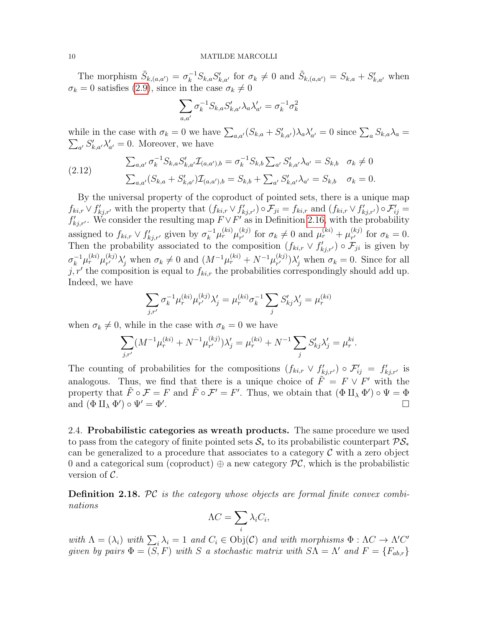The morphism  $\tilde{S}_{k,(a,a')} = \sigma_k^{-1} S_{k,a} S'_{k,a'}$  for  $\sigma_k \neq 0$  and  $\tilde{S}_{k,(a,a')} = S_{k,a} + S'_{k,a'}$  when  $\sigma_k = 0$  satisfies [\(2.9\)](#page-8-0), since in the case  $\sigma_k \neq 0$ 

$$
\sum_{a,a'}\sigma_k^{-1}S_{k,a}S_{k,a'}'\lambda_a\lambda_{a'}'=\sigma_k^{-1}\sigma_k^2
$$

while in the case with  $\sigma_k = 0$  we have  $\sum_{a,a'} (S_{k,a} + S'_{k,a'}) \lambda_a \lambda'_{a'} = 0$  since  $\sum_a S_{k,a} \lambda_a = \sum_{a'} S'_{k,a'} \lambda'_{a'} = 0$ . Moreover, we have  $_{a'} S'_{k,a'} \lambda'_{a'} = 0$ . Moreover, we have

$$
(2.12) \qquad \sum_{a,a'} \sigma_k^{-1} S_{k,a} S'_{k,a'} \mathcal{I}_{(a,a'),b} = \sigma_k^{-1} S_{k,b} \sum_{a'} S'_{k,a'} \lambda_{a'} = S_{k,b} \quad \sigma_k \neq 0
$$
\n
$$
\sum_{a,a'} (S_{k,a} + S'_{k,a'}) \mathcal{I}_{(a,a'),b} = S_{k,b} + \sum_{a'} S'_{k,a'} \lambda_{a'} = S_{k,b} \quad \sigma_k = 0.
$$

By the universal property of the coproduct of pointed sets, there is a unique map  $f_{ki,r} \vee f'_{kj,r'}$  with the property that  $(f_{ki,r} \vee f'_{kj,r'}) \circ \mathcal{F}_{ji} = f_{ki,r}$  and  $(f_{ki,r} \vee f'_{kj,r'}) \circ \mathcal{F}'_{ij} =$  $f'_{kj,r'}$ . We consider the resulting map  $F \vee F'$  as in Definition [2.16,](#page-7-1) with the probability assigned to  $f_{ki,r} \vee f'_{kj,r'}$  given by  $\sigma_k^{-1} \mu_r^{(ki)} \mu_{r'}^{(kj)}$  $v_r^{(kj)}$  for  $\sigma_k \neq 0$  and  $\mu_r^{(ki)} + \mu_{r'}^{(kj)}$  $\int_{r'}^{(\kappa j)}$  for  $\sigma_k = 0$ . Then the probability associated to the composition  $(f_{ki,r} \vee f'_{kj,r'}) \circ \mathcal{F}_{ji}$  is given by  $\sigma_k^{-1}\mu_r^{(ki)}\mu_{r'}^{(kj)}$  $\chi_{r'}^{(kj)}\lambda'_j$  when  $\sigma_k\neq 0$  and  $(M^{-1}\mu_r^{(ki)}+N^{-1}\mu_{r'}^{(kj)})$  $(\kappa_j^{(kj)})\lambda'_j$  when  $\sigma_k = 0$ . Since for all j, r' the composition is equal to  $f_{ki,r}$  the probabilities correspondingly should add up. Indeed, we have

$$
\sum_{j,r'} \sigma_k^{-1} \mu_r^{(ki)} \mu_{r'}^{(kj)} \lambda'_j = \mu_r^{(ki)} \sigma_k^{-1} \sum_j S'_{kj} \lambda'_j = \mu_r^{(ki)}
$$

when  $\sigma_k \neq 0$ , while in the case with  $\sigma_k = 0$  we have

$$
\sum_{j,r'} (M^{-1} \mu_r^{(ki)} + N^{-1} \mu_{r'}^{(kj)}) \lambda'_j = \mu_r^{(ki)} + N^{-1} \sum_j S'_{kj} \lambda'_j = \mu_r^{ki}.
$$

The counting of probabilities for the compositions  $(f_{ki,r} \vee f'_{kj,r'}) \circ \mathcal{F}'_{ij} = f'_{kj,r'}$  is analogous. Thus, we find that there is a unique choice of  $\tilde{F} = F \vee F'$  with the property that  $\tilde{F} \circ \mathcal{F} = F$  and  $\tilde{F} \circ \mathcal{F}' = F'$ . Thus, we obtain that  $(\Phi \amalg_{\lambda} \Phi') \circ \Psi = \Phi$ and  $(\Phi \amalg_{\lambda} \Phi') \circ \Psi' = \Phi'$ .

2.4. Probabilistic categories as wreath products. The same procedure we used to pass from the category of finite pointed sets  $\mathcal{S}_*$  to its probabilistic counterpart  $\mathcal{PS}_*$ can be generalized to a procedure that associates to a category  $\mathcal C$  with a zero object 0 and a categorical sum (coproduct)  $\oplus$  a new category  $\mathcal{PC}$ , which is the probabilistic version of  $\mathcal{C}$ .

<span id="page-9-0"></span>**Definition 2.18.** PC is the category whose objects are formal finite convex combinations

$$
\Lambda C = \sum_{i} \lambda_i C_i,
$$

with  $\Lambda = (\lambda_i)$  with  $\sum_i \lambda_i = 1$  and  $C_i \in Obj(\mathcal{C})$  and with morphisms  $\Phi : \Lambda C \to \Lambda C'$ given by pairs  $\Phi = (S, F)$  with S a stochastic matrix with  $S\Lambda = \Lambda'$  and  $F = \{F_{ab,r}\}$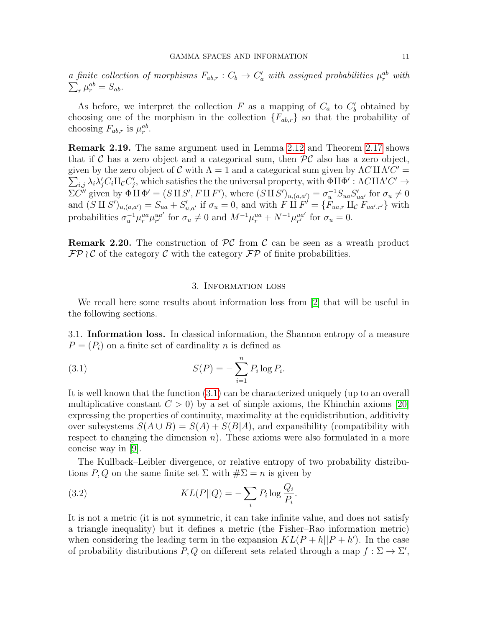a finite collection of morphisms  $F_{ab,r}: C_b \to C'_a$  with assigned probabilities  $\mu_r^{ab}$  with  $\sum_r \mu_r^{ab} = S_{ab}$ .  $_{r}\mu_{r}^{ab}=S_{ab}.$ 

As before, we interpret the collection  $F$  as a mapping of  $C_a$  to  $C'_b$  obtained by choosing one of the morphism in the collection  ${F_{ab,r}}$  so that the probability of choosing  $F_{ab,r}$  is  $\mu_r^{ab}$ .

Remark 2.19. The same argument used in Lemma [2.12](#page-5-0) and Theorem [2.17](#page-8-1) shows that if C has a zero object and a categorical sum, then  $\mathcal{PC}$  also has a zero object, given by the zero object of C with  $\Lambda = 1$  and a categorical sum given by  $\Lambda C \amalg \Lambda C' =$  $\sum_{i,j} \lambda_i \lambda'_j C_i \amalg_{\mathcal{C}} C'_j$ , which satisfies the the universal property, with  $\Phi \amalg \Phi' : \Lambda C \amalg \Lambda' C' \to$  $\Sigma \tilde{C}''$  given by  $\Phi \amalg \Phi' = (S \amalg S', F \amalg F')$ , where  $(S \amalg S')_{u,(a,a')} = \sigma_u^{-1} S_{ua} S'_{ua'}$  for  $\sigma_u \neq 0$ and  $(S \amalg S')_{u,(a,a')} = S_{ua} + S'_{u,a'}$  if  $\sigma_u = 0$ , and with  $F \amalg F' = \{F_{ua,r} \amalg_{\mathcal{C}} F_{ua',r'}\}$  with probabilities  $\sigma_u^{-1} \mu_r^{ua} \mu_{r'}^{ua'}$  for  $\sigma_u \neq 0$  and  $M^{-1} \mu_r^{ua} + N^{-1} \mu_{r'}^{ua'}$  for  $\sigma_u = 0$ .

**Remark 2.20.** The construction of  $PC$  from C can be seen as a wreath product  $\mathcal{FP} \wr \mathcal{C}$  of the category  $\mathcal{C}$  with the category  $\mathcal{FP}$  of finite probabilities.

## <span id="page-10-1"></span>3. Information loss

<span id="page-10-0"></span>We recall here some results about information loss from [\[2\]](#page-45-4) that will be useful in the following sections.

<span id="page-10-2"></span>3.1. Information loss. In classical information, the Shannon entropy of a measure  $P = (P_i)$  on a finite set of cardinality n is defined as

(3.1) 
$$
S(P) = -\sum_{i=1}^{n} P_i \log P_i.
$$

It is well known that the function [\(3.1\)](#page-10-1) can be characterized uniquely (up to an overall multiplicative constant  $C > 0$ ) by a set of simple axioms, the Khinchin axioms [\[20\]](#page-45-15) expressing the properties of continuity, maximality at the equidistribution, additivity over subsystems  $S(A \cup B) = S(A) + S(B|A)$ , and expansibility (compatibility with respect to changing the dimension  $n$ ). These axioms were also formulated in a more concise way in [\[9\]](#page-45-16).

The Kullback–Leibler divergence, or relative entropy of two probability distributions P, Q on the same finite set  $\Sigma$  with  $\#\Sigma = n$  is given by

(3.2) 
$$
KL(P||Q) = -\sum_{i} P_i \log \frac{Q_i}{P_i}.
$$

It is not a metric (it is not symmetric, it can take infinite value, and does not satisfy a triangle inequality) but it defines a metric (the Fisher–Rao information metric) when considering the leading term in the expansion  $KL(P + h||P + h')$ . In the case of probability distributions P, Q on different sets related through a map  $f : \Sigma \to \Sigma'$ ,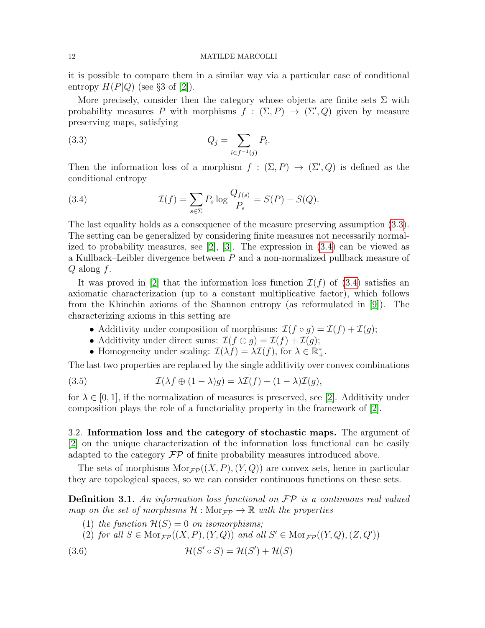it is possible to compare them in a similar way via a particular case of conditional entropy  $H(P|Q)$  (see §3 of [\[2\]](#page-45-4)).

More precisely, consider then the category whose objects are finite sets  $\Sigma$  with probability measures P with morphisms  $f : (\Sigma, P) \to (\Sigma', Q)$  given by measure preserving maps, satisfying

<span id="page-11-0"></span>(3.3) 
$$
Q_j = \sum_{i \in f^{-1}(j)} P_i.
$$

Then the information loss of a morphism  $f : (\Sigma, P) \to (\Sigma', Q)$  is defined as the conditional entropy

(3.4) 
$$
\mathcal{I}(f) = \sum_{s \in \Sigma} P_s \log \frac{Q_{f(s)}}{P_s} = S(P) - S(Q).
$$

The last equality holds as a consequence of the measure preserving assumption [\(3.3\)](#page-11-0). The setting can be generalized by considering finite measures not necessarily normalized to probability measures, see [\[2\]](#page-45-4), [\[3\]](#page-45-11). The expression in [\(3.4\)](#page-13-0) can be viewed as a Kullback–Leibler divergence between P and a non-normalized pullback measure of  $Q$  along  $f$ .

It was proved in [\[2\]](#page-45-4) that the information loss function  $\mathcal{I}(f)$  of [\(3.4\)](#page-13-0) satisfies an axiomatic characterization (up to a constant multiplicative factor), which follows from the Khinchin axioms of the Shannon entropy (as reformulated in [\[9\]](#page-45-16)). The characterizing axioms in this setting are

- Additivity under composition of morphisms:  $\mathcal{I}(f \circ g) = \mathcal{I}(f) + \mathcal{I}(g)$ ;
- Additivity under direct sums:  $\mathcal{I}(f \oplus g) = \mathcal{I}(f) + \mathcal{I}(g);$
- Homogeneity under scaling:  $\mathcal{I}(\lambda f) = \lambda \mathcal{I}(f)$ , for  $\lambda \in \mathbb{R}_+^*$ .

The last two properties are replaced by the single additivity over convex combinations

(3.5) 
$$
\mathcal{I}(\lambda f \oplus (1-\lambda)g) = \lambda \mathcal{I}(f) + (1-\lambda)\mathcal{I}(g),
$$

for  $\lambda \in [0, 1]$ , if the normalization of measures is preserved, see [\[2\]](#page-45-4). Additivity under composition plays the role of a functoriality property in the framework of [\[2\]](#page-45-4).

3.2. Information loss and the category of stochastic maps. The argument of [\[2\]](#page-45-4) on the unique characterization of the information loss functional can be easily adapted to the category  $\mathcal{FP}$  of finite probability measures introduced above.

The sets of morphisms  $Mor_{\mathcal{F}P}((X, P), (Y, Q))$  are convex sets, hence in particular they are topological spaces, so we can consider continuous functions on these sets.

<span id="page-11-1"></span>**Definition 3.1.** An information loss functional on  $\mathcal{FP}$  is a continuous real valued map on the set of morphisms  $\mathcal{H}: \text{Mor}_{\mathcal{FP}} \to \mathbb{R}$  with the properties

- (1) the function  $\mathcal{H}(S) = 0$  on isomorphisms;
- <span id="page-11-2"></span>(2) for all  $S \in \text{Mor}_{\mathcal{FP}}((X, P), (Y, Q))$  and all  $S' \in \text{Mor}_{\mathcal{FP}}((Y, Q), (Z, Q'))$
- (3.6)  $\mathcal{H}(S' \circ S) = \mathcal{H}(S') + \mathcal{H}(S)$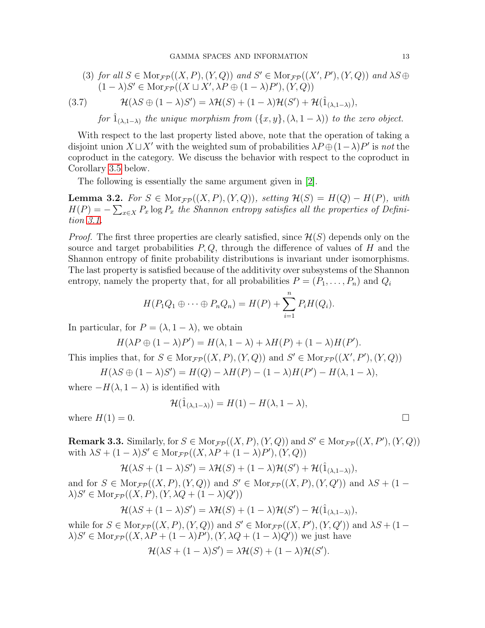(3) for all 
$$
S \in \text{Mor}_{\mathcal{FP}}((X, P), (Y, Q))
$$
 and  $S' \in \text{Mor}_{\mathcal{FP}}((X', P'), (Y, Q))$  and  $\lambda S \oplus (1 - \lambda)S' \in \text{Mor}_{\mathcal{FP}}((X \sqcup X', \lambda P \oplus (1 - \lambda)P'), (Y, Q))$ 

$$
(3.7) \hspace{1cm} \mathcal{H}(\lambda S \oplus (1-\lambda)S') = \lambda \mathcal{H}(S) + (1-\lambda)\mathcal{H}(S') + \mathcal{H}(\hat{1}_{(\lambda,1-\lambda)}),
$$

<span id="page-12-0"></span>for  $\hat{1}_{(\lambda,1-\lambda)}$  the unique morphism from  $(\{x,y\},(\lambda,1-\lambda))$  to the zero object.

With respect to the last property listed above, note that the operation of taking a disjoint union  $X \sqcup X'$  with the weighted sum of probabilities  $\lambda P \oplus (1-\lambda)P'$  is not the coproduct in the category. We discuss the behavior with respect to the coproduct in Corollary [3.5](#page-14-1) below.

The following is essentially the same argument given in [\[2\]](#page-45-4).

**Lemma 3.2.** For  $S \in \text{Mor}_{\mathcal{FP}}((X, P), (Y, Q))$ , setting  $\mathcal{H}(S) = H(Q) - H(P)$ , with  $H(P) = -\sum_{x \in X} P_x \log P_x$  the Shannon entropy satisfies all the properties of Definition [3.1.](#page-11-1)

*Proof.* The first three properties are clearly satisfied, since  $\mathcal{H}(S)$  depends only on the source and target probabilities  $P, Q$ , through the difference of values of H and the Shannon entropy of finite probability distributions is invariant under isomorphisms. The last property is satisfied because of the additivity over subsystems of the Shannon entropy, namely the property that, for all probabilities  $P = (P_1, \ldots, P_n)$  and  $Q_i$ 

$$
H(P_1Q_1 \oplus \cdots \oplus P_nQ_n) = H(P) + \sum_{i=1}^n P_i H(Q_i).
$$

In particular, for  $P = (\lambda, 1 - \lambda)$ , we obtain

$$
H(\lambda P \oplus (1 - \lambda)P') = H(\lambda, 1 - \lambda) + \lambda H(P) + (1 - \lambda)H(P').
$$

This implies that, for  $S \in \text{Mor}_{\mathcal{FP}}((X, P), (Y, Q))$  and  $S' \in \text{Mor}_{\mathcal{FP}}((X', P'), (Y, Q))$ 

$$
H(\lambda S \oplus (1 - \lambda)S') = H(Q) - \lambda H(P) - (1 - \lambda)H(P') - H(\lambda, 1 - \lambda),
$$

where  $-H(\lambda, 1-\lambda)$  is identified with

$$
\mathcal{H}(\hat{1}_{(\lambda,1-\lambda)}) = H(1) - H(\lambda, 1-\lambda),
$$

where  $H(1) = 0$ .

**Remark 3.3.** Similarly, for  $S \in \text{Mor}_{\mathcal{FP}}((X, P), (Y, Q))$  and  $S' \in \text{Mor}_{\mathcal{FP}}((X, P'), (Y, Q))$ with  $\lambda S + (1 - \lambda)S' \in \text{Mor}_{\mathcal{FP}}((X, \lambda P + (1 - \lambda)P'), (Y, Q))$ 

$$
\mathcal{H}(\lambda S + (1 - \lambda)S') = \lambda \mathcal{H}(S) + (1 - \lambda)\mathcal{H}(S') + \mathcal{H}(\hat{1}_{(\lambda, 1 - \lambda)}),
$$

and for  $S \in \text{Mor}_{\mathcal{FP}}((X, P), (Y, Q))$  and  $S' \in \text{Mor}_{\mathcal{FP}}((X, P), (Y, Q'))$  and  $\lambda S + (1 \lambda)S' \in \text{Mor}_{\mathcal{FP}}((X,P), (Y, \lambda Q + (1-\lambda)Q'))$ 

$$
\mathcal{H}(\lambda S + (1 - \lambda)S') = \lambda \mathcal{H}(S) + (1 - \lambda)\mathcal{H}(S') - \mathcal{H}(\hat{1}_{(\lambda, 1 - \lambda)}),
$$

while for  $S \in \text{Mor}_{\mathcal{FP}}((X, P), (Y, Q))$  and  $S' \in \text{Mor}_{\mathcal{FP}}((X, P'), (Y, Q'))$  and  $\lambda S + (1 \lambda)S' \in \text{Mor}_{\mathcal{FP}}((X, \lambda P + (1 - \lambda)P'), (Y, \lambda Q + (1 - \lambda)Q'))$  we just have

$$
\mathcal{H}(\lambda S + (1 - \lambda)S') = \lambda \mathcal{H}(S) + (1 - \lambda)\mathcal{H}(S').
$$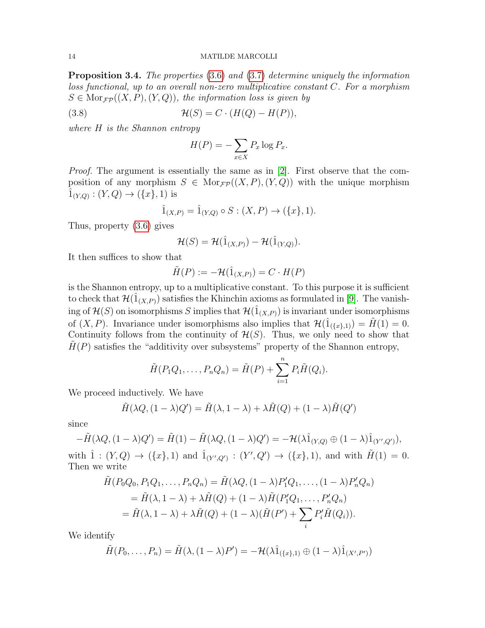<span id="page-13-0"></span>Proposition 3.4. The properties [\(3.6\)](#page-11-2) and [\(3.7\)](#page-12-0) determine uniquely the information loss functional, up to an overall non-zero multiplicative constant C. For a morphism  $S \in \text{Mor}_{\mathcal{FP}}((X, P), (Y, Q))$ , the information loss is given by

$$
(3.8) \t\t\t\mathcal{H}(S) = C \cdot (H(Q) - H(P)),
$$

where H is the Shannon entropy

$$
H(P) = -\sum_{x \in X} P_x \log P_x.
$$

Proof. The argument is essentially the same as in [\[2\]](#page-45-4). First observe that the composition of any morphism  $S \in \text{Mor}_{\mathcal{F}P}((X, P), (Y, Q))$  with the unique morphism  $\hat{1}_{(Y,Q)} : (Y,Q) \to (\{x\},1)$  is

$$
\hat{1}_{(X,P)} = \hat{1}_{(Y,Q)} \circ S : (X,P) \to (\{x\},1).
$$

Thus, property [\(3.6\)](#page-11-2) gives

$$
\mathcal{H}(S) = \mathcal{H}(\hat{1}_{(X,P)}) - \mathcal{H}(\hat{1}_{(Y,Q)}).
$$

It then suffices to show that

$$
\tilde{H}(P) := -\mathcal{H}(\hat{1}_{(X,P)}) = C \cdot H(P)
$$

is the Shannon entropy, up to a multiplicative constant. To this purpose it is sufficient to check that  $\mathcal{H}(1_{(X,P)})$  satisfies the Khinchin axioms as formulated in [\[9\]](#page-45-16). The vanishing of  $\mathcal{H}(S)$  on isomorphisms S implies that  $\mathcal{H}(\hat{1}_{(X,P)})$  is invariant under isomorphisms of  $(X, P)$ . Invariance under isomorphisms also implies that  $\mathcal{H}(\hat{1}_{\{\{x\},1\}}) = \tilde{H}(1) = 0$ . Continuity follows from the continuity of  $\mathcal{H}(S)$ . Thus, we only need to show that  $H(P)$  satisfies the "additivity over subsystems" property of the Shannon entropy,

$$
\tilde{H}(P_1Q_1,\ldots,P_nQ_n)=\tilde{H}(P)+\sum_{i=1}^n P_i\tilde{H}(Q_i).
$$

We proceed inductively. We have

$$
\tilde{H}(\lambda Q, (1 - \lambda)Q') = \tilde{H}(\lambda, 1 - \lambda) + \lambda \tilde{H}(Q) + (1 - \lambda)\tilde{H}(Q')
$$

since

$$
-\tilde{H}(\lambda Q,(1-\lambda)Q')=\tilde{H}(1)-\tilde{H}(\lambda Q,(1-\lambda)Q')=-\mathcal{H}(\lambda\hat{1}_{(Y,Q)}\oplus(1-\lambda)\hat{1}_{(Y',Q')}),
$$

with  $\hat{1} : (Y,Q) \to (\{x\},1)$  and  $\hat{1}_{(Y',Q')} : (Y',Q') \to (\{x\},1)$ , and with  $\tilde{H}(1) = 0$ . Then we write

$$
\tilde{H}(P_0Q_0, P_1Q_1, \dots, P_nQ_n) = \tilde{H}(\lambda Q, (1-\lambda)P'_1Q_1, \dots, (1-\lambda)P'_nQ_n)
$$
  
=  $\tilde{H}(\lambda, 1-\lambda) + \lambda \tilde{H}(Q) + (1-\lambda)\tilde{H}(P'_1Q_1, \dots, P'_nQ_n)$   
=  $\tilde{H}(\lambda, 1-\lambda) + \lambda \tilde{H}(Q) + (1-\lambda)(\tilde{H}(P') + \sum_i P'_i \tilde{H}(Q_i)).$ 

We identify

$$
\tilde{H}(P_0,\ldots,P_n)=\tilde{H}(\lambda,(1-\lambda)P')=-\mathcal{H}(\lambda\hat{1}_{(\{x\},1)}\oplus(1-\lambda)\hat{1}_{(X',P')})
$$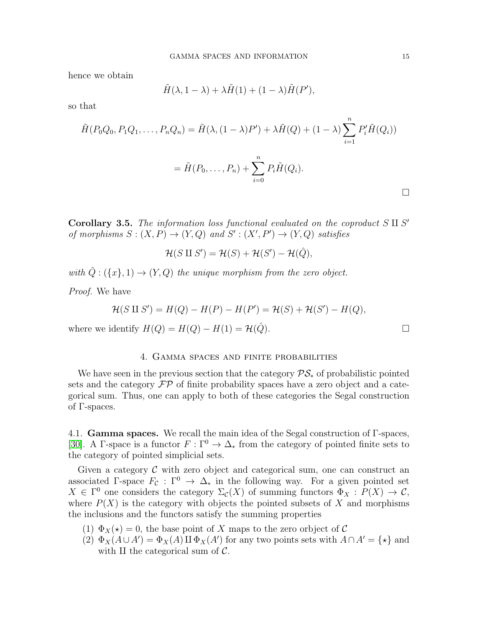hence we obtain

$$
\tilde{H}(\lambda, 1 - \lambda) + \lambda \tilde{H}(1) + (1 - \lambda) \tilde{H}(P'),
$$

so that

$$
\tilde{H}(P_0Q_0, P_1Q_1, \dots, P_nQ_n) = \tilde{H}(\lambda, (1 - \lambda)P') + \lambda \tilde{H}(Q) + (1 - \lambda) \sum_{i=1}^n P'_i \tilde{H}(Q_i))
$$

$$
= \tilde{H}(P_0, \dots, P_n) + \sum_{i=0}^n P_i \tilde{H}(Q_i).
$$

<span id="page-14-1"></span>Corollary 3.5. The information loss functional evaluated on the coproduct  $S \amalg S'$ of morphisms  $S: (X, P) \to (Y, Q)$  and  $S': (X', P') \to (Y, Q)$  satisfies

$$
\mathcal{H}(S \amalg S') = \mathcal{H}(S) + \mathcal{H}(S') - \mathcal{H}(\hat{Q}),
$$

with  $\hat{Q}: (\{x\},1) \rightarrow (Y,Q)$  the unique morphism from the zero object.

Proof. We have

$$
\mathcal{H}(S \amalg S') = H(Q) - H(P) - H(P') = \mathcal{H}(S) + \mathcal{H}(S') - H(Q),
$$

where we identify  $H(Q) = H(Q) - H(1) = H(\hat{Q})$ .

# 4. Gamma spaces and finite probabilities

<span id="page-14-0"></span>We have seen in the previous section that the category  $\mathcal{PS}_*$  of probabilistic pointed sets and the category  $\mathcal{FP}$  of finite probability spaces have a zero object and a categorical sum. Thus, one can apply to both of these categories the Segal construction of Γ-spaces.

4.1. Gamma spaces. We recall the main idea of the Segal construction of Γ-spaces, [\[30\]](#page-45-1). A Γ-space is a functor  $F : \Gamma^0 \to \Delta_*$  from the category of pointed finite sets to the category of pointed simplicial sets.

Given a category  $\mathcal C$  with zero object and categorical sum, one can construct an associated Γ-space  $F_c : \Gamma^0 \to \Delta_*$  in the following way. For a given pointed set  $X \in \Gamma^0$  one considers the category  $\Sigma_c(X)$  of summing functors  $\Phi_X : P(X) \to \mathcal{C}$ , where  $P(X)$  is the category with objects the pointed subsets of X and morphisms the inclusions and the functors satisfy the summing properties

- (1)  $\Phi_X(\star) = 0$ , the base point of X maps to the zero orbject of C
- (2)  $\Phi_X(A \cup A') = \Phi_X(A) \amalg \Phi_X(A')$  for any two points sets with  $A \cap A' = \{ \star \}$  and with  $\rm{II}$  the categorical sum of  $\mathcal{C}$ .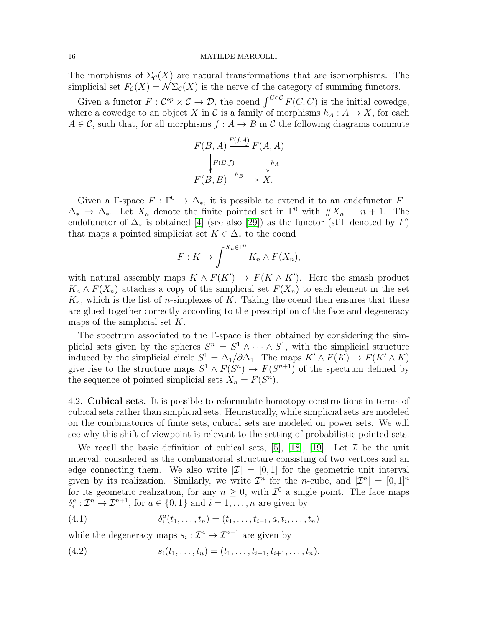The morphisms of  $\Sigma_{\mathcal{C}}(X)$  are natural transformations that are isomorphisms. The simplicial set  $F_c(X) = \mathcal{N}\Sigma_c(X)$  is the nerve of the category of summing functors.

Given a functor  $F: \mathcal{C}^{op} \times \mathcal{C} \to \mathcal{D}$ , the coend  $\int_{\mathcal{C} \in \mathcal{C}} F(C, C)$  is the initial cowedge, where a cowedge to an object X in C is a family of morphisms  $h_A: A \to X$ , for each  $A \in \mathcal{C}$ , such that, for all morphisms  $f : A \to B$  in  $\mathcal{C}$  the following diagrams commute

$$
F(B, A) \xrightarrow{F(f, A)} F(A, A)
$$
  
\n
$$
\downarrow F(B, f) \qquad \qquad \downarrow h_A
$$
  
\n
$$
F(B, B) \xrightarrow{h_B} X.
$$

Given a Γ-space  $F : \Gamma^0 \to \Delta_*$ , it is possible to extend it to an endofunctor F :  $\Delta_* \to \Delta_*$ . Let  $X_n$  denote the finite pointed set in  $\Gamma^0$  with  $\#X_n = n + 1$ . The endofunctor of  $\Delta_*$  is obtained [\[4\]](#page-45-2) (see also [\[29\]](#page-45-17)) as the functor (still denoted by F) that maps a pointed simpliciat set  $K \in \Delta_*$  to the coend

$$
F: K \mapsto \int^{X_n \in \Gamma^0} K_n \wedge F(X_n),
$$

with natural assembly maps  $K \wedge F(K') \rightarrow F(K \wedge K')$ . Here the smash product  $K_n \wedge F(X_n)$  attaches a copy of the simplicial set  $F(X_n)$  to each element in the set  $K_n$ , which is the list of *n*-simplexes of K. Taking the coend then ensures that these are glued together correctly according to the prescription of the face and degeneracy maps of the simplicial set  $K$ .

The spectrum associated to the Γ-space is then obtained by considering the simplicial sets given by the spheres  $S^n = S^1 \wedge \cdots \wedge S^1$ , with the simplicial structure induced by the simplicial circle  $S^1 = \Delta_1/\partial \Delta_1$ . The maps  $K' \wedge F(K) \to F(K' \wedge K)$ give rise to the structure maps  $S^1 \wedge F(S^n) \rightarrow F(S^{n+1})$  of the spectrum defined by the sequence of pointed simplicial sets  $X_n = F(S^n)$ .

4.2. Cubical sets. It is possible to reformulate homotopy constructions in terms of cubical sets rather than simplicial sets. Heuristically, while simplicial sets are modeled on the combinatorics of finite sets, cubical sets are modeled on power sets. We will see why this shift of viewpoint is relevant to the setting of probabilistic pointed sets.

We recall the basic definition of cubical sets, [\[5\]](#page-45-18), [\[18\]](#page-45-19), [\[19\]](#page-45-20). Let  $\mathcal I$  be the unit interval, considered as the combinatorial structure consisting of two vertices and an edge connecting them. We also write  $|\mathcal{I}| = [0, 1]$  for the geometric unit interval given by its realization. Similarly, we write  $\mathcal{I}^n$  for the *n*-cube, and  $|\mathcal{I}^n| = [0,1]^n$ for its geometric realization, for any  $n \geq 0$ , with  $\mathcal{I}^0$  a single point. The face maps  $\delta_i^a: \mathcal{I}^n \to \mathcal{I}^{n+1}$ , for  $a \in \{0,1\}$  and  $i = 1, \ldots, n$  are given by

(4.1) 
$$
\delta_i^a(t_1,\ldots,t_n) = (t_1,\ldots,t_{i-1},a,t_i,\ldots,t_n)
$$

while the degeneracy maps  $s_i : \mathcal{I}^n \to \mathcal{I}^{n-1}$  are given by

(4.2) 
$$
s_i(t_1,\ldots,t_n)=(t_1,\ldots,t_{i-1},t_{i+1},\ldots,t_n).
$$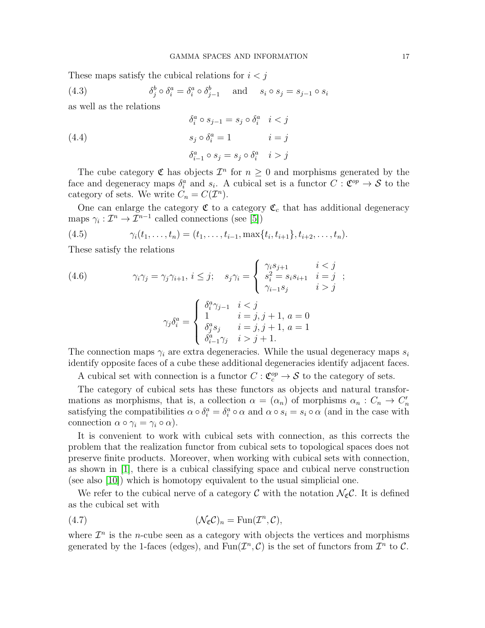These maps satisfy the cubical relations for  $i < j$ 

<span id="page-16-0"></span>(4.3) 
$$
\delta_j^b \circ \delta_i^a = \delta_i^a \circ \delta_{j-1}^b \quad \text{and} \quad s_i \circ s_j = s_{j-1} \circ s_i
$$

as well as the relations

(4.4)  
\n
$$
\delta_i^a \circ s_{j-1} = s_j \circ \delta_i^a \quad i < j
$$
\n
$$
s_j \circ \delta_i^a = 1 \qquad i = j
$$
\n
$$
\delta_{i-1}^a \circ s_j = s_j \circ \delta_i^a \quad i > j
$$

The cube category  $\mathfrak C$  has objects  $\mathcal I^n$  for  $n \geq 0$  and morphisms generated by the face and degeneracy maps  $\delta_i^a$  and  $s_i$ . A cubical set is a functor  $C: \mathfrak{C}^{op} \to \mathcal{S}$  to the category of sets. We write  $C_n = C(\mathcal{I}^n)$ .

One can enlarge the category  $\mathfrak{C}$  to a category  $\mathfrak{C}_c$  that has additional degeneracy maps  $\gamma_i: \mathcal{I}^n \to \mathcal{I}^{n-1}$  called connections (see [\[5\]](#page-45-18))

(4.5) 
$$
\gamma_i(t_1,\ldots,t_n)=(t_1,\ldots,t_{i-1},\max\{t_i,t_{i+1}\},t_{i+2},\ldots,t_n).
$$

These satisfy the relations

<span id="page-16-1"></span>(4.6) 
$$
\gamma_i \gamma_j = \gamma_j \gamma_{i+1}, i \leq j; \quad s_j \gamma_i = \begin{cases} \gamma_i s_{j+1} & i < j \\ s_i^2 = s_i s_{i+1} & i = j \\ \gamma_{i-1} s_j & i > j \end{cases};
$$

$$
\gamma_j \delta_i^a = \begin{cases} \delta_i^a \gamma_{j-1} & i < j \\ 1 & i = j, j + 1, a = 0 \\ \delta_j^a s_j & i = j, j + 1, a = 1 \\ \delta_{i-1}^a \gamma_j & i > j + 1. \end{cases}
$$

The connection maps  $\gamma_i$  are extra degeneracies. While the usual degeneracy maps  $s_i$ identify opposite faces of a cube these additional degeneracies identify adjacent faces.

A cubical set with connection is a functor  $C : \mathfrak{C}^{op}_c \to \mathcal{S}$  to the category of sets.

The category of cubical sets has these functors as objects and natural transformations as morphisms, that is, a collection  $\alpha = (\alpha_n)$  of morphisms  $\alpha_n : C_n \to C'_n$ satisfying the compatibilities  $\alpha \circ \delta_i^a = \delta_i^a \circ \alpha$  and  $\alpha \circ s_i = s_i \circ \alpha$  (and in the case with connection  $\alpha \circ \gamma_i = \gamma_i \circ \alpha$ .

It is convenient to work with cubical sets with connection, as this corrects the problem that the realization functor from cubical sets to topological spaces does not preserve finite products. Moreover, when working with cubical sets with connection, as shown in [\[1\]](#page-45-21), there is a cubical classifying space and cubical nerve construction (see also [\[10\]](#page-45-22)) which is homotopy equivalent to the usual simplicial one.

We refer to the cubical nerve of a category C with the notation  $\mathcal{N}_{c}C$ . It is defined as the cubical set with

(4.7) 
$$
(\mathcal{N}_{\mathfrak{C}}\mathcal{C})_n = \text{Fun}(\mathcal{I}^n, \mathcal{C}),
$$

where  $\mathcal{I}^n$  is the *n*-cube seen as a category with objects the vertices and morphisms generated by the 1-faces (edges), and  $\text{Fun}(\mathcal{I}^n, \mathcal{C})$  is the set of functors from  $\mathcal{I}^n$  to  $\mathcal{C}$ .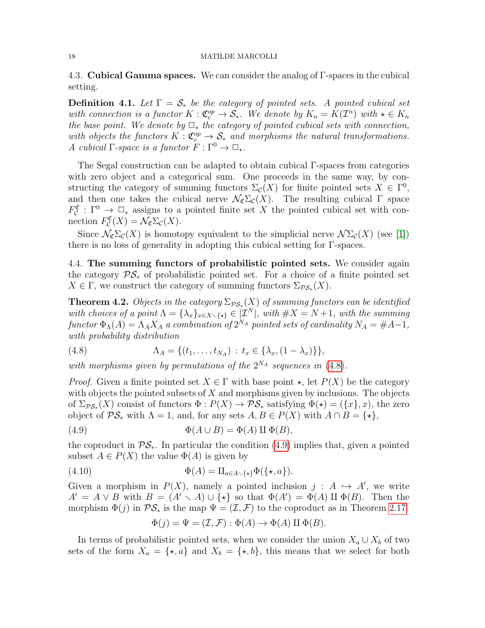4.3. Cubical Gamma spaces. We can consider the analog of Γ-spaces in the cubical setting.

**Definition 4.1.** Let  $\Gamma = \mathcal{S}_*$  be the category of pointed sets. A pointed cubical set with connection is a functor  $K: \mathfrak{C}_{c}^{op} \to \mathcal{S}_{*}$ . We denote by  $K_n = K(\mathcal{I}^n)$  with  $\star \in K_n$ the base point. We denote by  $\Box_*$  the category of pointed cubical sets with connection, with objects the functors  $K : \mathfrak{C}_c^{\mathfrak{op}} \to \mathfrak{S}_*$  and morphisms the natural transformations. A cubical  $\Gamma$ -space is a functor  $F : \Gamma^0 \to \square_*$ .

The Segal construction can be adapted to obtain cubical Γ-spaces from categories with zero object and a categorical sum. One proceeds in the same way, by constructing the category of summing functors  $\Sigma_{\mathcal{C}}(X)$  for finite pointed sets  $X \in \Gamma^0$ , and then one takes the cubical nerve  $\mathcal{N}_{\mathfrak{C}}\Sigma_{\mathcal{C}}(X)$ . The resulting cubical  $\Gamma$  space  $F_{\mathcal{C}}^{\mathfrak{C}} : \Gamma^0 \to \square_*$  assigns to a pointed finite set X the pointed cubical set with connection  $F_{\mathcal{C}}^{\mathfrak{C}}(X) = \mathcal{N}_{\mathfrak{C}}\Sigma_{\mathcal{C}}(X)$ .

Since  $\mathcal{N}_{\mathcal{C}}\Sigma_{\mathcal{C}}(X)$  is homotopy equivalent to the simplicial nerve  $\mathcal{N}\Sigma_{\mathcal{C}}(X)$  (see [\[1\]](#page-45-21)) there is no loss of generality in adopting this cubical setting for Γ-spaces.

4.4. The summing functors of probabilistic pointed sets. We consider again the category  $\mathcal{PS}_*$  of probabilistic pointed set. For a choice of a finite pointed set  $X \in \Gamma$ , we construct the category of summing functors  $\Sigma_{\mathcal{PS}_*}(X)$ .

<span id="page-17-2"></span>**Theorem 4.2.** Objects in the category  $\Sigma_{\mathcal{PS}_*}(X)$  of summing functors can be identified with choices of a point  $\Lambda = {\lambda_x}_{x \in X \setminus \{*\}} \in |{\mathcal{I}}^N|$ , with  $\#X = N+1$ , with the summing functor  $\Phi_{\Lambda}(A) = \Lambda_A X_A$  a combination of  $2^{N_A}$  pointed sets of cardinality  $N_A = \#A-1$ , with probability distribution

<span id="page-17-0"></span>(4.8) 
$$
\Lambda_A = \{ (t_1, \ldots, t_{N_A}) : t_x \in \{ \lambda_x, (1 - \lambda_x) \} \},
$$

with morphisms given by permutations of the  $2^{N_A}$  sequences in [\(4.8\)](#page-17-0).

*Proof.* Given a finite pointed set  $X \in \Gamma$  with base point  $\star$ , let  $P(X)$  be the category with objects the pointed subsets of  $X$  and morphisms given by inclusions. The objects of  $\Sigma_{\mathcal{PS}_*}(X)$  consist of functors  $\Phi: P(X) \to \mathcal{PS}_*$  satisfying  $\Phi(\star) = (\{x\}, x)$ , the zero object of  $\mathcal{PS}_*$  with  $\Lambda = 1$ , and, for any sets  $A, B \in P(X)$  with  $A \cap B = \{ \star \},\$ 

(4.9) 
$$
\Phi(A \cup B) = \Phi(A) \amalg \Phi(B),
$$

the coproduct in  $\mathcal{PS}_*$ . In particular the condition [\(4.9\)](#page-17-1) implies that, given a pointed subset  $A \in P(X)$  the value  $\Phi(A)$  is given by

(4.10) 
$$
\Phi(A) = \amalg_{a \in A \setminus \{\star\}} \Phi(\{\star, a\}).
$$

Given a morphism in  $P(X)$ , namely a pointed inclusion  $j : A \hookrightarrow A'$ , we write  $A' = A \vee B$  with  $B = (A' \setminus A) \cup \{ \star \}$  so that  $\Phi(A') = \Phi(A) \amalg \Phi(B)$ . Then the morphism  $\Phi(j)$  in  $\mathcal{PS}_*$  is the map  $\Psi = (\mathcal{I}, \mathcal{F})$  to the coproduct as in Theorem [2.17](#page-8-1)

<span id="page-17-1"></span>
$$
\Phi(j) = \Psi = (\mathcal{I}, \mathcal{F}) : \Phi(A) \to \Phi(A) \amalg \Phi(B).
$$

In terms of probabilistic pointed sets, when we consider the union  $X_a \cup X_b$  of two sets of the form  $X_a = \{ \star, a \}$  and  $X_b = \{ \star, b \}$ , this means that we select for both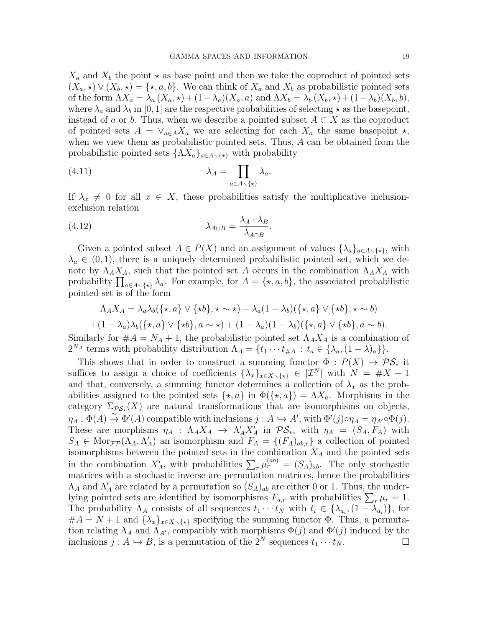$X_a$  and  $X_b$  the point  $\star$  as base point and then we take the coproduct of pointed sets  $(X_a, \star) \vee (X_b, \star) = {\star, a, b}.$  We can think of  $X_a$  and  $X_b$  as probabilistic pointed sets of the form  $\Lambda X_a = \lambda_a (X_a, \star) + (1 - \lambda_a)(X_a, a)$  and  $\Lambda X_b = \lambda_b (X_b, \star) + (1 - \lambda_b)(X_b, b)$ , where  $\lambda_a$  and  $\lambda_b$  in [0, 1] are the respective probabilities of selecting  $\star$  as the basepoint, instead of a or b. Thus, when we describe a pointed subset  $A \subset X$  as the coproduct of pointed sets  $A = \vee_{a \in A} X_a$  we are selecting for each  $X_a$  the same basepoint  $\star$ , when we view them as probabilistic pointed sets. Thus, A can be obtained from the probabilistic pointed sets  $\{\Lambda X_a\}_{a\in A\setminus\{x\}}$  with probability

<span id="page-18-0"></span>(4.11) 
$$
\lambda_A = \prod_{a \in A \setminus \{\star\}} \lambda_a.
$$

If  $\lambda_x \neq 0$  for all  $x \in X$ , these probabilities satisfy the multiplicative inclusionexclusion relation

(4.12) 
$$
\lambda_{A \cup B} = \frac{\lambda_A \cdot \lambda_B}{\lambda_{A \cap B}}.
$$

Given a pointed subset  $A \in P(X)$  and an assignment of values  $\{\lambda_a\}_{a \in A \setminus \{\star\}}$ , with  $\lambda_a \in (0,1)$ , there is a uniquely determined probabilistic pointed set, which we denote by  $\Lambda_A X_A$ , such that the pointed set A occurs in the combination  $\Lambda_A X_A$  with probability  $\prod_{a\in A\setminus\{\star\}}\lambda_a$ . For example, for  $A = \{\star, a, b\}$ , the associated probabilistic pointed set is of the form

$$
\Lambda_A X_A = \lambda_a \lambda_b (\{\star, a\} \vee \{\star b\}, \star \sim \star) + \lambda_a (1 - \lambda_b) (\{\star, a\} \vee \{\star b\}, \star \sim b)
$$

$$
+ (1 - \lambda_a) \lambda_b (\{\star, a\} \vee \{\star b\}, a \sim \star) + (1 - \lambda_a) (1 - \lambda_b) (\{\star, a\} \vee \{\star b\}, a \sim b).
$$

Similarly for  $#A = N_A + 1$ , the probabilistic pointed set  $\Lambda_A X_A$  is a combination of  $2^{N_A}$  terms with probability distribution  $\Lambda_A = \{t_1 \cdots t_{\#A} : t_a \in \{\lambda_a, (1-\lambda)_a\}\}.$ 

This shows that in order to construct a summing functor  $\Phi : P(X) \to \mathcal{PS}_*$  it suffices to assign a choice of coefficients  $\{\lambda_x\}_{x\in X\setminus\{*\}} \in |\mathcal{I}^N|$  with  $N = \#X - 1$ and that, conversely, a summing functor determines a collection of  $\lambda_x$  as the probabilities assigned to the pointed sets  $\{\star, a\}$  in  $\Phi(\{\star, a\}) = \Lambda X_a$ . Morphisms in the category  $\Sigma_{\mathcal{PS}_*}(X)$  are natural transformations that are isomorphisms on objects,  $\eta_A: \Phi(A) \stackrel{\simeq}{\to} \Phi'(A)$  compatible with inclusions  $j: A \hookrightarrow A'$ , with  $\Phi'(j) \circ \eta_A = \eta_{A'} \circ \Phi(j)$ . These are morphisms  $\eta_A$  :  $\Lambda_A X_A \to \Lambda_A' X_A'$  in  $\mathcal{PS}_*,$  with  $\eta_A = (S_A, F_A)$  with  $S_A \in \text{Mor}_{\mathcal{FP}}(\Lambda_A, \Lambda'_A)$  an isomorphism and  $F_A = \{(F_A)_{ab,r}\}\$ a collection of pointed isomorphisms between the pointed sets in the combination  $X_A$  and the pointed sets in the combination  $X'_A$ , with probabilities  $\sum_r \mu_r^{(ab)} = (S_A)_{ab}$ . The only stochastic matrices with a stochastic inverse are permutation matrices, hence the probabilities  $\Lambda_A$  and  $\Lambda'_A$  are related by a permutation so  $(S_A)_{ab}$  are either 0 or 1. Thus, the underlying pointed sets are identified by isomorphisms  $F_{a,r}$  with probabilities  $\sum_{r} \mu_r = 1$ . The probability  $\Lambda_A$  consists of all sequences  $t_1 \cdots t_N$  with  $t_i \in {\lambda_{a_i}, (1 - \lambda_{a_i})}$ , for  $#A = N + 1$  and  $\{\lambda_x\}_{x \in X \setminus \{\star\}}$  specifying the summing functor  $\Phi$ . Thus, a permutation relating  $\Lambda_A$  and  $\Lambda_{A'}$ , compatibly with morphisms  $\Phi(j)$  and  $\Phi'(j)$  induced by the inclusions  $j : A \hookrightarrow B$ , is a permutation of the  $2^N$  sequences  $t_1 \cdots t_N$ .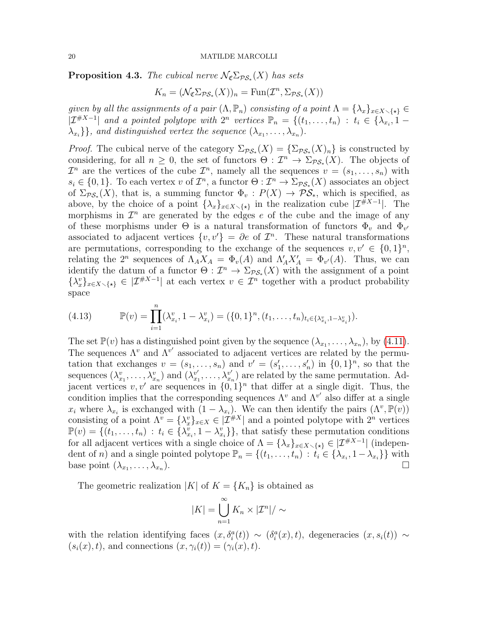<span id="page-19-0"></span>**Proposition 4.3.** The cubical nerve  $\mathcal{N}_{\mathfrak{C}}\Sigma_{\mathcal{PS}_*}(X)$  has sets

$$
K_n = (\mathcal{N}_{\mathfrak{C}} \Sigma_{\mathcal{PS}_*}(X))_n = \text{Fun}(\mathcal{I}^n, \Sigma_{\mathcal{PS}_*}(X))
$$

given by all the assignments of a pair  $(\Lambda, \mathbb{P}_n)$  consisting of a point  $\Lambda = {\lambda_x\}_{x \in X \setminus {\{\star\}}} \in$  $|\mathcal{I}^{#X-1}|$  and a pointed polytope with  $2^n$  vertices  $\mathbb{P}_n = \{(t_1,\ldots,t_n) : t_i \in \{\lambda_{x_i}, 1-\}$  $\{\lambda_{x_i}\}\}\$ , and distinguished vertex the sequence  $(\lambda_{x_1}, \ldots, \lambda_{x_n})\$ .

*Proof.* The cubical nerve of the category  $\Sigma_{\mathcal{PS}_*}(X) = {\Sigma_{\mathcal{PS}_*}(X)_n}$  is constructed by considering, for all  $n \geq 0$ , the set of functors  $\Theta : \mathcal{I}^n \to \Sigma_{\mathcal{PS}_*}(X)$ . The objects of  $\mathcal{I}^n$  are the vertices of the cube  $\mathcal{I}^n$ , namely all the sequences  $v = (s_1, \ldots, s_n)$  with  $s_i \in \{0,1\}$ . To each vertex v of  $\mathcal{I}^n$ , a functor  $\Theta: \mathcal{I}^n \to \Sigma_{\mathcal{PS}_*}(X)$  associates an object of  $\Sigma_{\mathcal{PS}_*}(X)$ , that is, a summing functor  $\Phi_v: P(X) \to \mathcal{PS}_*$ , which is specified, as above, by the choice of a point  $\{\lambda_x\}_{x\in X\setminus\{\star\}}$  in the realization cube  $|\mathcal{I}^{\#X-1}|$ . The morphisms in  $\mathcal{I}^n$  are generated by the edges e of the cube and the image of any of these morphisms under  $\Theta$  is a natural transformation of functors  $\Phi_v$  and  $\Phi_{v'}$ associated to adjacent vertices  $\{v, v'\} = \partial e$  of  $\mathcal{I}^n$ . These natural transformations are permutations, corresponding to the exchange of the sequences  $v, v' \in \{0, 1\}^n$ , relating the  $2^n$  sequences of  $\Lambda_A X_A = \Phi_v(A)$  and  $\Lambda'_A X'_A = \Phi_{v'}(A)$ . Thus, we can identify the datum of a functor  $\Theta : \mathcal{I}^n \to \Sigma_{\mathcal{PS}_*}(X)$  with the assignment of a point  $\{\lambda_x^v\}_{x\in X\setminus\{\star\}} \in |\mathcal{I}^{\#X-1}|$  at each vertex  $v \in \mathcal{I}^n$  together with a product probability space

<span id="page-19-1"></span>(4.13) 
$$
\mathbb{P}(v) = \prod_{i=1}^{n} (\lambda_{x_i}^v, 1 - \lambda_{x_i}^v) = (\{0, 1\}^n, (t_1, \dots, t_n)_{t_i \in {\{\lambda_{x_i}^v, 1 - \lambda_{x_i}^v\}}} ).
$$

The set  $\mathbb{P}(v)$  has a distinguished point given by the sequence  $(\lambda_{x_1}, \ldots, \lambda_{x_n})$ , by [\(4.11\)](#page-18-0). The sequences  $\Lambda^v$  and  $\Lambda^{v'}$  associated to adjacent vertices are related by the permutation that exchanges  $v = (s_1, \ldots, s_n)$  and  $v' = (s'_1, \ldots, s'_n)$  in  $\{0, 1\}^n$ , so that the sequences  $(\lambda_{x_1}^v, \ldots, \lambda_{x_n}^v)$  and  $(\lambda_{x_1}^{v'}$  $x_1^{v'}, \ldots, \lambda_{x_n}^{v'}$  $x_n^{\nu'}$  are related by the same permutation. Adjacent vertices  $v, v'$  are sequences in  $\{0, 1\}^n$  that differ at a single digit. Thus, the condition implies that the corresponding sequences  $\Lambda^v$  and  $\Lambda^{v'}$  also differ at a single  $x_i$  where  $\lambda_{x_i}$  is exchanged with  $(1 - \lambda_{x_i})$ . We can then identify the pairs  $(\Lambda^v, \mathbb{P}(v))$ consisting of a point  $\Lambda^v = \{\lambda_x^v\}_{x \in X} \in |\mathcal{I}^{*X}|$  and a pointed polytope with  $2^n$  vertices  $\mathbb{P}(v) = \{ (t_1, \ldots, t_n) : t_i \in \{ \lambda_{x_i}^v, 1 - \lambda_{x_i}^v \} \}$ , that satisfy these permutation conditions for all adjacent vertices with a single choice of  $\Lambda = {\lambda_x}_{x \in X \setminus {\{\star\}}} \in |{\mathcal{I}}^{\#X-1}|$  (independent of n) and a single pointed polytope  $\mathbb{P}_n = \{(t_1, \ldots, t_n) : t_i \in \{\lambda_{x_i}, 1-\lambda_{x_i}\}\}\$  with base point  $(\lambda_{x_1}, \ldots, \lambda_{x_n})$ ).

The geometric realization |K| of  $K = \{K_n\}$  is obtained as

$$
|K| = \bigcup_{n=1}^{\infty} K_n \times |\mathcal{I}^n| / \sim
$$

with the relation identifying faces  $(x, \delta_i^a(t)) \sim (\delta_i^a(x), t)$ , degeneracies  $(x, s_i(t)) \sim$  $(s_i(x), t)$ , and connections  $(x, \gamma_i(t)) = (\gamma_i(x), t)$ .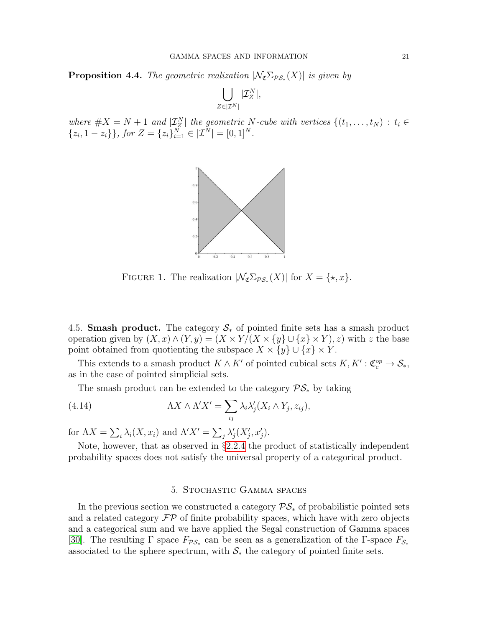<span id="page-20-2"></span>**Proposition 4.4.** The geometric realization  $|\mathcal{N}_{\mathfrak{C}}\Sigma_{\mathcal{PS}_*}(X)|$  is given by

$$
\bigcup_{Z\in |\mathcal{I}^N|}|\mathcal{I}^N_Z|,
$$

where  $\#X = N + 1$  and  $|\mathcal{I}_{Z}^{N}|$  the geometric N-cube with vertices  $\{(t_1, \ldots, t_N) : t_i \in$  $\{z_i, 1-z_i\}\}\$ , for  $Z = \{z_i\}_{i=1}^N \in |\mathcal{I}^N| = [0, 1]^N$ .



FIGURE 1. The realization  $|\mathcal{N}_{\mathfrak{C}}\Sigma_{\mathcal{PS}_*}(X)|$  for  $X = \{\star, x\}.$ 

4.5. **Smash product.** The category  $S_*$  of pointed finite sets has a smash product operation given by  $(X, x) \wedge (Y, y) = (X \times Y)(X \times \{y\} \cup \{x\} \times Y), z)$  with z the base point obtained from quotienting the subspace  $X \times \{y\} \cup \{x\} \times Y$ .

This extends to a smash product  $K \wedge K'$  of pointed cubical sets  $K, K': \mathfrak{C}_{c}^{op} \to \mathcal{S}_{*},$ as in the case of pointed simplicial sets.

The smash product can be extended to the category  $\mathcal{PS}_*$  by taking

(4.14) 
$$
\Lambda X \wedge \Lambda' X' = \sum_{ij} \lambda_i \lambda'_j (X_i \wedge Y_j, z_{ij}),
$$

for  $\Lambda X = \sum_i \lambda_i(X, x_i)$  and  $\Lambda' X' = \sum_j \lambda'_j(X'_j, x'_j)$ .

Note, however, that as observed in  $\S 2.2.4$  $\S 2.2.4$  the product of statistically independent probability spaces does not satisfy the universal property of a categorical product.

# <span id="page-20-1"></span>5. Stochastic Gamma spaces

<span id="page-20-0"></span>In the previous section we constructed a category  $\mathcal{PS}_*$  of probabilistic pointed sets and a related category  $\mathcal{FP}$  of finite probability spaces, which have with zero objects and a categorical sum and we have applied the Segal construction of Gamma spaces [\[30\]](#page-45-1). The resulting  $\Gamma$  space  $F_{\mathcal{PS}_*}$  can be seen as a generalization of the  $\Gamma$ -space  $F_{\mathcal{S}_*}$ associated to the sphere spectrum, with  $S_*$  the category of pointed finite sets.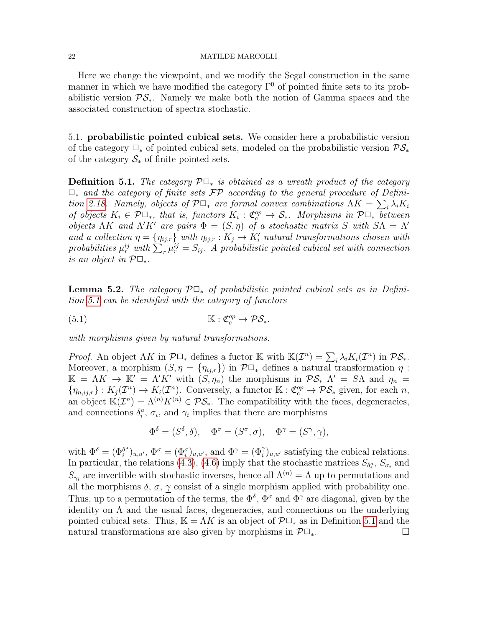Here we change the viewpoint, and we modify the Segal construction in the same manner in which we have modified the category  $\Gamma^0$  of pointed finite sets to its probabilistic version  $\mathcal{PS}_*$ . Namely we make both the notion of Gamma spaces and the associated construction of spectra stochastic.

5.1. probabilistic pointed cubical sets. We consider here a probabilistic version of the category  $\Box_*$  of pointed cubical sets, modeled on the probabilistic version  $\mathcal{PS}_*$ of the category  $S_*$  of finite pointed sets.

<span id="page-21-0"></span>**Definition 5.1.** The category  $\mathcal{P} \Box_{*}$  is obtained as a wreath product of the category  $\Box_*$  and the category of finite sets  $\mathcal{FP}$  according to the general procedure of Defini-tion [2.18.](#page-9-0) Namely, objects of  $\mathcal{P} \Box_*$  are formal convex combinations  $\Lambda K = \sum_i \lambda_i K_i$ of objects  $K_i \in \mathcal{P} \Box_*$ , that is, functors  $K_i : \mathfrak{C}^{op}_c \to \mathcal{S}_*$ . Morphisms in  $\mathcal{P} \Box_*$  between objects  $\Lambda K$  and  $\Lambda' K'$  are pairs  $\Phi = (S, \eta)$  of a stochastic matrix S with  $S\Lambda = \Lambda'$ and a collection  $\eta = {\eta_{ij,r}}$  with  $\eta_{ij,r}: K_j \to K'_i$  natural transformations chosen with probabilities  $\mu_r^{ij}$  with  $\sum_r \mu_r^{ij} = S_{ij}$ . A probabilistic pointed cubical set with connection is an object in  $\mathcal{P} \Box_*$ .

**Lemma 5.2.** The category  $\mathcal{P} \Box_*$  of probabilistic pointed cubical sets as in Definition [5.1](#page-21-0) can be identified with the category of functors

(5.1) 
$$
\mathbb{K}: \mathfrak{C}_{c}^{op} \to \mathcal{PS}_{*}.
$$

with morphisms given by natural transformations.

*Proof.* An object  $\Lambda K$  in  $\mathcal{P} \Box_*$  defines a fuctor K with  $\mathbb{K}(\mathcal{I}^n) = \sum_i \lambda_i K_i(\mathcal{I}^n)$  in  $\mathcal{PS}_*.$ Moreover, a morphism  $(S, \eta = {\eta_{ij,r}})$  in  $\mathcal{P} \square_*$  defines a natural transformation  $\eta$ :  $\mathbb{K} = \Lambda K \to \mathbb{K}' = \Lambda' K'$  with  $(S, \eta_n)$  the morphisms in  $\mathcal{PS}_*$   $\Lambda' = S\Lambda$  and  $\eta_n =$  $\{\eta_{n,ij,r}\}: K_j(\mathcal{I}^n) \to K_i(\mathcal{I}^n)$ . Conversely, a functor  $\mathbb{K}: \mathfrak{C}^{op}_c \to \mathcal{PS}_*$  given, for each n, an object  $\mathbb{K}(T^n) = \Lambda^{(n)} K^{(n)} \in \mathcal{PS}_*$ . The compatibility with the faces, degeneracies, and connections  $\delta_i^a$ ,  $\sigma_i$ , and  $\gamma_i$  implies that there are morphisms

$$
\Phi^{\delta} = (S^{\delta}, \underline{\delta}), \quad \Phi^{\sigma} = (S^{\sigma}, \underline{\sigma}), \quad \Phi^{\gamma} = (S^{\gamma}, \gamma),
$$

with  $\Phi^{\delta} = (\Phi_i^{\delta^a})$  $\delta_i^a$ )<sub>u,u'</sub>,  $\Phi^{\sigma} = (\Phi_i^{\sigma})_{u,u'}$ , and  $\Phi^{\gamma} = (\Phi_i^{\gamma})_{u,u'}$  satisfying the cubical relations. In particular, the relations [\(4.3\)](#page-16-0), [\(4.6\)](#page-16-1) imply that the stochastic matrices  $S_{\delta_i^a}$ ,  $S_{\sigma_i}$  and  $S_{\gamma_i}$  are invertible with stochastic inverses, hence all  $\Lambda^{(n)} = \Lambda$  up to permutations and all the morphisms  $\delta$ ,  $\sigma$ ,  $\gamma$  consist of a single morphism applied with probability one. Thus, up to a permutation of the terms, the  $\Phi^{\delta}$ ,  $\Phi^{\sigma}$  and  $\Phi^{\gamma}$  are diagonal, given by the identity on  $\Lambda$  and the usual faces, degeneracies, and connections on the underlying pointed cubical sets. Thus,  $\mathbb{K} = \Lambda K$  is an object of  $\mathcal{P} \Box_*$  as in Definition [5.1](#page-21-0) and the natural transformations are also given by morphisms in  $\mathcal{P} \Box_*$ .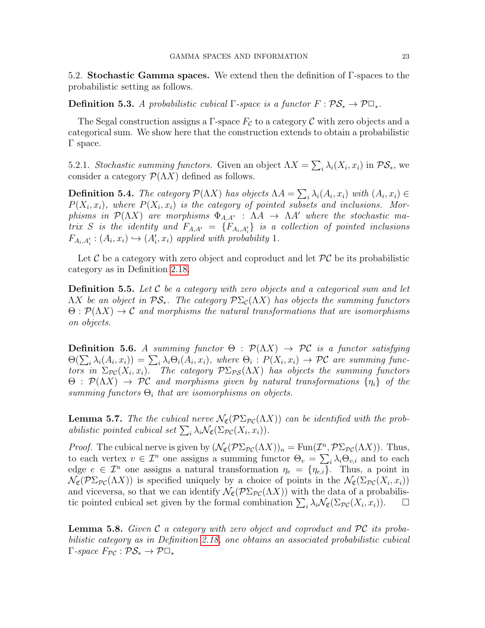5.2. Stochastic Gamma spaces. We extend then the definition of Γ-spaces to the probabilistic setting as follows.

**Definition 5.3.** A probabilistic cubical  $\Gamma$ -space is a functor  $F : \mathcal{PS}_* \to \mathcal{P} \square_*$ .

The Segal construction assigns a Γ-space  $F_c$  to a category C with zero objects and a categorical sum. We show here that the construction extends to obtain a probabilistic Γ space.

5.2.1. Stochastic summing functors. Given an object  $\Lambda X = \sum_i \lambda_i(X_i, x_i)$  in  $\mathcal{PS}_{*}$ , we consider a category  $\mathcal{P}(\Lambda X)$  defined as follows.

**Definition 5.4.** The category  $\mathcal{P}(\Lambda X)$  has objects  $\Lambda A = \sum_i \lambda_i (A_i, x_i)$  with  $(A_i, x_i) \in$  $P(X_i, x_i)$ , where  $P(X_i, x_i)$  is the category of pointed subsets and inclusions. Morphisms in  $\mathcal{P}(\Lambda X)$  are morphisms  $\Phi_{A,A''}$ :  $\Lambda A \to \Lambda A'$  where the stochastic matrix S is the identity and  $F_{A,A'} = \{F_{A_i,A'_i}\}\$ is a collection of pointed inclusions  $F_{A_i,A'_i}: (A_i,x_i) \hookrightarrow (A'_i,x_i)$  applied with probability 1.

Let C be a category with zero object and coproduct and let  $\mathcal{PC}$  be its probabilistic category as in Definition [2.18.](#page-9-0)

**Definition 5.5.** Let  $\mathcal C$  be a category with zero objects and a categorical sum and let  $\Lambda X$  be an object in  $\mathcal{PS}_*$ . The category  $\mathcal{P}\Sigma_c(\Lambda X)$  has objects the summing functors  $\Theta$ :  $\mathcal{P}(\Lambda X) \to \mathcal{C}$  and morphisms the natural transformations that are isomorphisms on objects.

**Definition 5.6.** A summing functor  $\Theta$  :  $\mathcal{P}(\Lambda X) \to \mathcal{PC}$  is a functor satisfying  $\Theta(\sum_i \lambda_i(A_i, x_i)) = \sum_i \lambda_i \Theta_i(A_i, x_i)$ , where  $\Theta_i : P(X_i, x_i) \to \mathcal{PC}$  are summing functors in  $\Sigma_{\mathcal{PC}}(X_i,x_i)$ . The category  $\mathcal{P}\Sigma_{\mathcal{PS}}(\Lambda X)$  has objects the summing functors  $\Theta$ :  $\mathcal{P}(\Lambda X) \to \mathcal{P}\mathcal{C}$  and morphisms given by natural transformations  $\{\eta_i\}$  of the summing functors  $\Theta_i$  that are isomorphisms on objects.

<span id="page-22-1"></span>**Lemma 5.7.** The the cubical nerve  $\mathcal{N}_{\mathfrak{C}}(\mathcal{P}\Sigma_{\mathcal{PC}}(\Lambda X))$  can be identified with the probabilistic pointed cubical set  $\sum_i \lambda_i \mathcal{N}_{\mathfrak{C}}(\Sigma_{\mathcal{PC}}(X_i, x_i)).$ 

*Proof.* The cubical nerve is given by  $(\mathcal{N}_{\mathfrak{C}}(\mathcal{P}\Sigma_{\mathcal{PC}}(\Lambda X))_n = \text{Fun}(\mathcal{I}^n, \mathcal{P}\Sigma_{\mathcal{PC}}(\Lambda X))$ . Thus, to each vertex  $v \in \mathcal{I}^n$  one assigns a summing functor  $\Theta_v = \sum_i \lambda_i \Theta_{v,i}$  and to each edge  $e \in \mathcal{I}^n$  one assigns a natural transformation  $\eta_e = {\eta_{e,i}}$ . Thus, a point in  $\mathcal{N}_{\mathfrak{C}}(\mathcal{P}\Sigma_{\mathcal{PC}}(\Lambda X))$  is specified uniquely by a choice of points in the  $\mathcal{N}_{\mathfrak{C}}(\Sigma_{\mathcal{PC}}(X_i, x_i))$ and viceversa, so that we can identify  $\mathcal{N}_{\mathfrak{C}}(\mathcal{P}\Sigma_{\mathcal{PC}}(\Lambda X))$  with the data of a probabilistic pointed cubical set given by the formal combination  $\sum_i \lambda_i \mathcal{N}_{\mathfrak{C}}(\Sigma_{\mathcal{PC}}(X_i, x_i)).$ 

<span id="page-22-0"></span>**Lemma 5.8.** Given  $\mathcal C$  a category with zero object and coproduct and  $\mathcal PC$  its probabilistic category as in Definition [2.18,](#page-9-0) one obtains an associated probabilistic cubical  $\Gamma$ -space  $F_{\mathcal{PC}} : \mathcal{PS}_* \to \mathcal{P} \square_*$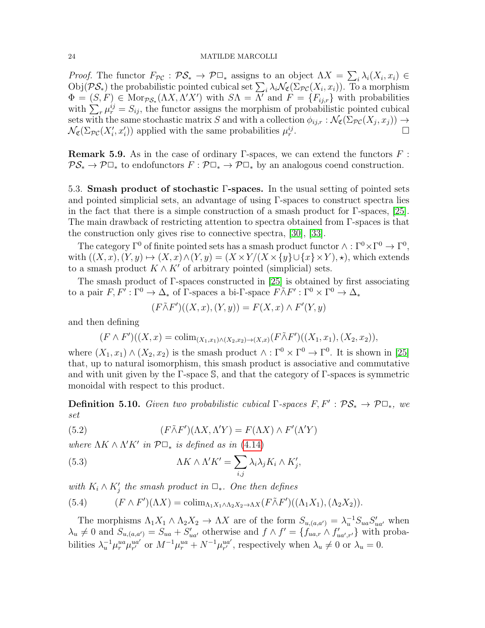*Proof.* The functor  $F_{\mathcal{PC}} : \mathcal{PS}_* \to \mathcal{P} \square_*$  assigns to an object  $\Lambda X = \sum_i \lambda_i(X_i, x_i) \in$  $\mathrm{Obj}(\mathcal{PS}_*)$  the probabilistic pointed cubical set  $\sum_i \lambda_i \mathcal{N}_{\mathfrak{C}}(\Sigma_{\mathcal{PC}}(X_i, x_i))$ . To a morphism  $\Phi = (S, F) \in \text{Mor}_{\mathcal{PS}_*}(\Lambda X, \Lambda' X')$  with  $S\Lambda = \Lambda'$  and  $F = \{F_{ij,r}\}\$  with probabilities with  $\sum_r \mu_r^{ij} = S_{ij}$ , the functor assigns the morphism of probabilistic pointed cubical sets with the same stochastic matrix S and with a collection  $\phi_{ij,r} : \mathcal{N}_{\mathfrak{C}}(\Sigma_{\mathcal{PC}}(X_j, x_j)) \to$  $\mathcal{N}_{\mathfrak{C}}(\Sigma_{\mathcal{PC}}(X'_i, x'_i))$  applied with the same probabilities  $\mu_r^{ij}$ .

**Remark 5.9.** As in the case of ordinary Γ-spaces, we can extend the functors  $F$ :  $\mathcal{PS}_* \to \mathcal{P}\Box_*$  to endofunctors  $F : \mathcal{P}\Box_* \to \mathcal{P}\Box_*$  by an analogous coend construction.

5.3. Smash product of stochastic Γ-spaces. In the usual setting of pointed sets and pointed simplicial sets, an advantage of using Γ-spaces to construct spectra lies in the fact that there is a simple construction of a smash product for  $\Gamma$ -spaces, [\[25\]](#page-45-3). The main drawback of restricting attention to spectra obtained from Γ-spaces is that the construction only gives rise to connective spectra, [\[30\]](#page-45-1), [\[33\]](#page-46-0).

The category  $\Gamma^0$  of finite pointed sets has a smash product functor  $\wedge : \Gamma^0 \times \Gamma^0 \to \Gamma^0$ , with  $((X, x), (Y, y) \mapsto (X, x) \wedge (Y, y) = (X \times Y)(X \times \{y\} \cup \{x\} \times Y), \star)$ , which extends to a smash product  $K \wedge K'$  of arbitrary pointed (simplicial) sets.

The smash product of Γ-spaces constructed in [\[25\]](#page-45-3) is obtained by first associating to a pair  $F, F': \Gamma^0 \to \Delta_*$  of  $\Gamma$ -spaces a bi- $\Gamma$ -space  $F \tilde{\wedge} F': \Gamma^0 \times \Gamma^0 \to \Delta_*$ 

$$
(F\tilde{\wedge}F')((X,x),(Y,y)) = F(X,x) \wedge F'(Y,y)
$$

and then defining

$$
(F \wedge F')((X, x) = \text{colim}_{(X_1, x_1) \wedge (X_2, x_2) \to (X, x)} (F \tilde{\wedge} F')((X_1, x_1), (X_2, x_2)),
$$

where  $(X_1, x_1) \wedge (X_2, x_2)$  is the smash product  $\wedge : \Gamma^0 \times \Gamma^0 \to \Gamma^0$ . It is shown in [\[25\]](#page-45-3) that, up to natural isomorphism, this smash product is associative and commutative and with unit given by the Γ-space S, and that the category of  $\Gamma$ -spaces is symmetric monoidal with respect to this product.

**Definition 5.10.** Given two probabilistic cubical  $\Gamma$ -spaces  $F, F' : \mathcal{PS}_* \to \mathcal{P}\Box_*$ , we set

(5.2) 
$$
(F\tilde{\wedge}F')(\Lambda X, \Lambda'Y) = F(\Lambda X) \wedge F'(\Lambda'Y)
$$

where  $\Lambda K \wedge \Lambda' K'$  in  $\mathcal{P} \Box_*$  is defined as in [\(4.14\)](#page-20-1)

(5.3) 
$$
\Lambda K \wedge \Lambda' K' = \sum_{i,j} \lambda_i \lambda_j K_i \wedge K'_j,
$$

with  $K_i \wedge K'_j$  the smash product in  $\square_*$ . One then defines

(5.4) 
$$
(F \wedge F')(\Lambda X) = \text{colim}_{\Lambda_1 X_1 \wedge \Lambda_2 X_2 \to \Lambda X} (F \tilde{\wedge} F')((\Lambda_1 X_1), (\Lambda_2 X_2)).
$$

The morphisms  $\Lambda_1 X_1 \wedge \Lambda_2 X_2 \to \Lambda X$  are of the form  $S_{u,(a,a')} = \lambda_u^{-1} S_{ua} S'_{ua'}$  when  $\lambda_u \neq 0$  and  $S_{u,(a,a')} = S_{ua} + S'_{ua'}$  otherwise and  $f \wedge f' = \{f_{ua,r} \wedge f'_{ua',r'}\}$  with probabilities  $\lambda_u^{-1} \mu_r^{ua} \mu_{r'}^{ua'}$  or  $M^{-1} \mu_r^{ua} + N^{-1} \mu_{r'}^{ua'}$ , respectively when  $\lambda_u \neq 0$  or  $\lambda_u = 0$ .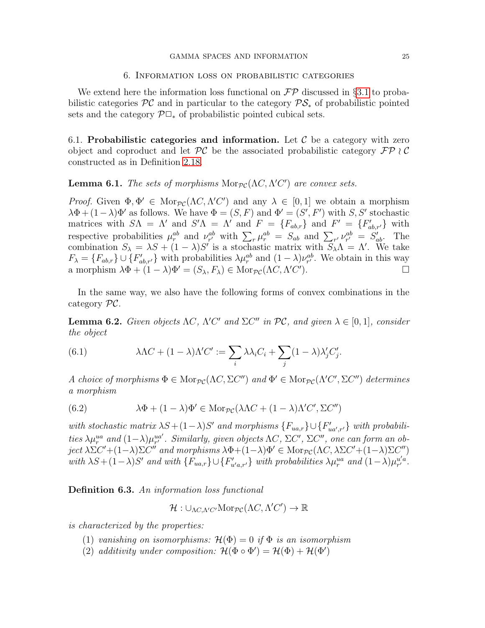# 6. Information loss on probabilistic categories

<span id="page-24-0"></span>We extend here the information loss functional on  $\mathcal{FP}$  discussed in §[3.1](#page-10-2) to probabilistic categories  $\mathcal{PC}$  and in particular to the category  $\mathcal{PS}_*$  of probabilistic pointed sets and the category  $\mathcal{P} \Box_*$  of probabilistic pointed cubical sets.

6.1. Probabilistic categories and information. Let  $\mathcal C$  be a category with zero object and coproduct and let  $\mathcal{PC}$  be the associated probabilistic category  $\mathcal{FP} \wr \mathcal{C}$ constructed as in Definition [2.18.](#page-9-0)

# **Lemma 6.1.** The sets of morphisms  $Mor_{\mathcal{PC}}(\Lambda C, \Lambda' C')$  are convex sets.

Proof. Given  $\Phi, \Phi' \in \text{Mor}_{\mathcal{PC}}(\Lambda C, \Lambda' C')$  and any  $\lambda \in [0, 1]$  we obtain a morphism  $\lambda \Phi + (1 - \lambda) \Phi'$  as follows. We have  $\Phi = (S, F)$  and  $\Phi' = (S', F')$  with S, S' stochastic matrices with  $S\Lambda = \Lambda'$  and  $S'\Lambda = \Lambda'$  and  $F = \{F_{ab,r}\}\$  and  $F' = \{F'_{ab,r'}\}\$  with respective probabilities  $\mu_r^{ab}$  and  $\nu_{r'}^{ab}$  with  $\sum_r \mu_r^{ab} = S_{ab}$  and  $\sum_{r'} \nu_{r'}^{ab} = S_{ab}'$ . The combination  $S_{\lambda} = \lambda S + (1 - \lambda)S'$  is a stochastic matrix with  $S_{\lambda}\Lambda = \Lambda'$ . We take  $F_{\lambda} = \{F_{ab,r}\} \cup \{F'_{ab,r'}\}$  with probabilities  $\lambda \mu_r^{ab}$  and  $(1 - \lambda) \nu_{r'}^{ab}$ . We obtain in this way a morphism  $\lambda \Phi + (1 - \lambda) \Phi' = (S_{\lambda}, F_{\lambda}) \in \text{Mor}_{\mathcal{PC}}(\Lambda C, \Lambda' C')$ ).  $\qquad \qquad \Box$ 

In the same way, we also have the following forms of convex combinations in the category PC.

**Lemma 6.2.** Given objects  $\Lambda C$ ,  $\Lambda' C'$  and  $\Sigma C''$  in  $\mathcal{PC}$ , and given  $\lambda \in [0,1]$ , consider the object

<span id="page-24-1"></span>(6.1) 
$$
\lambda \Lambda C + (1 - \lambda) \Lambda' C' := \sum_{i} \lambda \lambda_i C_i + \sum_{j} (1 - \lambda) \lambda'_j C'_j.
$$

A choice of morphisms  $\Phi \in \text{Mor}_{\mathcal{PC}}(\Lambda C, \Sigma C'')$  and  $\Phi' \in \text{Mor}_{\mathcal{PC}}(\Lambda' C', \Sigma C'')$  determines a morphism

<span id="page-24-2"></span>(6.2) 
$$
\lambda \Phi + (1 - \lambda) \Phi' \in \text{Mor}_{\mathcal{PC}}(\lambda \Lambda C + (1 - \lambda) \Lambda' C', \Sigma C'')
$$

with stochastic matrix  $\lambda S + (1 - \lambda)S'$  and morphisms  $\{F_{ua,r}\}\cup \{F'_{ua',r'}\}$  with probabilities  $\lambda \mu_r^{ua}$  and  $(1-\lambda)\mu_{r'}^{ua'}$ . Similarly, given objects  $\Lambda C$ ,  $\Sigma C'$ ,  $\Sigma C''$ , one can form an object  $\lambda \Sigma C' + (1-\lambda)\Sigma C''$  and morphisms  $\lambda \Phi + (1-\lambda)\Phi' \in \text{Mor}_{\mathcal{PC}}(\Lambda C, \lambda \Sigma C' + (1-\lambda)\Sigma C'')$ with  $\lambda S + (1 - \lambda)S'$  and with  $\{F_{ua,r}\}\cup \{F'_{u'a,r'}\}$  with probabilities  $\lambda \mu_r^{ua}$  and  $(1 - \lambda)\mu_{r'}^{u'a}$ .

<span id="page-24-3"></span>Definition 6.3. An information loss functional

 $\mathcal{H}: \cup_{\Lambda C, \Lambda' C'} \mathcal{M}$ or $_{\mathcal{PC}}(\Lambda C, \Lambda' C') \to \mathbb{R}$ 

is characterized by the properties:

- (1) vanishing on isomorphisms:  $\mathcal{H}(\Phi) = 0$  if  $\Phi$  is an isomorphism
- (2) additivity under composition:  $\mathcal{H}(\Phi \circ \Phi') = \mathcal{H}(\Phi) + \mathcal{H}(\Phi')$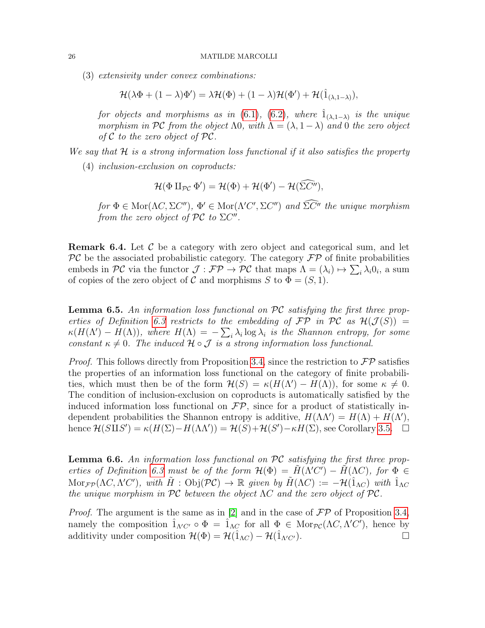(3) extensivity under convex combinations:

$$
\mathcal{H}(\lambda \Phi + (1 - \lambda)\Phi') = \lambda \mathcal{H}(\Phi) + (1 - \lambda)\mathcal{H}(\Phi') + \mathcal{H}(\hat{1}_{(\lambda, 1 - \lambda)}),
$$

for objects and morphisms as in [\(6.1\)](#page-24-1), [\(6.2\)](#page-24-2), where  $\hat{1}_{(\lambda,1-\lambda)}$  is the unique morphism in PC from the object  $\Lambda$ 0, with  $\Lambda = (\lambda, 1 - \lambda)$  and 0 the zero object of  $C$  to the zero object of  $PC$ .

We say that  $\mathcal H$  is a strong information loss functional if it also satisfies the property

(4) inclusion-exclusion on coproducts:

$$
\mathcal{H}(\Phi \amalg_{\mathcal{PC}} \Phi') = \mathcal{H}(\Phi) + \mathcal{H}(\Phi') - \mathcal{H}(\widetilde{\Sigma C''}),
$$

for  $\Phi \in \text{Mor}(\Lambda C, \Sigma C'')$ ,  $\Phi' \in \text{Mor}(\Lambda'C', \Sigma C'')$  and  $\tilde{\Sigma}C''$  the unique morphism from the zero object of  $PC$  to  $\Sigma C''$ .

**Remark 6.4.** Let  $\mathcal{C}$  be a category with zero object and categorical sum, and let  $\mathcal{PC}$  be the associated probabilistic category. The category  $\mathcal{FP}$  of finite probabilities embeds in PC via the functor  $\mathcal{J}: \mathcal{FP} \to \mathcal{PC}$  that maps  $\Lambda = (\lambda_i) \mapsto \sum_i \lambda_i 0_i$ , a sum of copies of the zero object of C and morphisms S to  $\Phi = (S, 1)$ .

<span id="page-25-1"></span>**Lemma 6.5.** An information loss functional on  $\mathcal{PC}$  satisfying the first three prop-erties of Definition [6.3](#page-24-3) restricts to the embedding of  $\mathcal{FP}$  in  $\mathcal{PC}$  as  $\mathcal{H}(\mathcal{J}(S)) =$  $\kappa(H(\Lambda') - H(\Lambda))$ , where  $H(\Lambda) = -\sum_i \lambda_i \log \lambda_i$  is the Shannon entropy, for some constant  $\kappa \neq 0$ . The induced  $\mathcal{H} \circ \mathcal{J}$  is a strong information loss functional.

*Proof.* This follows directly from Proposition [3.4,](#page-13-0) since the restriction to  $\mathcal{FP}$  satisfies the properties of an information loss functional on the category of finite probabilities, which must then be of the form  $\mathcal{H}(S) = \kappa (H(\Lambda') - H(\Lambda))$ , for some  $\kappa \neq 0$ . The condition of inclusion-exclusion on coproducts is automatically satisfied by the induced information loss functional on  $\mathcal{FP}$ , since for a product of statistically independent probabilities the Shannon entropy is additive,  $H(\Lambda \Lambda') = H(\Lambda) + H(\Lambda')$ , hence  $\mathcal{H}(S \amalg S') = \kappa(H(\Sigma) - H(\Lambda \Lambda')) = \mathcal{H}(S) + \mathcal{H}(S') - \kappa H(\Sigma)$ , see Corollary [3.5.](#page-14-1)

<span id="page-25-0"></span>**Lemma 6.6.** An information loss functional on  $\mathcal{PC}$  satisfying the first three prop-erties of Definition [6.3](#page-24-3) must be of the form  $\mathcal{H}(\Phi) = \tilde{H}(\Lambda' C') - \tilde{H}(\Lambda C)$ , for  $\Phi \in$  $\text{Mor}_{\mathcal{FP}}(\Lambda C, \Lambda' C')$ , with  $\tilde{H}: \text{Obj}(\mathcal{PC}) \to \mathbb{R}$  given by  $\tilde{H}(\Lambda C) := -\mathcal{H}(\hat{1}_{\Lambda C})$  with  $\hat{1}_{\Lambda C}$ the unique morphism in PC between the object  $\Lambda C$  and the zero object of PC.

*Proof.* The argument is the same as in [\[2\]](#page-45-4) and in the case of  $\mathcal{FP}$  of Proposition [3.4,](#page-13-0) namely the composition  $\hat{1}_{\Lambda' C'} \circ \Phi = \hat{1}_{\Lambda C}$  for all  $\Phi \in \text{Mor}_{\mathcal{PC}}(\Lambda C, \Lambda' C')$ , hence by additivity under composition  $\mathcal{H}(\Phi) = \mathcal{H}(\hat{1}_{\Lambda C}) - \mathcal{H}(\hat{1}_{\Lambda C}).$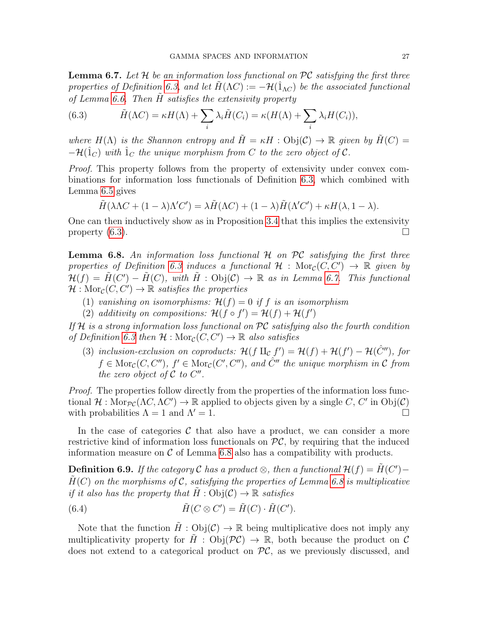<span id="page-26-1"></span>**Lemma 6.7.** Let  $H$  be an information loss functional on  $\mathcal{PC}$  satisfying the first three properties of Definition [6.3,](#page-24-3) and let  $H(\Lambda C) := -\mathcal{H}(\hat{1}_{\Lambda C})$  be the associated functional of Lemma [6.6.](#page-25-0) Then  $H$  satisfies the extensivity property

<span id="page-26-0"></span>(6.3) 
$$
\tilde{H}(\Lambda C) = \kappa H(\Lambda) + \sum_{i} \lambda_i \tilde{H}(C_i) = \kappa (H(\Lambda) + \sum_{i} \lambda_i H(C_i)),
$$

where  $H(\Lambda)$  is the Shannon entropy and  $\tilde{H} = \kappa H : \mathrm{Obj}(\mathcal{C}) \to \mathbb{R}$  given by  $\tilde{H}(C) =$  $-\mathcal{H}(\hat{1}_C)$  with  $\hat{1}_C$  the unique morphism from C to the zero object of C.

Proof. This property follows from the property of extensivity under convex combinations for information loss functionals of Definition [6.3,](#page-24-3) which combined with Lemma [6.5](#page-25-1) gives

$$
\tilde{H}(\lambda \Lambda C + (1 - \lambda) \Lambda' C') = \lambda \tilde{H}(\Lambda C) + (1 - \lambda) \tilde{H}(\Lambda' C') + \kappa H(\lambda, 1 - \lambda).
$$

One can then inductively show as in Proposition [3.4](#page-13-0) that this implies the extensivity property  $(6.3)$ .

<span id="page-26-2"></span>**Lemma 6.8.** An information loss functional  $H$  on  $\mathcal{PC}$  satisfying the first three properties of Definition [6.3](#page-24-3) induces a functional  $\mathcal{H}$  :  $\text{Mor}_{\mathcal{C}}(C, C') \rightarrow \mathbb{R}$  given by  $\mathcal{H}(f) = \tilde{H}(C') - \tilde{H}(C)$ , with  $\tilde{H}: \text{Obj}(\mathcal{C}) \to \mathbb{R}$  as in Lemma [6.7.](#page-26-1) This functional  $\mathcal{H}: \text{Mor}_{\mathcal{C}}(C, C') \to \mathbb{R}$  satisfies the properties

- (1) vanishing on isomorphisms:  $\mathcal{H}(f) = 0$  if f is an isomorphism
- (2) additivity on compositions:  $\mathcal{H}(f \circ f') = \mathcal{H}(f) + \mathcal{H}(f')$

If H is a strong information loss functional on  $\mathcal{PC}$  satisfying also the fourth condition of Definition [6.3](#page-24-3) then  $\mathcal{H}: \text{Mor}_{\mathcal{C}}(C, C') \to \mathbb{R}$  also satisfies

(3) inclusion-exclusion on coproducts:  $\mathcal{H}(f \amalg_{\mathcal{C}} f') = \mathcal{H}(f) + \mathcal{H}(f') - \mathcal{H}(\hat{C}''')$ , for  $f \in \text{Mor}_{\mathcal{C}}(C, C'')$ ,  $f' \in \text{Mor}_{\mathcal{C}}(C', C'')$ , and  $\hat{C}''$  the unique morphism in  $\mathcal{C}$  from the zero object of  $C$  to  $C''$ .

Proof. The properties follow directly from the properties of the information loss functional  $\mathcal{H}: \text{Mor}_{\mathcal{PC}}(\Lambda C, \Lambda C') \to \mathbb{R}$  applied to objects given by a single C, C' in Obj(C) with probabilities  $\Lambda = 1$  and  $\Lambda' = 1$ .

In the case of categories  $\mathcal C$  that also have a product, we can consider a more restrictive kind of information loss functionals on  $\mathcal{PC}$ , by requiring that the induced information measure on  $\mathcal C$  of Lemma [6.8](#page-26-2) also has a compatibility with products.

<span id="page-26-3"></span>**Definition 6.9.** If the category  $\mathcal C$  has a product  $\otimes$ , then a functional  $\mathcal H(f) = \tilde H(C') H(C)$  on the morphisms of C, satisfying the properties of Lemma [6.8](#page-26-2) is multiplicative if it also has the property that  $H : Obi(\mathcal{C}) \to \mathbb{R}$  satisfies

(6.4) 
$$
\tilde{H}(C \otimes C') = \tilde{H}(C) \cdot \tilde{H}(C').
$$

Note that the function  $\tilde{H}$ :  $Obj(\mathcal{C}) \to \mathbb{R}$  being multiplicative does not imply any multiplicativity property for  $H : Obj(\mathcal{PC}) \to \mathbb{R}$ , both because the product on C does not extend to a categorical product on  $\mathcal{PC}$ , as we previously discussed, and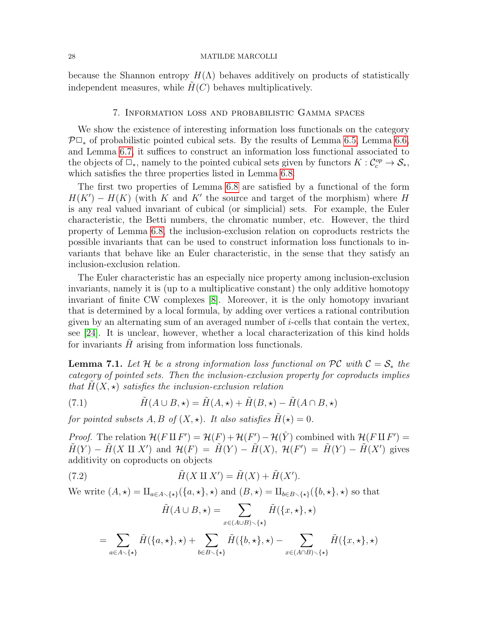because the Shannon entropy  $H(\Lambda)$  behaves additively on products of statistically independent measures, while  $H(C)$  behaves multiplicatively.

# 7. Information loss and probabilistic Gamma spaces

<span id="page-27-0"></span>We show the existence of interesting information loss functionals on the category  $\mathcal{P}\Box_{\ast}$  of probabilistic pointed cubical sets. By the results of Lemma [6.5,](#page-25-1) Lemma [6.6,](#page-25-0) and Lemma [6.7,](#page-26-1) it suffices to construct an information loss functional associated to the objects of  $\Box_*$ , namely to the pointed cubical sets given by functors  $K: \mathcal{C}_c^{op} \to \mathcal{S}_*,$ which satisfies the three properties listed in Lemma [6.8.](#page-26-2)

The first two properties of Lemma [6.8](#page-26-2) are satisfied by a functional of the form  $H(K') - H(K)$  (with K and K' the source and target of the morphism) where H is any real valued invariant of cubical (or simplicial) sets. For example, the Euler characteristic, the Betti numbers, the chromatic number, etc. However, the third property of Lemma [6.8,](#page-26-2) the inclusion-exclusion relation on coproducts restricts the possible invariants that can be used to construct information loss functionals to invariants that behave like an Euler characteristic, in the sense that they satisfy an inclusion-exclusion relation.

The Euler characteristic has an especially nice property among inclusion-exclusion invariants, namely it is (up to a multiplicative constant) the only additive homotopy invariant of finite CW complexes [\[8\]](#page-45-23). Moreover, it is the only homotopy invariant that is determined by a local formula, by adding over vertices a rational contribution given by an alternating sum of an averaged number of i-cells that contain the vertex, see [\[24\]](#page-45-24). It is unclear, however, whether a local characterization of this kind holds for invariants  $\hat{H}$  arising from information loss functionals.

**Lemma 7.1.** Let H be a strong information loss functional on PC with  $C = S_*$  the category of pointed sets. Then the inclusion-exclusion property for coproducts implies that  $H(X, \star)$  satisfies the inclusion-exclusion relation

<span id="page-27-1"></span>(7.1) 
$$
\tilde{H}(A \cup B, \star) = \tilde{H}(A, \star) + \tilde{H}(B, \star) - \tilde{H}(A \cap B, \star)
$$

for pointed subsets  $A, B$  of  $(X, \star)$ . It also satisfies  $\tilde{H}(\star) = 0$ .

*Proof.* The relation  $\mathcal{H}(F \amalg F') = \mathcal{H}(F) + \mathcal{H}(F') - \mathcal{H}(\hat{Y})$  combined with  $\mathcal{H}(F \amalg F') =$  $\tilde{H}(Y) - \tilde{H}(X \amalg X')$  and  $\mathcal{H}(F) = \tilde{H}(Y) - \tilde{H}(X), \mathcal{H}(F') = \tilde{H}(Y) - \tilde{H}(X')$  gives additivity on coproducts on objects

(7.2) 
$$
\tilde{H}(X \amalg X') = \tilde{H}(X) + \tilde{H}(X').
$$

We write  $(A, \star) = \amalg_{a \in A \setminus \{ \star \}} (\{a, \star \}, \star)$  and  $(B, \star) = \amalg_{b \in B \setminus \{ \star \}} (\{b, \star \}, \star)$  so that

<span id="page-27-2"></span>
$$
\tilde{H}(A \cup B, \star) = \sum_{x \in (A \cup B) \smallsetminus \{\star\}} \tilde{H}(\{x, \star\}, \star)
$$
\n
$$
= \sum_{a \in A \smallsetminus \{\star\}} \tilde{H}(\{a, \star\}, \star) + \sum_{b \in B \smallsetminus \{\star\}} \tilde{H}(\{b, \star\}, \star) - \sum_{x \in (A \cap B) \smallsetminus \{\star\}} \tilde{H}(\{x, \star\}, \star)
$$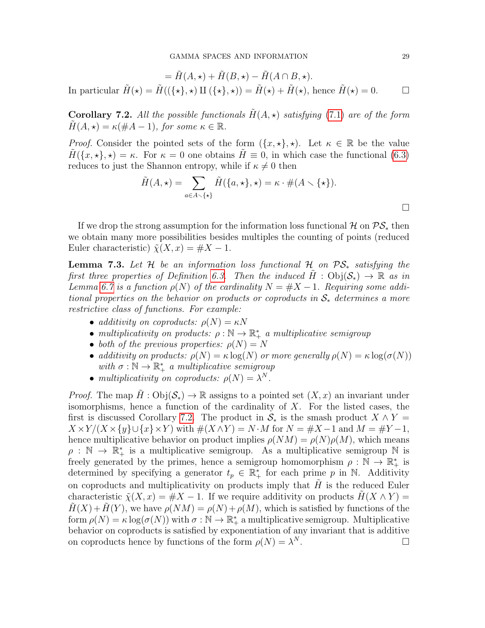$= \tilde{H}(A, \star) + \tilde{H}(B, \star) - \tilde{H}(A \cap B, \star).$ In particular  $\tilde{H}(\star) = \tilde{H}((\{\star\}, \star) \amalg (\{\star\}, \star)) = \tilde{H}(\star) + \tilde{H}(\star)$ , hence  $\tilde{H}(\star) = 0$ .

<span id="page-28-0"></span>**Corollary 7.2.** All the possible functionals  $H(A, \star)$  satisfying [\(7.1\)](#page-27-1) are of the form  $H(A, \star) = \kappa(\#A - 1)$ , for some  $\kappa \in \mathbb{R}$ .

*Proof.* Consider the pointed sets of the form  $(\{x, \star\}, \star)$ . Let  $\kappa \in \mathbb{R}$  be the value  $H({x, \star}, \star) = \kappa$ . For  $\kappa = 0$  one obtains  $H \equiv 0$ , in which case the functional [\(6.3\)](#page-26-0) reduces to just the Shannon entropy, while if  $\kappa \neq 0$  then

$$
\tilde{H}(A, \star) = \sum_{a \in A \smallsetminus \{\star\}} \tilde{H}(\{a, \star\}, \star) = \kappa \cdot \#(A \smallsetminus \{\star\}).
$$

If we drop the strong assumption for the information loss functional  $\mathcal{H}$  on  $\mathcal{PS}_*$  then we obtain many more possibilities besides multiples the counting of points (reduced Euler characteristic)  $\tilde{\chi}(X, x) = \#X - 1$ .

**Lemma 7.3.** Let H be an information loss functional H on  $\mathcal{PS}_*$  satisfying the first three properties of Definition [6.3.](#page-24-3) Then the induced  $H : \text{Obj}(\mathcal{S}_*) \to \mathbb{R}$  as in Lemma [6.7](#page-26-1) is a function  $\rho(N)$  of the cardinality  $N = \#X - 1$ . Requiring some additional properties on the behavior on products or coproducts in  $\mathcal{S}_*$  determines a more restrictive class of functions. For example:

- additivity on coproducts:  $\rho(N) = \kappa N$
- multiplicativity on products:  $\rho : \mathbb{N} \to \mathbb{R}_+^*$  a multiplicative semigroup
- both of the previous properties:  $\rho(N) = N$
- additivity on products:  $\rho(N) = \kappa \log(N)$  or more generally  $\rho(N) = \kappa \log(\sigma(N))$ with  $\sigma : \mathbb{N} \to \mathbb{R}_+^*$  a multiplicative semigroup
- multiplicativity on coproducts:  $\rho(N) = \lambda^N$ .

*Proof.* The map  $\tilde{H}$  : Obj $(\mathcal{S}_*) \to \mathbb{R}$  assigns to a pointed set  $(X, x)$  an invariant under isomorphisms, hence a function of the cardinality of  $X$ . For the listed cases, the first is discussed Corollary [7.2.](#page-28-0) The product in  $S_*$  is the smash product  $X \wedge Y =$  $X \times Y/(X \times \{y\} \cup \{x\} \times Y)$  with  $\#(X \wedge Y) = N \cdot M$  for  $N = \#X - 1$  and  $M = \#Y - 1$ , hence multiplicative behavior on product implies  $\rho(NM) = \rho(N)\rho(M)$ , which means  $\rho : \mathbb{N} \to \mathbb{R}_+^*$  is a multiplicative semigroup. As a multiplicative semigroup  $\mathbb N$  is freely generated by the primes, hence a semigroup homomorphism  $\rho : \mathbb{N} \to \mathbb{R}_+^*$  is determined by specifying a generator  $t_p \in \mathbb{R}_+^*$  for each prime p in N. Additivity on coproducts and multiplicativity on products imply that  $H$  is the reduced Euler characteristic  $\tilde{\chi}(X, x) = \#X - 1$ . If we require additivity on products  $H(X \wedge Y) =$  $H(X) + H(Y)$ , we have  $\rho(NM) = \rho(N) + \rho(M)$ , which is satisfied by functions of the form  $\rho(N) = \kappa \log(\sigma(N))$  with  $\sigma : \mathbb{N} \to \mathbb{R}_+^*$  a multiplicative semigroup. Multiplicative behavior on coproducts is satisfied by exponentiation of any invariant that is additive on coproducts hence by functions of the form  $\rho(N) = \lambda^N$ .  $N$  .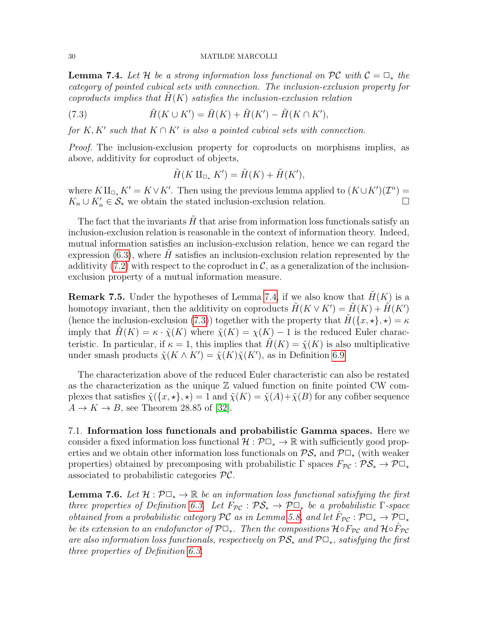<span id="page-29-0"></span>**Lemma 7.4.** Let H be a strong information loss functional on PC with  $C = \Box_*$  the category of pointed cubical sets with connection. The inclusion-exclusion property for coproducts implies that  $H(K)$  satisfies the inclusion-exclusion relation

(7.3) 
$$
\tilde{H}(K \cup K') = \tilde{H}(K) + \tilde{H}(K') - \tilde{H}(K \cap K'),
$$

for K, K' such that  $K \cap K'$  is also a pointed cubical sets with connection.

Proof. The inclusion-exclusion property for coproducts on morphisms implies, as above, additivity for coproduct of objects,

<span id="page-29-1"></span>
$$
\tilde{H}(K \amalg_{\Box_*} K') = \tilde{H}(K) + \tilde{H}(K'),
$$

where  $K\amalg_{\Box_{*}} K' = K \vee K'$ . Then using the previous lemma applied to  $(K \cup K')(\mathcal{I}^n) =$  $K_n \cup K'_n \in \mathcal{S}_*$  we obtain the stated inclusion-exclusion relation.

The fact that the invariants  $H$  that arise from information loss functionals satisfy an inclusion-exclusion relation is reasonable in the context of information theory. Indeed, mutual information satisfies an inclusion-exclusion relation, hence we can regard the expression  $(6.3)$ , where H satisfies an inclusion-exclusion relation represented by the additivity [\(7.2\)](#page-27-2) with respect to the coproduct in  $\mathcal{C}$ , as a generalization of the inclusionexclusion property of a mutual information measure.

**Remark 7.5.** Under the hypotheses of Lemma [7.4,](#page-29-0) if we also know that  $H(K)$  is a homotopy invariant, then the additivity on coproducts  $\tilde{H}(K \vee K') = \tilde{H}(K) + \tilde{H}(K')$ (hence the inclusion-exclusion [\(7.3\)](#page-29-1)) together with the property that  $H(\lbrace x, \star \rbrace, \star) = \kappa$ imply that  $H(K) = \kappa \cdot \tilde{\chi}(K)$  where  $\tilde{\chi}(K) = \chi(K) - 1$  is the reduced Euler characteristic. In particular, if  $\kappa = 1$ , this implies that  $H(K) = \tilde{\chi}(K)$  is also multiplicative under smash products  $\tilde{\chi}(K \wedge K') = \tilde{\chi}(K)\tilde{\chi}(K')$ , as in Definition [6.9.](#page-26-3)

The characterization above of the reduced Euler characteristic can also be restated as the characterization as the unique  $\mathbb Z$  valued function on finite pointed CW complexes that satisfies  $\tilde{\chi}(\{x, \star\}, \star) = 1$  and  $\tilde{\chi}(K) = \tilde{\chi}(A) + \tilde{\chi}(B)$  for any cofiber sequence  $A \rightarrow K \rightarrow B$ , see Theorem 28.85 of [\[32\]](#page-46-3).

7.1. Information loss functionals and probabilistic Gamma spaces. Here we consider a fixed information loss functional  $\mathcal{H}: \mathcal{P}\square_* \to \mathbb{R}$  with sufficiently good properties and we obtain other information loss functionals on  $\mathcal{PS}_*$  and  $\mathcal{P}\Box_*$  (with weaker properties) obtained by precomposing with probabilistic  $\Gamma$  spaces  $F_{\mathcal{PC}} : \mathcal{PS}_* \to \mathcal{P} \square_*$ associated to probabilistic categories PC.

**Lemma 7.6.** Let  $\mathcal{H}: \mathcal{P}\Box_* \to \mathbb{R}$  be an information loss functional satisfying the first three properties of Definition [6.3.](#page-24-3) Let  $F_{\mathcal{PC}} : \mathcal{PS}_* \to \mathcal{P} \square_*$  be a probabilistic  $\Gamma$ -space obtained from a probabilistic category PC as in Lemma [5.8,](#page-22-0) and let  $\hat{F}_{\mathcal{PC}} : \mathcal{P} \Box_* \to \mathcal{P} \Box_*$ be its extension to an endofunctor of  $\mathcal{P} \Box_*$ . Then the compositions  $\mathcal{H} \circ F_{\mathcal{PC}}$  and  $\mathcal{H} \circ \hat{F}_{\mathcal{PC}}$ are also information loss functionals, respectively on  $\mathcal{PS}_*$  and  $\mathcal{P}\Box_*$ , satisfying the first three properties of Definition [6.3.](#page-24-3)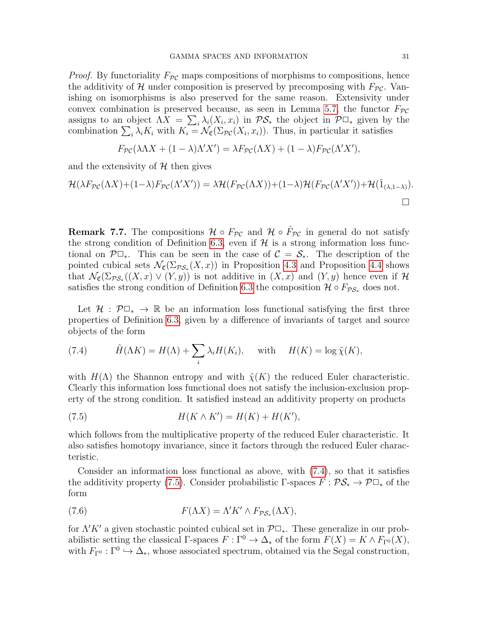*Proof.* By functoriality  $F_{\mathcal{PC}}$  maps compositions of morphisms to compositions, hence the additivity of H under composition is preserved by precomposing with  $F_{\mathcal{PC}}$ . Vanishing on isomorphisms is also preserved for the same reason. Extensivity under convex combination is preserved because, as seen in Lemma [5.7,](#page-22-1) the functor  $F_{\mathcal{PC}}$ assigns to an object  $\Lambda X = \sum_i \lambda_i (X_i, x_i)$  in  $\mathcal{PS}_*$  the object in  $\mathcal{P} \Box_*$  given by the combination  $\sum_i \lambda_i K_i$  with  $K_i = \mathcal{N}_{\mathfrak{C}}(\Sigma_{\mathcal{PC}}(X_i, x_i))$ . Thus, in particular it satisfies

$$
F_{\mathcal{PC}}(\lambda \Lambda X + (1 - \lambda)\Lambda' X') = \lambda F_{\mathcal{PC}}(\Lambda X) + (1 - \lambda) F_{\mathcal{PC}}(\Lambda' X'),
$$

and the extensivity of  $H$  then gives

$$
\mathcal{H}(\lambda F_{\mathcal{PC}}(\Lambda X) + (1-\lambda)F_{\mathcal{PC}}(\Lambda' X')) = \lambda \mathcal{H}(F_{\mathcal{PC}}(\Lambda X)) + (1-\lambda)\mathcal{H}(F_{\mathcal{PC}}(\Lambda' X')) + \mathcal{H}(\hat{1}_{(\lambda,1-\lambda)}).
$$

**Remark 7.7.** The compositions  $\mathcal{H} \circ F_{\mathcal{PC}}$  and  $\mathcal{H} \circ \hat{F}_{\mathcal{PC}}$  in general do not satisfy the strong condition of Definition [6.3,](#page-24-3) even if  $\mathcal H$  is a strong information loss functional on  $\mathcal{P} \Box_*$ . This can be seen in the case of  $\mathcal{C} = \mathcal{S}_*$ . The description of the pointed cubical sets  $\mathcal{N}_{\mathfrak{C}}(\Sigma_{\mathcal{PS}_*}(X,x))$  in Proposition [4.3](#page-19-0) and Proposition [4.4](#page-20-2) shows that  $\mathcal{N}_{\mathfrak{C}}(\Sigma_{\mathcal{PS}_*}((X,x)\vee(Y,y))$  is not additive in  $(X,x)$  and  $(Y,y)$  hence even if  $\mathcal H$ satisfies the strong condition of Definition [6.3](#page-24-3) the composition  $\mathcal{H} \circ F_{\mathcal{PS}_*}$  does not.

Let  $\mathcal{H} : \mathcal{P} \Box_* \to \mathbb{R}$  be an information loss functional satisfying the first three properties of Definition [6.3,](#page-24-3) given by a difference of invariants of target and source objects of the form

<span id="page-30-0"></span>(7.4) 
$$
\tilde{H}(\Lambda K) = H(\Lambda) + \sum_{i} \lambda_i H(K_i), \quad \text{with} \quad H(K) = \log \tilde{\chi}(K),
$$

with  $H(\Lambda)$  the Shannon entropy and with  $\tilde{\chi}(K)$  the reduced Euler characteristic. Clearly this information loss functional does not satisfy the inclusion-exclusion property of the strong condition. It satisfied instead an additivity property on products

<span id="page-30-1"></span>(7.5) 
$$
H(K \wedge K') = H(K) + H(K'),
$$

which follows from the multiplicative property of the reduced Euler characteristic. It also satisfies homotopy invariance, since it factors through the reduced Euler characteristic.

Consider an information loss functional as above, with [\(7.4\)](#page-30-0), so that it satisfies the additivity property [\(7.5\)](#page-30-1). Consider probabilistic Γ-spaces  $F : \mathcal{PS}_* \to \mathcal{P} \Box_*$  of the form

(7.6) 
$$
F(\Lambda X) = \Lambda' K' \wedge F_{\mathcal{PS}_*}(\Lambda X),
$$

for  $\Lambda' K'$  a given stochastic pointed cubical set in  $\mathcal{P} \Box_*$ . These generalize in our probabilistic setting the classical  $\Gamma$ -spaces  $F : \Gamma^0 \to \Delta_*$  of the form  $F(X) = K \wedge F_{\Gamma^0}(X)$ , with  $F_{\Gamma^0} : \Gamma^0 \hookrightarrow \Delta_*$ , whose associated spectrum, obtained via the Segal construction,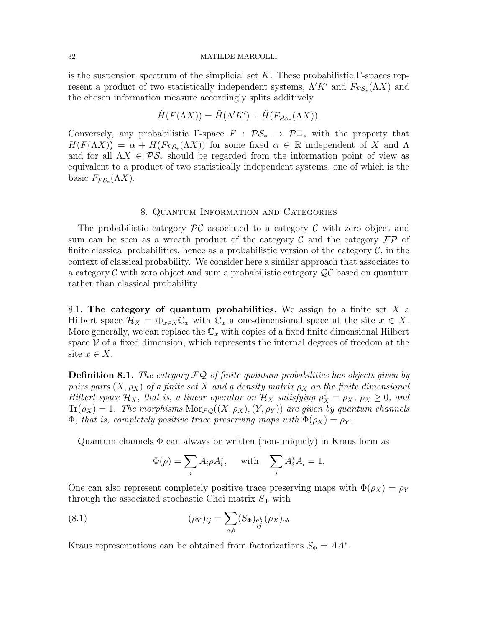is the suspension spectrum of the simplicial set K. These probabilistic  $\Gamma$ -spaces represent a product of two statistically independent systems,  $\Lambda' K'$  and  $F_{\mathcal{PS}_*}(\Lambda X)$  and the chosen information measure accordingly splits additively

$$
\tilde{H}(F(\Lambda X)) = \tilde{H}(\Lambda' K') + \tilde{H}(F_{\mathcal{PS}_*}(\Lambda X)).
$$

Conversely, any probabilistic Γ-space  $F : \mathcal{PS}_* \to \mathcal{P} \square_*$  with the property that  $H(F(\Lambda X)) = \alpha + H(F_{\mathcal{PS}_*}(\Lambda X))$  for some fixed  $\alpha \in \mathbb{R}$  independent of X and  $\Lambda$ and for all  $\Lambda X \in \mathcal{PS}_*$  should be regarded from the information point of view as equivalent to a product of two statistically independent systems, one of which is the basic  $F_{\mathcal{PS}_*}(\Lambda X)$ .

## 8. Quantum Information and Categories

<span id="page-31-0"></span>The probabilistic category  $\mathcal{PC}$  associated to a category  $\mathcal C$  with zero object and sum can be seen as a wreath product of the category  $\mathcal C$  and the category  $\mathcal F\mathcal P$  of finite classical probabilities, hence as a probabilistic version of the category  $\mathcal{C}$ , in the context of classical probability. We consider here a similar approach that associates to a category  $\mathcal C$  with zero object and sum a probabilistic category  $\mathcal Q$  based on quantum rather than classical probability.

8.1. The category of quantum probabilities. We assign to a finite set  $X$  a Hilbert space  $\mathcal{H}_X = \bigoplus_{x \in X} \mathbb{C}_x$  with  $\mathbb{C}_x$  a one-dimensional space at the site  $x \in X$ . More generally, we can replace the  $\mathbb{C}_x$  with copies of a fixed finite dimensional Hilbert space  $\mathcal V$  of a fixed dimension, which represents the internal degrees of freedom at the site  $x \in X$ .

**Definition 8.1.** The category  $\mathcal{FQ}$  of finite quantum probabilities has objects given by pairs pairs  $(X, \rho_X)$  of a finite set X and a density matrix  $\rho_X$  on the finite dimensional Hilbert space  $\mathcal{H}_X$ , that is, a linear operator on  $\mathcal{H}_X$  satisfying  $\rho_X^* = \rho_X$ ,  $\rho_X \geq 0$ , and  $Tr(\rho_X) = 1$ . The morphisms  $Mor_{\mathcal{FQ}}((X, \rho_X), (Y, \rho_Y))$  are given by quantum channels  $\Phi$ , that is, completely positive trace preserving maps with  $\Phi(\rho_X) = \rho_Y$ .

Quantum channels  $\Phi$  can always be written (non-uniquely) in Kraus form as

$$
\Phi(\rho) = \sum_i A_i \rho A_i^*, \quad \text{ with } \sum_i A_i^* A_i = 1.
$$

One can also represent completely positive trace preserving maps with  $\Phi(\rho_X) = \rho_Y$ through the associated stochastic Choi matrix  $S_{\Phi}$  with

(8.1) 
$$
(\rho_Y)_{ij} = \sum_{a,b} (S_{\Phi})_{ab} (\rho_X)_{ab}
$$

Kraus representations can be obtained from factorizations  $S_{\Phi} = AA^*$ .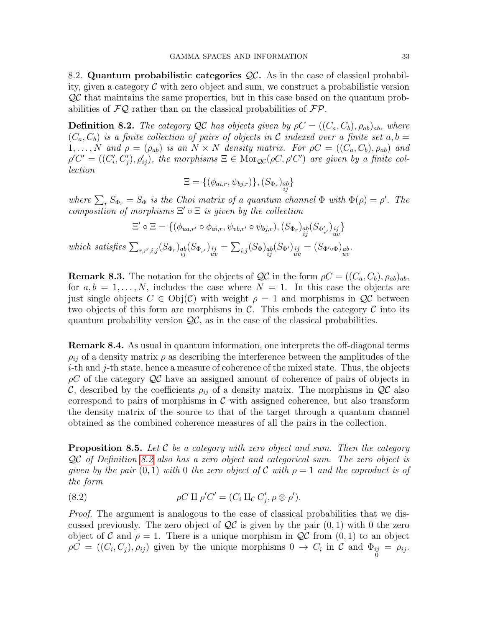8.2. Quantum probabilistic categories  $\mathcal{QC}$ . As in the case of classical probability, given a category  $\mathcal C$  with zero object and sum, we construct a probabilistic version  $\mathcal{Q}\mathcal{C}$  that maintains the same properties, but in this case based on the quantum probabilities of  $\mathcal{FQ}$  rather than on the classical probabilities of  $\mathcal{FP}$ .

<span id="page-32-0"></span>**Definition 8.2.** The category QC has objects given by  $\rho C = ((C_a, C_b), \rho_{ab})_{ab}$ , where  $(C_a, C_b)$  is a finite collection of pairs of objects in C indexed over a finite set a, b =  $1, \ldots, N$  and  $\rho = (\rho_{ab})$  is an  $N \times N$  density matrix. For  $\rho C = ((C_a, C_b), \rho_{ab})$  and  $\rho' C' = ((C_i', C_j'), \rho'_{ij}),$  the morphisms  $\Xi \in \text{Mor}_{\mathcal{QC}}(\rho C, \rho' C')$  are given by a finite collection

$$
\Xi = \{(\phi_{ai,r}, \psi_{bj,r})\}, (S_{\Phi_r})_{\substack{ab\\ij}}\}
$$

where  $\sum_r S_{\Phi_r} = S_{\Phi}$  is the Choi matrix of a quantum channel  $\Phi$  with  $\Phi(\rho) = \rho'$ . The composition of morphisms  $\Xi' \circ \Xi$  is given by the collection

$$
\Xi' \circ \Xi = \{ (\phi_{ua,r'} \circ \phi_{ai,r}, \psi_{vb,r'} \circ \psi_{bj,r}), (S_{\Phi_r})_{\substack{ab \ g' \\ ij}} (S_{\Phi'_{r'}})_{\substack{ij \\ uv}} \}
$$

which satisfies  $\sum_{r,r',i,j} (S_{\Phi_r})_{\substack{ab \ ij}} (S_{\Phi_{r'}})_{\substack{ij \ uv}} = \sum_{i,j} (S_{\Phi})_{\substack{ab \ ij}} (S_{\Phi'})_{\substack{ij \ uv}} = (S_{\Phi' \circ \Phi})_{\substack{ab \ uv}}$ 

**Remark 8.3.** The notation for the objects of  $\mathcal{QC}$  in the form  $\rho C = ((C_a, C_b), \rho_{ab})_{ab}$ , for  $a, b = 1, \ldots, N$ , includes the case where  $N = 1$ . In this case the objects are just single objects  $C \in \mathrm{Obj}(\mathcal{C})$  with weight  $\rho = 1$  and morphisms in  $\mathcal{QC}$  between two objects of this form are morphisms in  $\mathcal{C}$ . This embeds the category  $\mathcal C$  into its quantum probability version  $\mathcal{QC}$ , as in the case of the classical probabilities.

Remark 8.4. As usual in quantum information, one interprets the off-diagonal terms  $\rho_{ij}$  of a density matrix  $\rho$  as describing the interference between the amplitudes of the  $i$ -th and  $j$ -th state, hence a measure of coherence of the mixed state. Thus, the objects  $\rho C$  of the category  $\mathcal{Q}C$  have an assigned amount of coherence of pairs of objects in C, described by the coefficients  $\rho_{ij}$  of a density matrix. The morphisms in  $\mathcal{Q}C$  also correspond to pairs of morphisms in  $\mathcal C$  with assigned coherence, but also transform the density matrix of the source to that of the target through a quantum channel obtained as the combined coherence measures of all the pairs in the collection.

**Proposition 8.5.** Let C be a category with zero object and sum. Then the category QC of Definition [8.2](#page-32-0) also has a zero object and categorical sum. The zero object is given by the pair  $(0, 1)$  with 0 the zero object of C with  $\rho = 1$  and the coproduct is of the form

<span id="page-32-1"></span>(8.2) 
$$
\rho C \amalg \rho' C' = (C_i \amalg_C C'_j, \rho \otimes \rho').
$$

Proof. The argument is analogous to the case of classical probabilities that we discussed previously. The zero object of  $\mathcal{QC}$  is given by the pair  $(0, 1)$  with 0 the zero object of C and  $\rho = 1$ . There is a unique morphism in  $\mathcal{Q}C$  from  $(0, 1)$  to an object  $\rho C = ((C_i, C_j), \rho_{ij})$  given by the unique morphisms  $0 \to C_i$  in  $C$  and  $\Phi_{ij} = \rho_{ij}$ .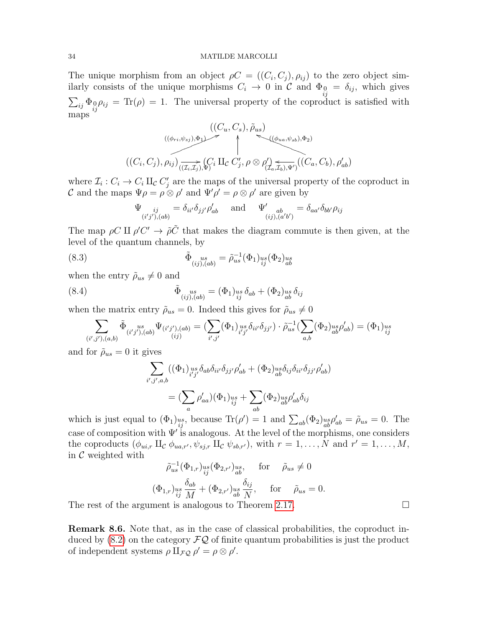The unique morphism from an object  $\rho C = ((C_i, C_j), \rho_{ij})$  to the zero object similarly consists of the unique morphisms  $C_i \rightarrow 0$  in  $\mathcal{C}$  and  $\Phi_{i,j} = \delta_{ij}$ , which gives  $\sum_{ij} \Phi_{ij} \rho_{ij} = \text{Tr}(\rho) = 1$ . The universal property of the coproduct is satisfied with maps

$$
((C_u, C_s), \tilde{\rho}_{us})
$$
  

$$
((\phi_{ri}, \psi_{sj}), \Phi_1) \rightarrow (\psi_{ua}, \psi_{sb}), \Phi_2)
$$
  

$$
((C_i, C_j), \rho_{ij}) \rightarrow (\overline{(z_i, z_j)}, \phi') \times \Pi_{\mathcal{C}} C'_j, \rho \otimes \rho'_{(\mathcal{I}_a, \mathcal{I}_b), \Psi')}((C_a, C_b), \rho'_{ab})
$$

where  $\mathcal{I}_i: C_i \to C_i$   $\amalg_{\mathcal{C}} C'_j$  are the maps of the universal property of the coproduct in C and the maps  $\Psi \rho = \rho \otimes \rho'$  and  $\Psi' \rho' = \rho \otimes \rho'$  are given by

$$
\Psi_{\substack{ij \ (i'j'),(ab)}} = \delta_{ii'}\delta_{jj'}\rho'_{ab} \quad \text{and} \quad \Psi'_{\substack{ab \ (ij),(a'b')}} = \delta_{aa'}\delta_{bb'}\rho_{ij}
$$

The map  $\rho C \amalg \rho' C' \to \tilde{\rho} \tilde{C}$  that makes the diagram commute is then given, at the level of the quantum channels, by

(8.3) 
$$
\tilde{\Phi}_{(ij),(ab)}^{us} = \tilde{\rho}_{us}^{-1}(\Phi_1)_{ij}^{us}(\Phi_2)_{ab}^{us}
$$

when the entry  $\tilde{\rho}_{us} \neq 0$  and

(8.4) 
$$
\tilde{\Phi}_{(ij),(ab)} = (\Phi_1)_{us}^{us} \delta_{ab} + (\Phi_2)_{us}^{us} \delta_{ij}
$$

when the matrix entry  $\tilde{\rho}_{us}=0$ . Indeed this gives for  $\tilde{\rho}_{us}\neq 0$ 

$$
\sum_{(i',j'),(a,b)} \tilde{\Phi}_{(i'j'),(ab)}^{\quad \ us} \Psi_{(i'j'),(ab)} = \left( \sum_{i',j'} (\Phi_1)_{i'j'}^{us} \delta_{ii'} \delta_{jj'} \right) \cdot \tilde{\rho}_{us}^{-1} \left( \sum_{a,b} (\Phi_2)_{ab}^{us} \rho'_{ab} \right) = (\Phi_1)_{ij}^{us}
$$

and for  $\rho_{us} = 0$  it gives

$$
\sum_{i',j',a,b} ((\Phi_1)_{i'j'}^{us} \delta_{ab} \delta_{ii'} \delta_{jj'} \rho'_{ab} + (\Phi_2)_{ab}^{us} \delta_{ij} \delta_{ii'} \delta_{jj'} \rho'_{ab})
$$

$$
= (\sum_a \rho'_{aa}) (\Phi_1)_{ij}^{us} + \sum_{ab} (\Phi_2)_{ab}^{us} \rho'_{ab} \delta_{ij}
$$

which is just equal to  $(\Phi_1)_{ij}^{\text{us}}$ , because  $\text{Tr}(\rho') = 1$  and  $\sum_{ab}(\Phi_2)_{ab}^{\text{us}}\rho'_{ab} = \tilde{\rho}_{us} = 0$ . The case of composition with  $\Psi'$  is analogous. At the level of the morphisms, one considers the coproducts  $(\phi_{ui,r} \amalg_{\mathcal{C}} \phi_{ua,r'}, \psi_{sj,r} \amalg_{\mathcal{C}} \psi_{sb,r'})$ , with  $r = 1, ..., N$  and  $r' = 1, ..., M$ , in  $\mathcal C$  weighted with

$$
\tilde{\rho}_{us}^{-1}(\Phi_{1,r})_{ij}^{us}(\Phi_{2,r'})_{ab}^{us}, \quad \text{for} \quad \tilde{\rho}_{us} \neq 0
$$
  

$$
(\Phi_{1,r})_{ij}^{us} \frac{\delta_{ab}}{M} + (\Phi_{2,r'})_{ab}^{us} \frac{\delta_{ij}}{N}, \quad \text{for} \quad \tilde{\rho}_{us} = 0.
$$

The rest of the argument is analogous to Theorem [2.17.](#page-8-1)  $\Box$ 

Remark 8.6. Note that, as in the case of classical probabilities, the coproduct induced by  $(8.2)$  on the category  $\mathcal{FQ}$  of finite quantum probabilities is just the product of independent systems  $\rho \amalg_{\mathcal{FQ}} \rho' = \rho \otimes \rho'.$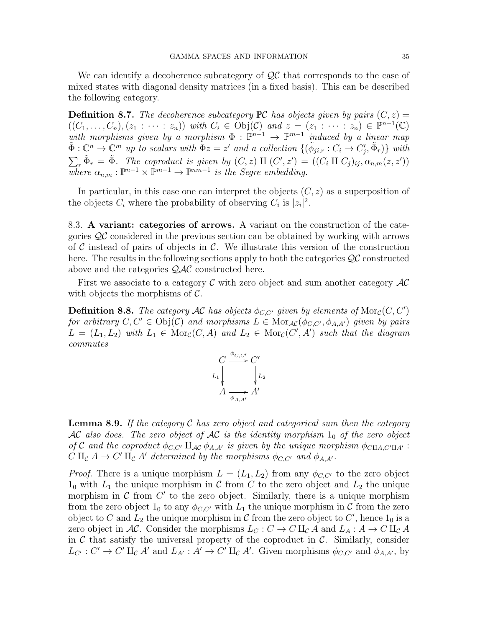We can identify a decoherence subcategory of  $\mathcal{QC}$  that corresponds to the case of mixed states with diagonal density matrices (in a fixed basis). This can be described the following category.

**Definition 8.7.** The decoherence subcategory  $\mathbb{PC}$  has objects given by pairs  $(C, z) =$  $((C_1,\ldots,C_n),(z_1:\cdots:z_n))$  with  $C_i\in\text{Obj}(\mathcal{C})$  and  $z=(z_1:\cdots:z_n)\in\mathbb{P}^{n-1}(\mathbb{C})$ with morphisms given by a morphism  $\Phi : \mathbb{P}^{n-1} \to \mathbb{P}^{m-1}$  induced by a linear map  $\tilde{\Phi}: \mathbb{C}^n \to \mathbb{C}^m$  up to scalars with  $\Phi z = z'$  and a collection  $\{(\tilde{\phi}_{ji,r} : C_i \to C'_j, \tilde{\Phi}_r)\}\$  with  $\sum_r \tilde{\Phi}_r = \tilde{\Phi}$ . The coproduct is given by  $(C, z)$  II  $(C', z') = ((C_i \amalg C_j)_{ij}, \alpha_{n,m}(z, z'))$ where  $\alpha_{n,m}: \mathbb{P}^{n-1} \times \mathbb{P}^{m-1} \to \mathbb{P}^{nm-1}$  is the Segre embedding.

In particular, in this case one can interpret the objects  $(C, z)$  as a superposition of the objects  $C_i$  where the probability of observing  $C_i$  is  $|z_i|^2$ .

8.3. A variant: categories of arrows. A variant on the construction of the categories QC considered in the previous section can be obtained by working with arrows of C instead of pairs of objects in C. We illustrate this version of the construction here. The results in the following sections apply to both the categories  $\mathcal{QC}$  constructed above and the categories QAC constructed here.

First we associate to a category  $\mathcal C$  with zero object and sum another category  $\mathcal A\mathcal C$ with objects the morphisms of  $\mathcal{C}$ .

**Definition 8.8.** The category AC has objects  $\phi_{C,C'}$  given by elements of  $\text{Mor}_{\mathcal{C}}(C, C')$ for arbitrary  $C, C' \in Obj(\mathcal{C})$  and morphisms  $L \in \text{Mor}_{\mathcal{AC}}(\phi_{C,C'}, \phi_{A,A'})$  given by pairs  $L = (L_1, L_2)$  with  $L_1 \in \text{Mor}_{\mathcal{C}}(C, A)$  and  $L_2 \in \text{Mor}_{\mathcal{C}}(C', A')$  such that the diagram commutes



**Lemma 8.9.** If the category  $\mathcal C$  has zero object and categorical sum then the category AC also does. The zero object of AC is the identity morphism  $1_0$  of the zero object of C and the coproduct  $\phi_{C,C'} \amalg_{AC} \phi_{A,A'}$  is given by the unique morphism  $\phi_{\text{CIIA},C'\text{II}A'}$ :  $C \amalg_{\mathcal{C}} A \to C' \amalg_{\mathcal{C}} A'$  determined by the morphisms  $\phi_{C,C'}$  and  $\phi_{A,A'}$ .

*Proof.* There is a unique morphism  $L = (L_1, L_2)$  from any  $\phi_{C,C'}$  to the zero object  $1_0$  with  $L_1$  the unique morphism in C from C to the zero object and  $L_2$  the unique morphism in  $\mathcal C$  from  $C'$  to the zero object. Similarly, there is a unique morphism from the zero object  $1_0$  to any  $\phi_{C,C'}$  with  $L_1$  the unique morphism in C from the zero object to C and  $L_2$  the unique morphism in C from the zero object to C', hence  $1_0$  is a zero object in AC. Consider the morphisms  $L_C : C \to C \amalg_{\mathcal{C}} A$  and  $L_A : A \to C \amalg_{\mathcal{C}} A$ in  $C$  that satisfy the universal property of the coproduct in  $C$ . Similarly, consider  $L_{C'}: C' \to C' \amalg_{\mathcal{C}} A'$  and  $L_{A'}: A' \to C' \amalg_{\mathcal{C}} A'$ . Given morphisms  $\phi_{C,C'}$  and  $\phi_{A,A'}$ , by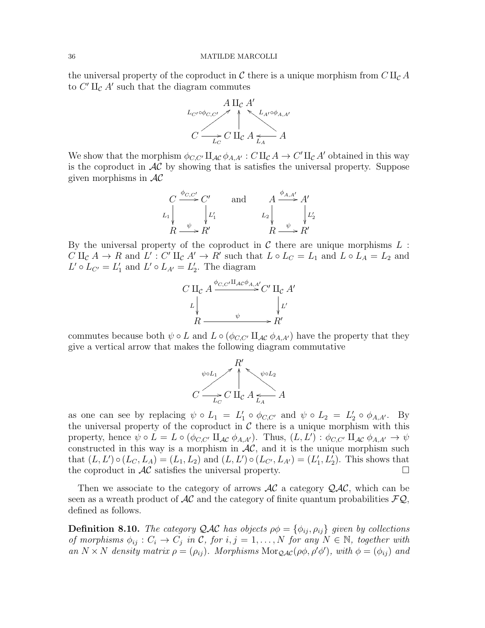the universal property of the coproduct in C there is a unique morphism from  $C\amalg_{\mathcal{C}} A$ to  $C'$   $\amalg_c$  A' such that the diagram commutes



We show that the morphism  $\phi_{C,C'} \amalg_{AC} \phi_{A,A'} : C \amalg_{C} A \to C' \amalg_{C} A'$  obtained in this way is the coproduct in  $AC$  by showing that is satisfies the universal property. Suppose given morphisms in  $AC$ 

$$
C \xrightarrow{\phi_{C,C'}} C' \qquad \text{and} \qquad A \xrightarrow{\phi_{A,A'}} A'
$$
  
\n
$$
L_1 \downarrow \qquad \qquad L_2 \downarrow \qquad \qquad L_2 \downarrow \qquad \qquad L_2
$$
  
\n
$$
R \xrightarrow{\psi} R' \qquad \qquad R \xrightarrow{\psi} R'
$$

By the universal property of the coproduct in  $\mathcal C$  there are unique morphisms  $L$ :  $C \amalg_{\mathcal{C}} A \to R$  and  $L' : C' \amalg_{\mathcal{C}} A' \to R'$  such that  $L \circ L_C = L_1$  and  $L \circ L_A = L_2$  and  $L' \circ L_{C'} = L'_1$  and  $L' \circ L_{A'} = L'_2$ . The diagram



commutes because both  $\psi \circ L$  and  $L \circ (\phi_{C,C'} \amalg_{AC} \phi_{A,A'})$  have the property that they give a vertical arrow that makes the following diagram commutative



as one can see by replacing  $\psi \circ L_1 = L'_1 \circ \phi_{C,C'}$  and  $\psi \circ L_2 = L'_2 \circ \phi_{A,A'}$ . By the universal property of the coproduct in  $C$  there is a unique morphism with this property, hence  $\psi \circ L = L \circ (\phi_{C,C'} \amalg_{AC} \phi_{A,A'})$ . Thus,  $(L, L') : \phi_{C,C'} \amalg_{AC} \phi_{A,A'} \to \psi$ constructed in this way is a morphism in  $AC$ , and it is the unique morphism such that  $(L, L') \circ (L_C, L_A) = (L_1, L_2)$  and  $(L, L') \circ (L_{C'}, L_{A'}) = (L'_1, L'_2)$ . This shows that the coproduct in  $AC$  satisfies the universal property.

Then we associate to the category of arrows  $AC$  a category  $QAC$ , which can be seen as a wreath product of  $AC$  and the category of finite quantum probabilities  $FQ$ , defined as follows.

**Definition 8.10.** The category QAC has objects  $\rho \phi = {\phi_{ij}, \rho_{ij}}$  given by collections of morphisms  $\phi_{ij}: C_i \to C_j$  in C, for  $i, j = 1, ..., N$  for any  $N \in \mathbb{N}$ , together with an  $N \times N$  density matrix  $\rho = (\rho_{ij})$ . Morphisms Mor<sub>QAC</sub>( $\rho \phi$ ,  $\rho' \phi'$ ), with  $\phi = (\phi_{ij})$  and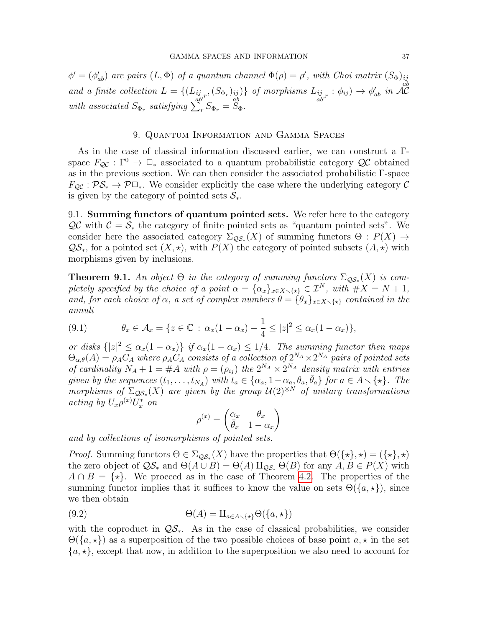$\phi' = (\phi'_{ab})$  are pairs  $(L, \Phi)$  of a quantum channel  $\Phi(\rho) = \rho'$ , with Choi matrix  $(S_{\Phi})_{ij}$ and a finite collection  $L = \{ (L_{ij,r}, (S_{\Phi_r})_{ij}) \}$  of morphisms  $L_{ij,r} : \phi_{ij} \to \phi'_{ab}$  in  $\mathcal{AC}_{ab}$ ab  $\{ \}$  of morphisms  $L_{\substack{ij \ n b'}} : \phi_{ij} \rightarrow \phi'_{ab}$  in  $\mathcal{A} \mathcal{C}$ with associated  $S_{\Phi_r}$  satisfying  $\sum_r S_{\Phi_r} = \overline{S}_{\Phi}$ .

# 9. Quantum Information and Gamma Spaces

<span id="page-36-0"></span>As in the case of classical information discussed earlier, we can construct a Γspace  $F_{\mathcal{Q}\mathcal{C}}:\Gamma^0\to\mathbb{Z}_*$  associated to a quantum probabilistic category  $\mathcal{Q}\mathcal{C}$  obtained as in the previous section. We can then consider the associated probabilistic Γ-space  $F_{\mathcal{O}\mathcal{C}} : \mathcal{PS}_* \to \mathcal{P} \square_*$ . We consider explicitly the case where the underlying category  $\mathcal{C}$ is given by the category of pointed sets  $S_{\ast}$ .

9.1. Summing functors of quantum pointed sets. We refer here to the category  $\mathcal{QC}$  with  $\mathcal{C} = \mathcal{S}_*$  the category of finite pointed sets as "quantum pointed sets". We consider here the associated category  $\Sigma_{\mathcal{QS}*}(X)$  of summing functors  $\Theta: P(X) \to$  $\mathcal{QS}_{*}$ , for a pointed set  $(X, \star)$ , with  $P(X)$  the category of pointed subsets  $(A, \star)$  with morphisms given by inclusions.

<span id="page-36-2"></span>**Theorem 9.1.** An object  $\Theta$  in the category of summing functors  $\Sigma_{\mathcal{QS}*}(X)$  is completely specified by the choice of a point  $\alpha = {\alpha_x}_{x \in X \setminus {\{\star\}}} \in \mathcal{I}^N$ , with  $\#X = N + 1$ , and, for each choice of  $\alpha$ , a set of complex numbers  $\theta = {\theta_x}_{x \in X \setminus \{*\}}$  contained in the annuli

<span id="page-36-1"></span>(9.1) 
$$
\theta_x \in \mathcal{A}_x = \{ z \in \mathbb{C} : \alpha_x (1 - \alpha_x) - \frac{1}{4} \le |z|^2 \le \alpha_x (1 - \alpha_x) \},
$$

or disks  $\{|z|^2 \leq \alpha_x(1-\alpha_x)\}$  if  $\alpha_x(1-\alpha_x) \leq 1/4$ . The summing functor then maps  $\Theta_{\alpha,\theta}(A) = \rho_A C_A$  where  $\rho_A C_A$  consists of a collection of  $2^{N_A} \times 2^{N_A}$  pairs of pointed sets of cardinality  $N_A + 1 = #A$  with  $\rho = (\rho_{ij})$  the  $2^{N_A} \times 2^{N_A}$  density matrix with entries given by the sequences  $(t_1, \ldots, t_{N_A})$  with  $t_a \in \{\alpha_a, 1-\alpha_a, \theta_a, \bar{\theta}_a\}$  for  $a \in A \setminus \{\star\}$ . The morphisms of  $\Sigma_{\mathcal{QS}*}(X)$  are given by the group  $\mathcal{U}(2)^{\otimes N}$  of unitary transformations acting by  $U_x \rho^{(x)} U_x^*$  on

<span id="page-36-3"></span>
$$
\rho^{(x)} = \begin{pmatrix} \alpha_x & \theta_x \\ \bar{\theta}_x & 1 - \alpha_x \end{pmatrix}
$$

and by collections of isomorphisms of pointed sets.

*Proof.* Summing functors  $\Theta \in \Sigma_{\mathcal{QS}*}(X)$  have the properties that  $\Theta({\{\star\}}, \star) = ({\{\star\}}, \star)$ the zero object of  $\mathcal{QS}_*$  and  $\Theta(A \cup B) = \Theta(A) \amalg_{\mathcal{QS}_*} \Theta(B)$  for any  $A, B \in P(X)$  with  $A \cap B = \{ \star \}.$  We proceed as in the case of Theorem [4.2.](#page-17-2) The properties of the summing functor implies that it suffices to know the value on sets  $\Theta({a,\star})$ , since we then obtain

(9.2) 
$$
\Theta(A) = \amalg_{a \in A \smallsetminus \{\star\}} \Theta(\{a, \star\})
$$

with the coproduct in  $\mathcal{QS}_*$ . As in the case of classical probabilities, we consider  $\Theta({a,\star})$  as a superposition of the two possible choices of base point  $a,\star$  in the set  ${a, \star}$ , except that now, in addition to the superposition we also need to account for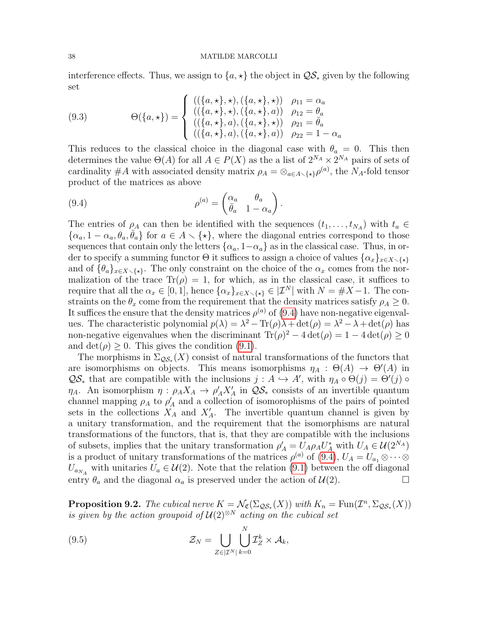interference effects. Thus, we assign to  $\{a, \star\}$  the object in  $\mathcal{QS}_*$  given by the following set

<span id="page-37-3"></span>(9.3) 
$$
\Theta(\{a,\star\}) = \begin{cases} ((\{a,\star\},\star),(\{a,\star\},\star)) & \rho_{11} = \alpha_a \\ ((\{a,\star\},\star),(\{a,\star\},a)) & \rho_{12} = \theta_a \\ ((\{a,\star\},a),(\{a,\star\},\star)) & \rho_{21} = \bar{\theta}_a \\ ((\{a,\star\},a),(\{a,\star\},a)) & \rho_{22} = 1 - \alpha_a \end{cases}
$$

This reduces to the classical choice in the diagonal case with  $\theta_a = 0$ . This then determines the value  $\Theta(A)$  for all  $A \in P(X)$  as the a list of  $2^{N_A} \times 2^{N_A}$  pairs of sets of cardinality #A with associated density matrix  $\rho_A = \otimes_{a \in A \setminus \{*\}} \rho^{(a)}$ , the N<sub>A</sub>-fold tensor product of the matrices as above

<span id="page-37-0"></span>(9.4) 
$$
\rho^{(a)} = \begin{pmatrix} \alpha_a & \theta_a \\ \bar{\theta}_a & 1 - \alpha_a \end{pmatrix}.
$$

The entries of  $\rho_A$  can then be identified with the sequences  $(t_1, \ldots, t_{N_A})$  with  $t_a \in$  $\{\alpha_a, 1 - \alpha_a, \theta_a, \overline{\theta_a}\}\$ for  $a \in A \setminus \{\star\}$ , where the diagonal entries correspond to those sequences that contain only the letters  $\{\alpha_a, 1-\alpha_a\}$  as in the classical case. Thus, in order to specify a summing functor  $\Theta$  it suffices to assign a choice of values  $\{\alpha_x\}_{x\in X\setminus\{\star\}}$ and of  $\{\theta_a\}_{x\in X\setminus\{\star\}}$ . The only constraint on the choice of the  $\alpha_x$  comes from the normalization of the trace  $\text{Tr}(\rho) = 1$ , for which, as in the classical case, it suffices to require that all the  $\alpha_x \in [0,1]$ , hence  $\{\alpha_x\}_{x \in X \setminus \{\star\}} \in |\mathcal{I}^N|$  with  $N = \#X - 1$ . The constraints on the  $\theta_x$  come from the requirement that the density matrices satisfy  $\rho_A \geq 0$ . It suffices the ensure that the density matrices  $\rho^{(a)}$  of [\(9.4\)](#page-37-0) have non-negative eigenvalues. The characteristic polynomial  $p(\lambda) = \lambda^2 - \text{Tr}(\rho)\lambda + \det(\rho) = \lambda^2 - \lambda + \det(\rho)$  has non-negative eigenvalues when the discriminant  $\text{Tr}(\rho)^2 - 4 \det(\rho) = 1 - 4 \det(\rho) \ge 0$ and  $\det(\rho) \geq 0$ . This gives the condition [\(9.1\)](#page-36-1).

The morphisms in  $\Sigma_{\mathcal{QS}_*}(X)$  consist of natural transformations of the functors that are isomorphisms on objects. This means isomorphisms  $\eta_A : \Theta(A) \to \Theta'(A)$  in  $\mathcal{QS}_{*}$  that are compatible with the inclusions  $j : A \hookrightarrow A'$ , with  $\eta_A \circ \Theta(j) = \Theta'(j) \circ$  $\eta_A$ . An isomorphism  $\eta$ :  $\rho_A X_A \to \rho'_A X'_A$  in  $\mathcal{QS}_*$  consists of an invertible quantum channel mapping  $\rho_A$  to  $\rho'_A$  and a collection of isomorophisms of the pairs of pointed sets in the collections  $X_A$  and  $X'_A$ . The invertible quantum channel is given by a unitary transformation, and the requirement that the isomorphisms are natural transformations of the functors, that is, that they are compatible with the inclusions of subsets, implies that the unitary transformation  $\rho'_{A} = U_{A}\rho_{A}U_{A}^{*}$  with  $U_{A} \in \mathcal{U}(2^{N_{A}})$ is a product of unitary transformations of the matrices  $\rho^{(a)}$  of [\(9.4\)](#page-37-0),  $U_A = U_{a_1} \otimes \cdots \otimes$  $U_{a_{N_A}}$  with unitaries  $U_a \in \mathcal{U}(2)$ . Note that the relation [\(9.1\)](#page-36-1) between the off diagonal entry  $\theta_a$  and the diagonal  $\alpha_a$  is preserved under the action of  $\mathcal{U}(2)$ .

<span id="page-37-2"></span>**Proposition 9.2.** The cubical nerve  $K = \mathcal{N}_{\mathfrak{C}}(\Sigma_{\mathcal{QS}*}(X))$  with  $K_n = \text{Fun}(\mathcal{I}^n, \Sigma_{\mathcal{QS}*}(X))$ is given by the action groupoid of  $\mathcal{U}(2)^{\otimes N}$  acting on the cubical set

<span id="page-37-1"></span>(9.5) 
$$
\mathcal{Z}_N = \bigcup_{Z \in |\mathcal{I}^N|} \bigcup_{k=0}^N \mathcal{I}_Z^k \times \mathcal{A}_k,
$$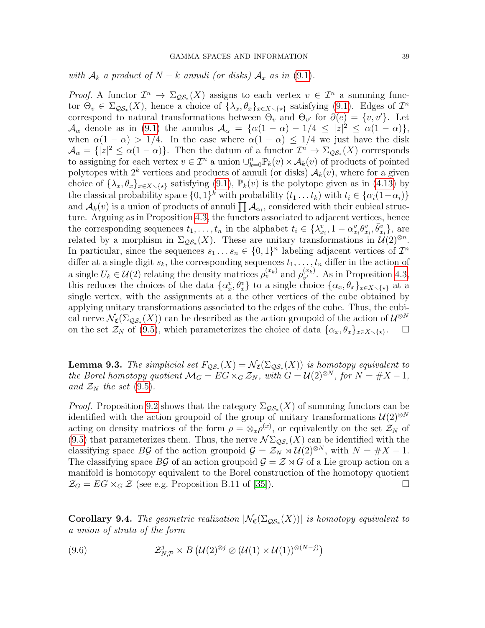with  $\mathcal{A}_k$  a product of  $N - k$  annuli (or disks)  $\mathcal{A}_x$  as in [\(9.1\)](#page-36-1).

*Proof.* A functor  $\mathcal{I}^n \to \Sigma_{\mathcal{QS}_*}(X)$  assigns to each vertex  $v \in \mathcal{I}^n$  a summing functor  $\Theta_v \in \Sigma_{\mathcal{QS}_*}(X)$ , hence a choice of  $\{\lambda_x, \theta_x\}_{x \in X \setminus \{\star\}}$  satisfying [\(9.1\)](#page-36-1). Edges of  $\mathcal{I}^n$ correspond to natural transformations between  $\Theta_v$  and  $\Theta_{v'}$  for  $\partial(e) = \{v, v'\}$ . Let  $\mathcal{A}_{\alpha}$  denote as in [\(9.1\)](#page-36-1) the annulus  $\mathcal{A}_{\alpha} = {\alpha(1 - \alpha) - 1/4 \leq |z|^2 \leq \alpha(1 - \alpha)},$ when  $\alpha(1-\alpha) > 1/4$ . In the case where  $\alpha(1-\alpha) \leq 1/4$  we just have the disk  $\mathcal{A}_{\alpha} = \{ |z|^2 \leq \alpha(1-\alpha) \}.$  Then the datum of a functor  $\mathcal{I}^n \to \Sigma_{\mathcal{QS}_*}(X)$  corresponds to assigning for each vertex  $v \in \mathcal{I}^n$  a union  $\cup_{k=0}^n \mathbb{P}_k(v) \times \mathcal{A}_k(v)$  of products of pointed polytopes with  $2^k$  vertices and products of annuli (or disks)  $\mathcal{A}_k(v)$ , where for a given choice of  $\{\lambda_x, \theta_x\}_{x \in X \setminus \{\star\}}$  satisfying [\(9.1\)](#page-36-1),  $\mathbb{P}_k(v)$  is the polytope given as in [\(4.13\)](#page-19-1) by the classical probability space  $\{0,1\}^k$  with probability  $(t_1 \ldots t_k)$  with  $t_i \in \{\alpha_i(1-\alpha_i)\}\$ and  $\mathcal{A}_k(v)$  is a union of products of annuli  $\prod \mathcal{A}_{\alpha_i}$ , considered with their cubical structure. Arguing as in Proposition [4.3,](#page-19-0) the functors associated to adjacent vertices, hence the corresponding sequences  $t_1, \ldots, t_n$  in the alphabet  $t_i \in \{\lambda_{x_i}^v, 1 - \alpha_{x_i}^v \theta_{x_i}^v, \overline{\theta}_{x_i}^v\}$ , are related by a morphism in  $\Sigma_{\mathcal{QS}*}(X)$ . These are unitary transformations in  $\mathcal{U}(2)^{\otimes n}$ . In particular, since the sequences  $s_1 \dots s_n \in \{0,1\}^n$  labeling adjacent vertices of  $\mathcal{I}^n$ differ at a single digit  $s_k$ , the corresponding sequences  $t_1, \ldots, t_n$  differ in the action of a single  $U_k \in \mathcal{U}(2)$  relating the density matrices  $\rho_v^{(x_k)}$  and  $\rho_{v'}^{(x_k)}$  $v''$ . As in Proposition [4.3,](#page-19-0) this reduces the choices of the data  $\{\alpha_x^v, \theta_x^v\}$  to a single choice  $\{\alpha_x, \theta_x\}_{x \in X \setminus \{\star\}}$  at a single vertex, with the assignments at a the other vertices of the cube obtained by applying unitary transformations associated to the edges of the cube. Thus, the cubical nerve  $\mathcal{N}_{\mathfrak{C}}(\Sigma_{\mathcal{QS}_{*}}(X))$  can be described as the action groupoid of the action of  $\mathcal{U}^{\otimes N}$ on the set  $\mathcal{Z}_N$  of [\(9.5\)](#page-37-1), which parameterizes the choice of data  $\{\alpha_x, \theta_x\}_{x \in X \setminus \{\star\}}$ .  $\Box$ 

**Lemma 9.3.** The simplicial set  $F_{\mathcal{QS}*}(X) = \mathcal{N}_{\mathfrak{C}}(\Sigma_{\mathcal{QS}*}(X))$  is homotopy equivalent to the Borel homotopy quotient  $\mathcal{M}_G = EG \times_G \mathcal{Z}_N$ , with  $G = \mathcal{U}(2)^{\otimes N}$ , for  $N = \#X - 1$ , and  $\mathcal{Z}_N$  the set [\(9.5\)](#page-37-1).

*Proof.* Proposition [9.2](#page-37-2) shows that the category  $\Sigma_{\mathcal{QS}_*}(X)$  of summing functors can be identified with the action groupoid of the group of unitary transformations  $\mathcal{U}(2)^{\otimes N}$ acting on density matrices of the form  $\rho = \otimes_x \rho^{(x)}$ , or equivalently on the set  $\mathcal{Z}_N$  of [\(9.5\)](#page-37-1) that parameterizes them. Thus, the nerve  $\mathcal{N}\Sigma_{\mathcal{QS}*}(X)$  can be identified with the classifying space BG of the action groupoid  $\mathcal{G} = \mathcal{Z}_N \rtimes \mathcal{U}(2)^{\otimes N}$ , with  $N = \#X - 1$ . The classifying space BG of an action groupoid  $\mathcal{G} = \mathcal{Z} \rtimes G$  of a Lie group action on a manifold is homotopy equivalent to the Borel construction of the homotopy quotient  $\mathcal{Z}_G = EG \times_G \mathcal{Z}$  (see e.g. Proposition B.11 of [\[35\]](#page-46-4)).

<span id="page-38-1"></span>**Corollary 9.4.** The geometric realization  $|\mathcal{N}_{\mathfrak{C}}(\Sigma_{\mathcal{QS}_{*}}(X))|$  is homotopy equivalent to a union of strata of the form

<span id="page-38-0"></span>(9.6) 
$$
\mathcal{Z}_{N,\mathcal{P}}^j \times B\left(\mathcal{U}(2)^{\otimes j}\otimes(\mathcal{U}(1)\times\mathcal{U}(1))^{\otimes (N-j)}\right)
$$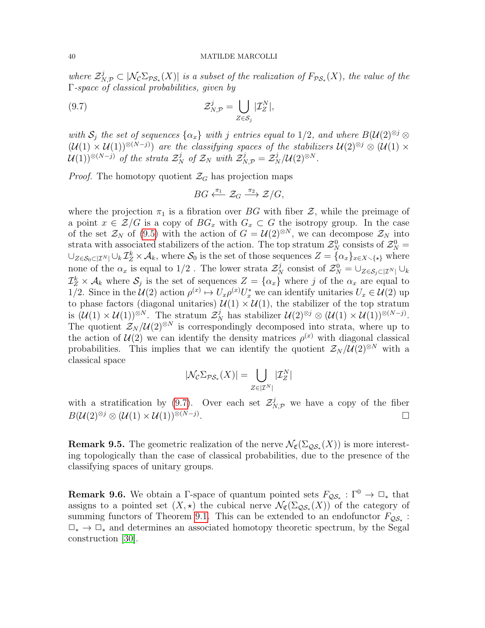where  $\mathcal{Z}_{N,\mathcal{P}}^j \subset |\mathcal{N}_{\mathcal{C}} \Sigma_{\mathcal{PS}_{*}}(X)|$  is a subset of the realization of  $F_{\mathcal{PS}_{*}}(X)$ , the value of the Γ-space of classical probabilities, given by

(9.7) 
$$
\mathcal{Z}_{N,\mathcal{P}}^j = \bigcup_{Z \in \mathcal{S}_j} |\mathcal{I}_Z^N|,
$$

with  $S_i$  the set of sequences  $\{\alpha_x\}$  with j entries equal to 1/2, and where  $B(\mathcal{U}(2)^{\otimes j} \otimes$  $(\mathcal{U}(1) \times \mathcal{U}(1))^{\otimes (N-j)})$  are the classifying spaces of the stabilizers  $\mathcal{U}(2)^{\otimes j} \otimes (\mathcal{U}(1) \times$  $\mathcal{U}(1))^{\otimes (N-j)}$  of the strata  $\mathcal{Z}_N^j$  of  $\mathcal{Z}_N$  with  $\mathcal{Z}_{N,\mathcal{P}}^j = \mathcal{Z}_N^j/\mathcal{U}(2)^{\otimes N}$ .

*Proof.* The homotopy quotient  $\mathcal{Z}_G$  has projection maps

<span id="page-39-0"></span>
$$
BG \xleftarrow{\pi_1} \mathcal{Z}_G \xrightarrow{\pi_2} \mathcal{Z}/G,
$$

where the projection  $\pi_1$  is a fibration over BG with fiber  $\mathcal{Z}$ , while the preimage of a point  $x \in \mathcal{Z}/G$  is a copy of  $BG_x$  with  $G_x \subset G$  the isotropy group. In the case of the set  $\mathcal{Z}_N$  of [\(9.5\)](#page-37-1) with the action of  $G = \mathcal{U}(2)^{\otimes N}$ , we can decompose  $\mathcal{Z}_N$  into strata with associated stabilizers of the action. The top stratum  $\mathcal{Z}_N^0$  consists of  $\mathcal{Z}_N^0$  =  $\bigcup_{Z\in\mathcal{S}_0\subset[\mathcal{I}^N]}\bigcup_k\mathcal{I}_Z^k\times\mathcal{A}_k$ , where  $\mathcal{S}_0$  is the set of those sequences  $Z=\{\alpha_x\}_{x\in X\setminus\{\star\}}$  where none of the  $\alpha_x$  is equal to 1/2. The lower strata  $\mathcal{Z}_N^j$  consist of  $\mathcal{Z}_N^0 = \bigcup_{Z \in \mathcal{S}_j \subset |\mathcal{I}^N|} \bigcup_k$  $\mathcal{I}_Z^k \times \mathcal{A}_k$  where  $\mathcal{S}_j$  is the set of sequences  $Z = {\alpha_x}$  where j of the  $\alpha_x$  are equal to 1/2. Since in the  $\mathcal{U}(2)$  action  $\rho^{(x)} \mapsto U_x \rho^{(x)} U_x^*$  we can identify unitaries  $U_x \in \mathcal{U}(2)$  up to phase factors (diagonal unitaries)  $\mathcal{U}(1) \times \mathcal{U}(1)$ , the stabilizer of the top stratum is  $(\mathcal{U}(1) \times \mathcal{U}(1))^{\otimes N}$ . The stratum  $\mathcal{Z}_N^j$  has stabilizer  $\mathcal{U}(2)^{\otimes j} \otimes (\mathcal{U}(1) \times \mathcal{U}(1))^{\otimes (N-j)}$ . The quotient  $Z_N /U(2)^{\otimes N}$  is correspondingly decomposed into strata, where up to the action of  $\mathcal{U}(2)$  we can identify the density matrices  $\rho^{(x)}$  with diagonal classical probabilities. This implies that we can identify the quotient  $\mathcal{Z}_N / \mathcal{U}(2)^{\otimes N}$  with a classical space

$$
|\mathcal{N}_{\mathcal{C}}\Sigma_{\mathcal{PS}_*}(X)| = \bigcup_{Z \in |\mathcal{I}^N|} |\mathcal{I}_Z^N|
$$

with a stratification by [\(9.7\)](#page-39-0). Over each set  $\mathcal{Z}_{N,\mathcal{P}}^j$  we have a copy of the fiber  $B(\mathcal{U}(2)^{\otimes j} \otimes (\mathcal{U}(1) \times \mathcal{U}(1))^{\otimes (N-j)}.$ . В последните при последните последните последните последните последните последните последните последните по<br>В последните последните последните последните последните последните последните последните последните последнит

**Remark 9.5.** The geometric realization of the nerve  $\mathcal{N}_{\mathfrak{C}}(\Sigma_{\mathcal{QS}*}(X))$  is more interesting topologically than the case of classical probabilities, due to the presence of the classifying spaces of unitary groups.

**Remark 9.6.** We obtain a  $\Gamma$ -space of quantum pointed sets  $F_{\mathcal{QS}*}: \Gamma^0 \to \mathbb{Z}_*$  that assigns to a pointed set  $(X, \star)$  the cubical nerve  $\mathcal{N}_{\mathfrak{C}}(\Sigma_{\mathcal{QS}_{*}}(X))$  of the category of summing functors of Theorem [9.1.](#page-36-2) This can be extended to an endofunctor  $F_{\mathcal{QS}_*}$ :  $\Box_* \rightarrow \Box_*$  and determines an associated homotopy theoretic spectrum, by the Segal construction [\[30\]](#page-45-1).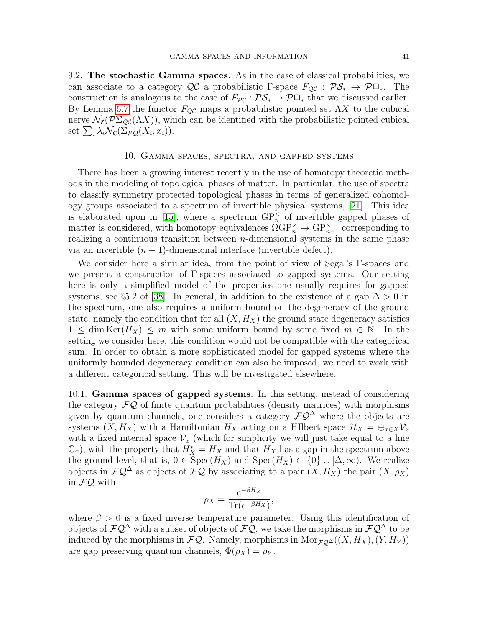9.2. The stochastic Gamma spaces. As in the case of classical probabilities, we can associate to a category  $\mathcal{QC}$  a probabilistic Γ-space  $F_{\mathcal{QC}} : \mathcal{PS}_* \to \mathcal{P} \Box_*$ . The construction is analogous to the case of  $F_{\mathcal{PC}} : \mathcal{PS}_* \to \mathcal{P}\Box_*$  that we discussed earlier. By Lemma [5.7](#page-22-1) the functor  $F_{\mathcal{Q}C}$  maps a probabilistic pointed set  $\Lambda X$  to the cubical nerve  $\mathcal{N}_{\mathfrak{C}}(\mathcal{P}\Sigma_{\mathcal{Q}\mathcal{C}}(\Lambda X))$ , which can be identified with the probabilistic pointed cubical set  $\sum_i \lambda_i \mathcal{N}_{\mathfrak{C}}(\Sigma_{\mathcal{PQ}}(X_i, x_i)).$ 

# 10. Gamma spaces, spectra, and gapped systems

<span id="page-40-0"></span>There has been a growing interest recently in the use of homotopy theoretic methods in the modeling of topological phases of matter. In particular, the use of spectra to classify symmetry protected topological phases in terms of generalized cohomology groups associated to a spectrum of invertible physical systems, [\[21\]](#page-45-25). This idea is elaborated upon in [\[15\]](#page-45-5), where a spectrum  $\text{GP}_{n}^{\times}$  of invertible gapped phases of matter is considered, with homotopy equivalences  $\OmegaGP_n^{\times} \to GP_{n-1}^{\times}$  corresponding to realizing a continuous transition between  $n$ -dimensional systems in the same phase via an invertible  $(n - 1)$ -dimensional interface (invertible defect).

We consider here a similar idea, from the point of view of Segal's Γ-spaces and we present a construction of Γ-spaces associated to gapped systems. Our setting here is only a simplified model of the properties one usually requires for gapped systems, see §5.2 of [\[38\]](#page-46-5). In general, in addition to the existence of a gap  $\Delta > 0$  in the spectrum, one also requires a uniform bound on the degeneracy of the ground state, namely the condition that for all  $(X, H_X)$  the ground state degeneracy satisfies  $1 \leq \dim \text{Ker}(H_X) \leq m$  with some uniform bound by some fixed  $m \in \mathbb{N}$ . In the setting we consider here, this condition would not be compatible with the categorical sum. In order to obtain a more sophisticated model for gapped systems where the uniformly bounded degeneracy condition can also be imposed, we need to work with a different categorical setting. This will be investigated elsewhere.

10.1. Gamma spaces of gapped systems. In this setting, instead of considering the category  $\mathcal{FQ}$  of finite quantum probabilities (density matrices) with morphisms given by quantum channels, one considers a category  $\mathcal{FQ}^{\Delta}$  where the objects are systems  $(X, H_X)$  with a Hamiltonian  $H_X$  acting on a HIlbert space  $\mathcal{H}_X = \bigoplus_{x \in X} \mathcal{V}_x$ with a fixed internal space  $\mathcal{V}_x$  (which for simplicity we will just take equal to a line  $(\mathbb{C}_x)$ , with the property that  $H_X^* = H_X$  and that  $H_X$  has a gap in the spectrum above the ground level, that is,  $0 \in \text{Spec}(H_X)$  and  $\text{Spec}(H_X) \subset \{0\} \cup [\Delta, \infty)$ . We realize objects in  $\mathcal{FQ}^{\Delta}$  as objects of  $\mathcal{FQ}$  by associating to a pair  $(X, H_X)$  the pair  $(X, \rho_X)$ in FQ with

$$
\rho_X = \frac{e^{-\beta H_X}}{\text{Tr}(e^{-\beta H_X})},
$$

where  $\beta > 0$  is a fixed inverse temperature parameter. Using this identification of objects of  $\mathcal{F}Q^{\Delta}$  with a subset of objects of  $\mathcal{F}Q$ , we take the morphisms in  $\mathcal{F}Q^{\Delta}$  to be induced by the morphisms in  $\mathcal{FQ}$ . Namely, morphisms in Mor $_{\mathcal{FQ}^{\Delta}}((X, H_X), (Y, H_Y))$ are gap preserving quantum channels,  $\Phi(\rho_X) = \rho_Y$ .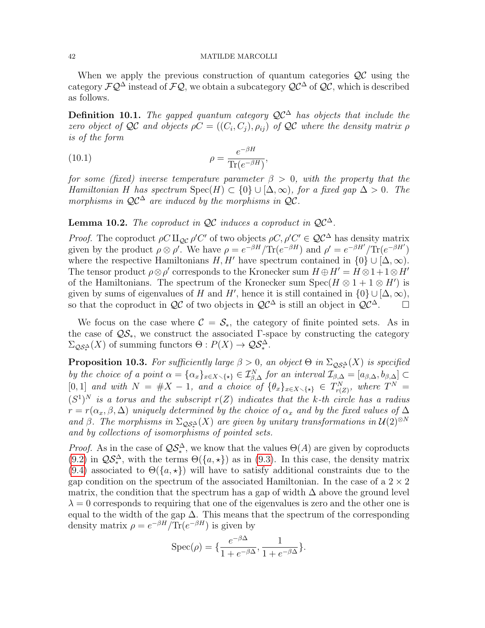When we apply the previous construction of quantum categories  $\mathcal{Q} \mathcal{C}$  using the category  $\mathcal{FQ}^{\Delta}$  instead of  $\mathcal{FQ}$ , we obtain a subcategory  $\mathcal{QC}^{\Delta}$  of  $\mathcal{QC}$ , which is described as follows.

Definition 10.1. The gapped quantum category  $\mathcal{QC}^{\Delta}$  has objects that include the zero object of QC and objects  $\rho C = ((C_i, C_j), \rho_{ij})$  of QC where the density matrix  $\rho$ is of the form

,

(10.1) 
$$
\rho = \frac{e^{-\beta H}}{\text{Tr}(e^{-\beta H})}
$$

for some (fixed) inverse temperature parameter  $\beta > 0$ , with the property that the Hamiltonian H has spectrum  $Spec(H) \subset \{0\} \cup [\Delta, \infty)$ , for a fixed gap  $\Delta > 0$ . The morphisms in  $\mathcal{QC}^{\Delta}$  are induced by the morphisms in  $\mathcal{QC}$ .

# **Lemma 10.2.** The coproduct in  $\mathcal{QC}$  induces a coproduct in  $\mathcal{QC}^{\Delta}$ .

*Proof.* The coproduct  $\rho C \amalg_{\mathcal{Q}C} \rho' C'$  of two objects  $\rho C, \rho' C' \in \mathcal{Q}C^{\Delta}$  has density matrix given by the product  $\rho \otimes \rho'$ . We have  $\rho = e^{-\beta H}/\text{Tr}(e^{-\beta H})$  and  $\rho' = e^{-\beta H'}/\text{Tr}(e^{-\beta H'})$ where the respective Hamiltonians  $H, H'$  have spectrum contained in  $\{0\} \cup [\Delta, \infty)$ . The tensor product  $\rho \otimes \rho'$  corresponds to the Kronecker sum  $H \oplus H' = H \otimes 1 + 1 \otimes H'$ of the Hamiltonians. The spectrum of the Kronecker sum  $Spec(H \otimes 1 + 1 \otimes H')$  is given by sums of eigenvalues of H and H', hence it is still contained in  $\{0\} \cup [\Delta, \infty)$ , so that the coproduct in  $\mathcal{QC}$  of two objects in  $\mathcal{QC}^{\Delta}$  is still an object in  $\mathcal{QC}^{\Delta}$ .  $\square$ 

We focus on the case where  $\mathcal{C} = \mathcal{S}_{*}$ , the category of finite pointed sets. As in the case of  $\mathcal{QS}_*$ , we construct the associated Γ-space by constructing the category  $\Sigma_{\mathcal{QS}_*^{\Delta}}(X)$  of summing functors  $\Theta: P(X) \to \mathcal{QS}_*^{\Delta}$ .

<span id="page-41-0"></span>**Proposition 10.3.** For sufficiently large  $\beta > 0$ , an object  $\Theta$  in  $\Sigma_{\mathcal{QS}_*^{\Delta}}(X)$  is specified by the choice of a point  $\alpha = {\alpha_x}_{x \in X \setminus {\{\star\}}} \in \mathcal{I}_{\beta,\Delta}^N$  for an interval  $\mathcal{I}_{\beta,\Delta} = [\alpha_{\beta,\Delta}, \beta_{\beta,\Delta}] \subset$ [0, 1] and with  $N = #X - 1$ , and a choice of  $\{\theta_x\}_{x \in X \setminus \{\star\}} \in T^N_{r(Z)}$ , where  $T^N =$  $(S^1)^N$  is a torus and the subscript  $r(Z)$  indicates that the k-th circle has a radius  $r = r(\alpha_x, \beta, \Delta)$  uniquely determined by the choice of  $\alpha_x$  and by the fixed values of  $\Delta$ and β. The morphisms in  $\Sigma_{\mathcal{QS}_*^{\Delta}}(X)$  are given by unitary transformations in  $\mathcal{U}(2)^{\otimes N}$ and by collections of isomorphisms of pointed sets.

*Proof.* As in the case of  $\mathcal{QS}_{*}^{\Delta}$ , we know that the values  $\Theta(A)$  are given by coproducts [\(9.2\)](#page-36-3) in  $\mathcal{QS}_{*}^{\Delta}$ , with the terms  $\Theta({a,\star})$  as in [\(9.3\)](#page-37-3). In this case, the density matrix [\(9.4\)](#page-37-0) associated to  $\Theta({a,\star})$  will have to satisfy additional constraints due to the gap condition on the spectrum of the associated Hamiltonian. In the case of a  $2 \times 2$ matrix, the condition that the spectrum has a gap of width  $\Delta$  above the ground level  $\lambda = 0$  corresponds to requiring that one of the eigenvalues is zero and the other one is equal to the width of the gap  $\Delta$ . This means that the spectrum of the corresponding density matrix  $\rho = e^{-\beta H}/\text{Tr}(e^{-\beta H})$  is given by

$$
Spec(\rho) = \{\frac{e^{-\beta \Delta}}{1 + e^{-\beta \Delta}}, \frac{1}{1 + e^{-\beta \Delta}}\}.
$$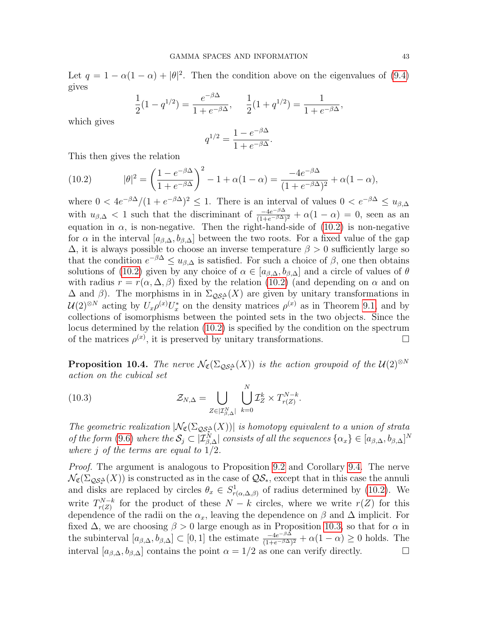Let  $q = 1 - \alpha(1 - \alpha) + |\theta|^2$ . Then the condition above on the eigenvalues of [\(9.4\)](#page-37-0) gives

$$
\frac{1}{2}(1-q^{1/2}) = \frac{e^{-\beta \Delta}}{1+e^{-\beta \Delta}}, \quad \frac{1}{2}(1+q^{1/2}) = \frac{1}{1+e^{-\beta \Delta}},
$$

which gives

$$
q^{1/2} = \frac{1 - e^{-\beta \Delta}}{1 + e^{-\beta \Delta}}.
$$

This then gives the relation

<span id="page-42-0"></span>(10.2) 
$$
|\theta|^2 = \left(\frac{1 - e^{-\beta \Delta}}{1 + e^{-\beta \Delta}}\right)^2 - 1 + \alpha(1 - \alpha) = \frac{-4e^{-\beta \Delta}}{(1 + e^{-\beta \Delta})^2} + \alpha(1 - \alpha),
$$

where  $0 < 4e^{-\beta \Delta}/(1 + e^{-\beta \Delta})^2 \le 1$ . There is an interval of values  $0 < e^{-\beta \Delta} \le u_{\beta, \Delta}$ with  $u_{\beta,\Delta} < 1$  such that the discriminant of  $\frac{-4e^{-\beta\Delta}}{(1+e^{-\beta\Delta})^2} + \alpha(1-\alpha) = 0$ , seen as an equation in  $\alpha$ , is non-negative. Then the right-hand-side of [\(10.2\)](#page-42-0) is non-negative for  $\alpha$  in the interval  $[a_{\beta,\Delta}, b_{\beta,\Delta}]$  between the two roots. For a fixed value of the gap  $\Delta$ , it is always possible to choose an inverse temperature  $\beta > 0$  sufficiently large so that the condition  $e^{-\beta \Delta} \le u_{\beta, \Delta}$  is satisfied. For such a choice of  $\beta$ , one then obtains solutions of [\(10.2\)](#page-42-0) given by any choice of  $\alpha \in [a_{\beta,\Delta}, b_{\beta,\Delta}]$  and a circle of values of  $\theta$ with radius  $r = r(\alpha, \Delta, \beta)$  fixed by the relation [\(10.2\)](#page-42-0) (and depending on  $\alpha$  and on  $\Delta$  and  $\beta$ ). The morphisms in in  $\Sigma_{\mathcal{QS}_*^{\Delta}}(X)$  are given by unitary transformations in  $\mathcal{U}(2)^{\otimes N}$  acting by  $U_x \rho^{(x)} U_x^*$  on the density matrices  $\rho^{(x)}$  as in Theorem [9.1,](#page-36-2) and by collections of isomorphisms between the pointed sets in the two objects. Since the locus determined by the relation [\(10.2\)](#page-42-0) is specified by the condition on the spectrum of the matrices  $\rho^{(x)}$ , it is preserved by unitary transformations.

**Proposition 10.4.** The nerve  $\mathcal{N}_{\mathfrak{C}}(\Sigma_{\mathcal{QS}_*^{\Delta}}(X))$  is the action groupoid of the  $\mathcal{U}(2)^{\otimes N}$ action on the cubical set

(10.3) 
$$
\mathcal{Z}_{N,\Delta} = \bigcup_{Z \in [T_{\beta,\Delta}^N]} \bigcup_{k=0}^N \mathcal{I}_Z^k \times T_{r(Z)}^{N-k}.
$$

The geometric realization  $|\mathcal{N}_{\mathfrak{C}}(\Sigma_{\mathcal{QS}_*^{\Delta}}(X))|$  is homotopy equivalent to a union of strata of the form [\(9.6\)](#page-38-0) where the  $S_j \subset |\mathcal{I}_{\beta,\Delta}^N|$  consists of all the sequences  $\{\alpha_x\} \in [a_{\beta,\Delta},b_{\beta,\Delta}]^N$ where j of the terms are equal to  $1/2$ .

Proof. The argument is analogous to Proposition [9.2](#page-37-2) and Corollary [9.4.](#page-38-1) The nerve  $\mathcal{N}_{\mathfrak{C}}(\Sigma_{\mathcal{QS}_*^{\Delta}}(X))$  is constructed as in the case of  $\mathcal{QS}_*$ , except that in this case the annuli and disks are replaced by circles  $\theta_x \in S^1_{r(\alpha,\Delta,\beta)}$  of radius determined by [\(10.2\)](#page-42-0). We write  $T_{r(Z)}^{N-k}$  $r_{r(Z)}^{N-k}$  for the product of these  $N-k$  circles, where we write  $r(Z)$  for this dependence of the radii on the  $\alpha_x$ , leaving the dependence on  $\beta$  and  $\Delta$  implicit. For fixed  $\Delta$ , we are choosing  $\beta > 0$  large enough as in Proposition [10.3,](#page-41-0) so that for  $\alpha$  in the subinterval  $[a_{\beta,\Delta},b_{\beta,\Delta}] \subset [0,1]$  the estimate  $\frac{-4e^{-\beta\Delta}}{(1+e^{-\beta\Delta})^2} + \alpha(1-\alpha) \geq 0$  holds. The interval  $[a_{\beta,\Delta}, b_{\beta,\Delta}]$  contains the point  $\alpha = 1/2$  as one can verify directly.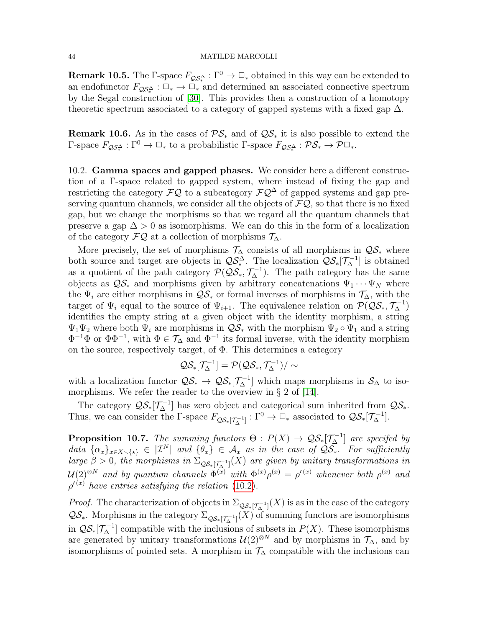**Remark 10.5.** The  $\Gamma$ -space  $F_{\mathcal{QS}_*^{\Delta}} : \Gamma^0 \to \mathbb{Z}_*$  obtained in this way can be extended to an endofunctor  $F_{\mathcal{QS}_*^{\Delta}} : \Box_* \to \Box_*$  and determined an associated connective spectrum by the Segal construction of [\[30\]](#page-45-1). This provides then a construction of a homotopy theoretic spectrum associated to a category of gapped systems with a fixed gap  $\Delta$ .

**Remark 10.6.** As in the cases of  $\mathcal{PS}_*$  and of  $\mathcal{QS}_*$  it is also possible to extend the Γ-space  $F_{\mathcal{Q}S^{\Delta}_{*}}: \Gamma^{0} \to \Box_{*}$  to a probabilistic Γ-space  $F_{\mathcal{Q}S^{\Delta}_{*}}: \mathcal{PS}_{*} \to \mathcal{P}\Box_{*}$ .

10.2. Gamma spaces and gapped phases. We consider here a different construction of a Γ-space related to gapped system, where instead of fixing the gap and restricting the category  $\mathcal{FQ}$  to a subcategory  $\mathcal{FQ}^{\Delta}$  of gapped systems and gap preserving quantum channels, we consider all the objects of  $\mathcal{FQ}$ , so that there is no fixed gap, but we change the morphisms so that we regard all the quantum channels that preserve a gap  $\Delta > 0$  as isomorphisms. We can do this in the form of a localization of the category  $\mathcal{F}\mathcal{Q}$  at a collection of morphisms  $\mathcal{T}_\Delta$ .

More precisely, the set of morphisms  $\mathcal{T}_{\Delta}$  consists of all morphisms in  $\mathcal{QS}_{*}$  where both source and target are objects in  $\mathcal{QS}_{*}^{\Delta}$ . The localization  $\mathcal{QS}_{*}[\mathcal{T}_{\Delta}^{-1}]$  is obtained as a quotient of the path category  $\mathcal{P}(\mathcal{QS}_{*}, \mathcal{T}_{\Delta}^{-1})$ . The path category has the same objects as  $\mathcal{QS}_{*}$  and morphisms given by arbitrary concatenations  $\Psi_1 \cdots \Psi_N$  where the  $\Psi_i$  are either morphisms in  $\mathcal{Q}S_*$  or formal inverses of morphisms in  $\mathcal{T}_\Delta$ , with the target of  $\Psi_i$  equal to the source of  $\Psi_{i+1}$ . The equivalence relation on  $\mathcal{P}(\mathcal{QS}_*, \mathcal{T}_\Delta^{-1})$ identifies the empty string at a given object with the identity morphism, a string  $\Psi_1\Psi_2$  where both  $\Psi_i$  are morphisms in  $\mathcal{QS}_*$  with the morphism  $\Psi_2 \circ \Psi_1$  and a string  $\Phi^{-1}\Phi$  or  $\Phi\Phi^{-1}$ , with  $\Phi \in \mathcal{T}_{\Delta}$  and  $\Phi^{-1}$  its formal inverse, with the identity morphism on the source, respectively target, of  $\Phi$ . This determines a category

$$
\mathcal{QS}_*[\mathcal{T}_\Delta^{-1}] = \mathcal{P}(\mathcal{QS}_*, \mathcal{T}_\Delta^{-1})/\sim
$$

with a localization functor  $\mathcal{QS}_{*} \to \mathcal{QS}_{*}[\mathcal{T}_{\Delta}^{-1}]$  which maps morphisms in  $\mathcal{S}_{\Delta}$  to isomorphisms. We refer the reader to the overview in  $\S 2$  of [\[14\]](#page-45-26).

The category  $\mathcal{QS}_{*}[\mathcal{T}_{\Delta}^{-1}]$  has zero object and categorical sum inherited from  $\mathcal{QS}_{*}$ . Thus, we can consider the  $\Gamma$ -space  $F_{\mathcal{QS}_*[\mathcal{T}_{\Delta}^{-1}]} : \Gamma^0 \to \square_*$  associated to  $\mathcal{QS}_*[\mathcal{T}_{\Delta}^{-1}]$ .

**Proposition 10.7.** The summing functors  $\Theta$  :  $P(X) \to \mathcal{QS}_{*}[\mathcal{T}_{\Delta}^{-1}]$  are specifed by data  $\{\alpha_x\}_{x\in X\setminus\{*\}} \in |\mathcal{I}^N|$  and  $\{\theta_x\} \in \mathcal{A}_x$  as in the case of  $\mathcal{Q}\overline{\mathcal{S}_*}$ . For sufficiently large  $\beta > 0$ , the morphisms in  $\Sigma_{\mathcal{QS}*[T_{\Delta}^{-1}]}(X)$  are given by unitary transformations in  $\mathcal{U}(2)^{\otimes N}$  and by quantum channels  $\Phi^{(x)}$  with  $\Phi^{(x)}\rho^{(x)}=\rho'^{(x)}$  whenever both  $\rho^{(x)}$  and  $\rho^{\prime (x)}$  have entries satisfying the relation [\(10.2\)](#page-42-0).

*Proof.* The characterization of objects in  $\Sigma_{\mathcal{QS}_*[\mathcal{T}_{\Delta}^{-1}]}(X)$  is as in the case of the category  $\mathcal{QS}_*$ . Morphisms in the category  $\Sigma_{\mathcal{QS}_*[\mathcal{T}_{\Delta}^{-1}]}(X)$  of summing functors are isomorphisms in  $\mathcal{QS}_{*}[\mathcal{T}_{\Delta}^{-1}]$  compatible with the inclusions of subsets in  $P(X)$ . These isomorphisms are generated by unitary transformations  $\mathcal{U}(2)^{\otimes N}$  and by morphisms in  $\mathcal{T}_\Delta$ , and by isomorphisms of pointed sets. A morphism in  $\mathcal{T}_{\Delta}$  compatible with the inclusions can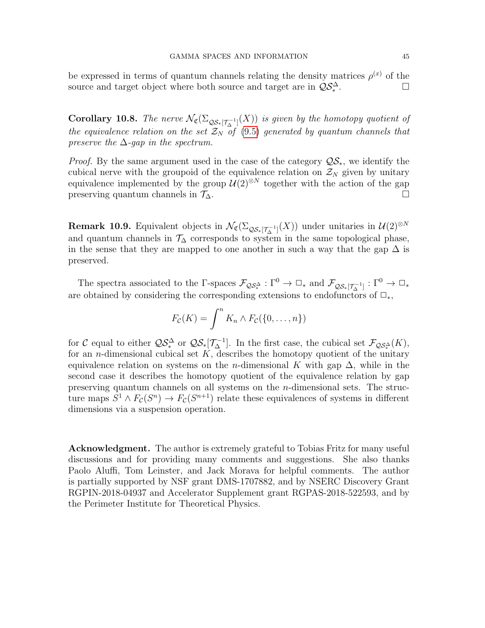be expressed in terms of quantum channels relating the density matrices  $\rho^{(x)}$  of the source and target object where both source and target are in  $\mathcal{QS}_{*}^{\Delta}$ . <sup>. . .</sup> ∴ . . ⊡

**Corollary 10.8.** The nerve  $\mathcal{N}_{\mathfrak{C}}(\Sigma_{\mathcal{QS}*[\mathcal{T}_{\Delta}^{-1}]}(X))$  is given by the homotopy quotient of the equivalence relation on the set  $\mathcal{Z}_N$  of [\(9.5\)](#page-37-1) generated by quantum channels that preserve the  $\Delta$ -gap in the spectrum.

*Proof.* By the same argument used in the case of the category  $\mathcal{QS}_*$ , we identify the cubical nerve with the groupoid of the equivalence relation on  $\mathcal{Z}_N$  given by unitary equivalence implemented by the group  $\mathcal{U}(2)^{\otimes N}$  together with the action of the gap preserving quantum channels in  $\mathcal{T}_\Delta$ .

**Remark 10.9.** Equivalent objects in  $\mathcal{N}_{\mathfrak{C}}(\Sigma_{\mathcal{QS}\ast[\mathcal{T}_{\Delta}^{-1}]}(X))$  under unitaries in  $\mathcal{U}(2)^{\otimes N}$ and quantum channels in  $\mathcal{T}_{\Delta}$  corresponds to system in the same topological phase, in the sense that they are mapped to one another in such a way that the gap  $\Delta$  is preserved.

The spectra associated to the  $\Gamma$ -spaces  $\mathcal{F}_{\mathcal{QS}_*}$  :  $\Gamma^0 \to \Box_*$  and  $\mathcal{F}_{\mathcal{QS}_*[\mathcal{T}_{\Delta}^{-1}]} : \Gamma^0 \to \Box_*$ are obtained by considering the corresponding extensions to endofunctors of  $\Box_*$ ,

$$
F_{\mathcal{C}}(K) = \int_{}^{n} K_n \wedge F_{\mathcal{C}}(\{0,\ldots,n\})
$$

for C equal to either  $\mathcal{QS}_{*}^{\Delta}$  or  $\mathcal{QS}_{*}[\mathcal{T}_{\Delta}^{-1}]$ . In the first case, the cubical set  $\mathcal{F}_{\mathcal{QS}_{*}^{\Delta}}(K)$ , for an *n*-dimensional cubical set  $K$ , describes the homotopy quotient of the unitary equivalence relation on systems on the n-dimensional K with gap  $\Delta$ , while in the second case it describes the homotopy quotient of the equivalence relation by gap preserving quantum channels on all systems on the n-dimensional sets. The structure maps  $S^1 \wedge F_{\mathcal{C}}(S^n) \to F_{\mathcal{C}}(S^{n+1})$  relate these equivalences of systems in different dimensions via a suspension operation.

Acknowledgment. The author is extremely grateful to Tobias Fritz for many useful discussions and for providing many comments and suggestions. She also thanks Paolo Aluffi, Tom Leinster, and Jack Morava for helpful comments. The author is partially supported by NSF grant DMS-1707882, and by NSERC Discovery Grant RGPIN-2018-04937 and Accelerator Supplement grant RGPAS-2018-522593, and by the Perimeter Institute for Theoretical Physics.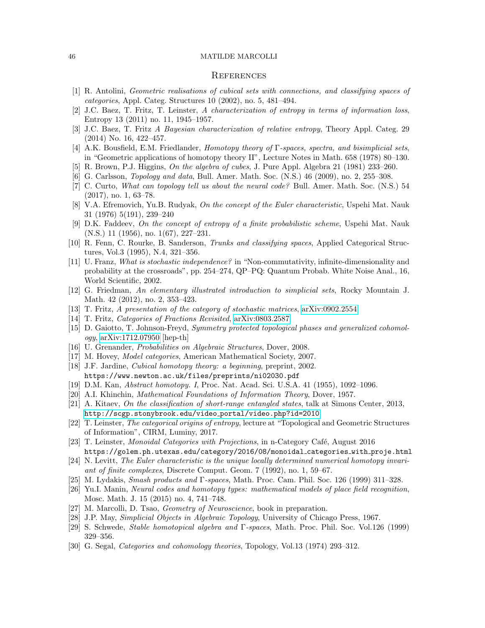## <span id="page-45-0"></span>**REFERENCES**

- <span id="page-45-21"></span>[1] R. Antolini, Geometric realisations of cubical sets with connections, and classifying spaces of categories, Appl. Categ. Structures 10 (2002), no. 5, 481–494.
- <span id="page-45-4"></span>[2] J.C. Baez, T. Fritz, T. Leinster, A characterization of entropy in terms of information loss, Entropy 13 (2011) no. 11, 1945–1957.
- <span id="page-45-11"></span>[3] J.C. Baez, T. Fritz A Bayesian characterization of relative entropy, Theory Appl. Categ. 29 (2014) No. 16, 422–457.
- <span id="page-45-2"></span>[4] A.K. Bousfield, E.M. Friedlander, Homotopy theory of Γ-spaces, spectra, and bisimplicial sets, in "Geometric applications of homotopy theory II", Lecture Notes in Math. 658 (1978) 80–130.
- <span id="page-45-18"></span>[5] R. Brown, P.J. Higgins, On the algebra of cubes, J. Pure Appl. Algebra 21 (1981) 233–260.
- <span id="page-45-6"></span>[6] G. Carlsson, Topology and data, Bull. Amer. Math. Soc. (N.S.) 46 (2009), no. 2, 255–308.
- <span id="page-45-8"></span>[7] C. Curto, What can topology tell us about the neural code? Bull. Amer. Math. Soc. (N.S.) 54 (2017), no. 1, 63–78.
- <span id="page-45-23"></span>[8] V.A. Efremovich, Yu.B. Rudyak, On the concept of the Euler characteristic, Uspehi Mat. Nauk 31 (1976) 5(191), 239–240
- <span id="page-45-16"></span>[9] D.K. Faddeev, On the concept of entropy of a finite probabilistic scheme, Uspehi Mat. Nauk (N.S.) 11 (1956), no. 1(67), 227–231.
- <span id="page-45-22"></span>[10] R. Fenn, C. Rourke, B. Sanderson, Trunks and classifying spaces, Applied Categorical Structures, Vol.3 (1995), N.4, 321–356.
- <span id="page-45-13"></span>[11] U. Franz, What is stochastic independence? in "Non-commutativity, infinite-dimensionality and probability at the crossroads", pp. 254–274, QP–PQ: Quantum Probab. White Noise Anal., 16, World Scientific, 2002.
- [12] G. Friedman, An elementary illustrated introduction to simplicial sets, Rocky Mountain J. Math. 42 (2012), no. 2, 353–423.
- <span id="page-45-12"></span>[13] T. Fritz, A presentation of the category of stochastic matrices, [arXiv:0902.2554](http://arxiv.org/abs/0902.2554)
- <span id="page-45-26"></span>[14] T. Fritz, Categories of Fractions Revisited, [arXiv:0803.2587](http://arxiv.org/abs/0803.2587)
- <span id="page-45-5"></span>[15] D. Gaiotto, T. Johnson-Freyd, Symmetry protected topological phases and generalized cohomology, [arXiv:1712.07950](http://arxiv.org/abs/1712.07950) [hep-th]
- <span id="page-45-7"></span>[16] U. Grenander, Probabilities on Algebraic Structures, Dover, 2008.
- [17] M. Hovey, *Model categories*, American Mathematical Society, 2007.
- <span id="page-45-19"></span>[18] J.F. Jardine, Cubical homotopy theory: a beginning, preprint, 2002. https://www.newton.ac.uk/files/preprints/ni02030.pdf
- <span id="page-45-20"></span>[19] D.M. Kan, Abstract homotopy. I, Proc. Nat. Acad. Sci. U.S.A. 41 (1955), 1092–1096.
- <span id="page-45-15"></span>[20] A.I. Khinchin, Mathematical Foundations of Information Theory, Dover, 1957.
- <span id="page-45-25"></span>[21] A. Kitaev, On the classification of short-range entangled states, talk at Simons Center, 2013, [http://scgp.stonybrook.edu/video](http://scgp.stonybrook.edu/video_portal/video.php?id=2010) portal/video.php?id=2010
- [22] T. Leinster, The categorical origins of entropy, lecture at "Topological and Geometric Structures of Information", CIRM, Luminy, 2017.
- <span id="page-45-14"></span>[23] T. Leinster, *Monoidal Categories with Projections*, in n-Category Café, August 2016 https://golem.ph.utexas.edu/category/2016/08/monoidal categories with proje.html
- <span id="page-45-24"></span>[24] N. Levitt, The Euler characteristic is the unique locally determined numerical homotopy invariant of finite complexes, Discrete Comput. Geom. 7 (1992), no. 1, 59–67.
- <span id="page-45-3"></span>[25] M. Lydakis, Smash products and Γ-spaces, Math. Proc. Cam. Phil. Soc. 126 (1999) 311–328.
- <span id="page-45-9"></span>[26] Yu.I. Manin, Neural codes and homotopy types: mathematical models of place field recognition, Mosc. Math. J. 15 (2015) no. 4, 741–748.
- <span id="page-45-10"></span>[27] M. Marcolli, D. Tsao, Geometry of Neuroscience, book in preparation.
- [28] J.P. May, Simplicial Objects in Algebraic Topology, University of Chicago Press, 1967.
- <span id="page-45-17"></span>[29] S. Schwede, Stable homotopical algebra and Γ-spaces, Math. Proc. Phil. Soc. Vol.126 (1999) 329–356.
- <span id="page-45-1"></span>[30] G. Segal, *Categories and cohomology theories*, Topology, Vol.13 (1974) 293–312.